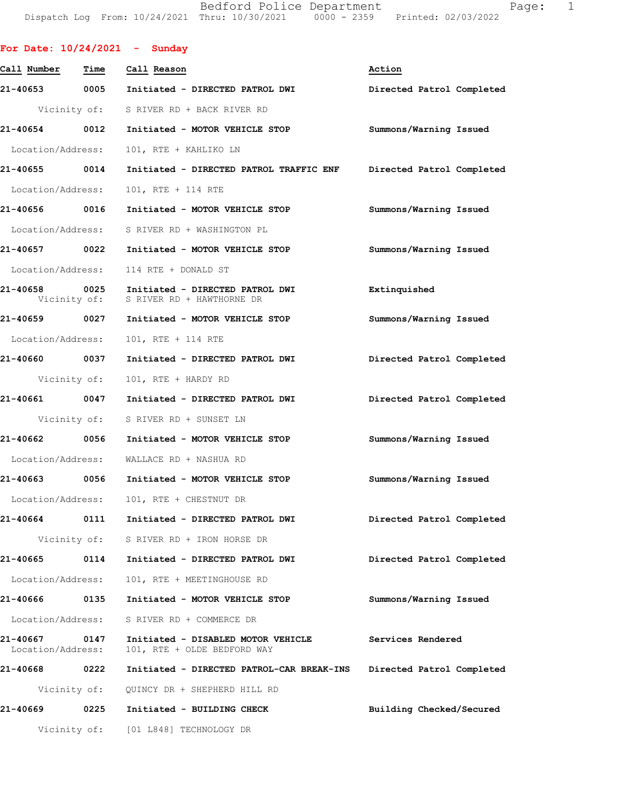Bedford Police Department Fage: 1 Dispatch Log From: 10/24/2021 Thru: 10/30/2021 0000 - 2359 Printed: 02/03/2022

| For Date: $10/24/2021$ - Sunday |              |                                                                                         |                           |
|---------------------------------|--------------|-----------------------------------------------------------------------------------------|---------------------------|
| Call Number                     | Time         | Call Reason                                                                             | Action                    |
|                                 |              | 21-40653 0005 Initiated - DIRECTED PATROL DWI                                           | Directed Patrol Completed |
|                                 |              | Vicinity of: S RIVER RD + BACK RIVER RD                                                 |                           |
|                                 |              | 21-40654 0012 Initiated - MOTOR VEHICLE STOP                                            | Summons/Warning Issued    |
| Location/Address:               |              | 101, RTE + KAHLIKO LN                                                                   |                           |
| 21-40655 0014                   |              | Initiated - DIRECTED PATROL TRAFFIC ENF                                                 | Directed Patrol Completed |
| Location/Address:               |              | 101, RTE + 114 RTE                                                                      |                           |
| 21-40656 0016                   |              | Initiated - MOTOR VEHICLE STOP                                                          | Summons/Warning Issued    |
|                                 |              | Location/Address: S RIVER RD + WASHINGTON PL                                            |                           |
|                                 |              | 21-40657 0022 Initiated - MOTOR VEHICLE STOP                                            | Summons/Warning Issued    |
|                                 |              | Location/Address: 114 RTE + DONALD ST                                                   |                           |
|                                 |              | 21-40658 0025 Initiated - DIRECTED PATROL DWI<br>Vicinity of: S RIVER RD + HAWTHORNE DR | Extinquished              |
|                                 |              | 21-40659 0027 Initiated - MOTOR VEHICLE STOP                                            | Summons/Warning Issued    |
|                                 |              | Location/Address: 101, RTE + 114 RTE                                                    |                           |
|                                 |              | 21-40660 0037 Initiated - DIRECTED PATROL DWI Directed Patrol Completed                 |                           |
|                                 | Vicinity of: | 101, RTE + HARDY RD                                                                     |                           |
| 21-40661 0047                   |              | Initiated - DIRECTED PATROL DWI                                                         | Directed Patrol Completed |
|                                 |              | Vicinity of: S RIVER RD + SUNSET LN                                                     |                           |
| 21-40662 0056                   |              | Initiated - MOTOR VEHICLE STOP                                                          | Summons/Warning Issued    |
|                                 |              | Location/Address: WALLACE RD + NASHUA RD                                                |                           |
|                                 |              | 21-40663  0056  Initiated - MOTOR VEHICLE STOP                                          | Summons/Warning Issued    |
|                                 |              | Location/Address: 101, RTE + CHESTNUT DR                                                |                           |
| 21-40664                        |              | 0111 Initiated - DIRECTED PATROL DWI                                                    | Directed Patrol Completed |
|                                 |              | Vicinity of: S RIVER RD + IRON HORSE DR                                                 |                           |
| 21-40665 0114                   |              | Initiated - DIRECTED PATROL DWI                                                         | Directed Patrol Completed |
| Location/Address:               |              | 101, RTE + MEETINGHOUSE RD                                                              |                           |
| 21-40666 0135                   |              | Initiated - MOTOR VEHICLE STOP                                                          | Summons/Warning Issued    |
| Location/Address:               |              | S RIVER RD + COMMERCE DR                                                                |                           |
| 21-40667<br>Location/Address:   | 0147         | Initiated - DISABLED MOTOR VEHICLE<br>101, RTE + OLDE BEDFORD WAY                       | Services Rendered         |
| 21-40668 0222                   |              | Initiated - DIRECTED PATROL-CAR BREAK-INS                                               | Directed Patrol Completed |
|                                 |              | Vicinity of: QUINCY DR + SHEPHERD HILL RD                                               |                           |
| 21-40669                        | 0225         | Initiated - BUILDING CHECK                                                              | Building Checked/Secured  |
|                                 |              | Vicinity of: [01 L848] TECHNOLOGY DR                                                    |                           |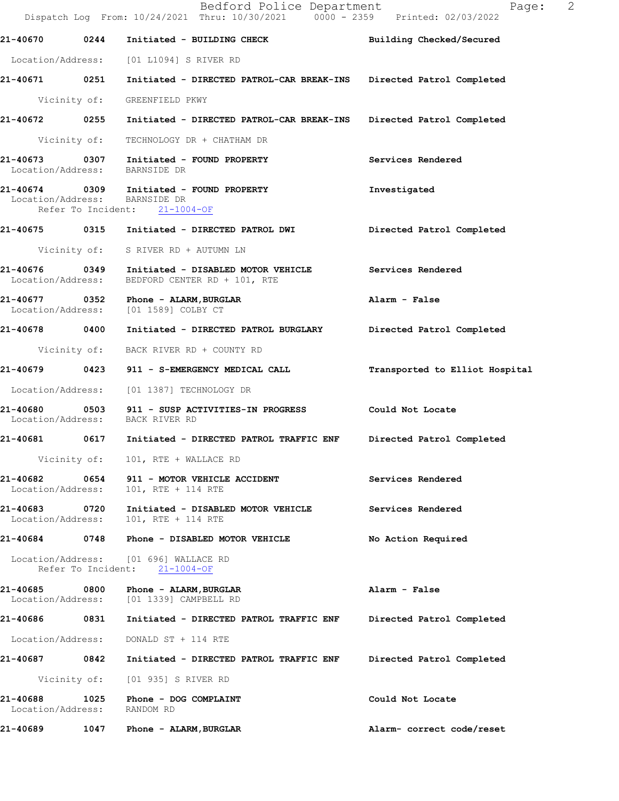|                                             |      | Bedford Police Department<br>Dispatch Log From: 10/24/2021 Thru: 10/30/2021 0000 - 2359 Printed: 02/03/2022 | 2<br>Page:                     |
|---------------------------------------------|------|-------------------------------------------------------------------------------------------------------------|--------------------------------|
|                                             |      | 21-40670 0244 Initiated - BUILDING CHECK                                                                    | Building Checked/Secured       |
|                                             |      | Location/Address: [01 L1094] S RIVER RD                                                                     |                                |
|                                             |      | 21-40671 0251 Initiated - DIRECTED PATROL-CAR BREAK-INS Directed Patrol Completed                           |                                |
|                                             |      | Vicinity of: GREENFIELD PKWY                                                                                |                                |
|                                             |      | 21-40672 0255 Initiated - DIRECTED PATROL-CAR BREAK-INS                                                     | Directed Patrol Completed      |
|                                             |      | Vicinity of: TECHNOLOGY DR + CHATHAM DR                                                                     |                                |
|                                             |      | 21-40673 0307 Initiated - FOUND PROPERTY<br>Location/Address: BARNSIDE DR                                   | Services Rendered              |
| Location/Address: BARNSIDE DR               |      | 21-40674 0309 Initiated - FOUND PROPERTY<br>Refer To Incident: 21-1004-OF                                   | Investigated                   |
|                                             |      |                                                                                                             | Directed Patrol Completed      |
|                                             |      | Vicinity of: S RIVER RD + AUTUMN LN                                                                         |                                |
| Location/Address:                           |      | 21-40676 0349 Initiated - DISABLED MOTOR VEHICLE<br>BEDFORD CENTER RD + 101, RTE                            | Services Rendered              |
|                                             |      | 21-40677 0352 Phone - ALARM, BURGLAR<br>Location/Address: [01 1589] COLBY CT                                | Alarm - False                  |
| 21-40678 0400                               |      | Initiated - DIRECTED PATROL BURGLARY Directed Patrol Completed                                              |                                |
|                                             |      | Vicinity of: BACK RIVER RD + COUNTY RD                                                                      |                                |
|                                             |      | 21-40679 0423 911 - S-EMERGENCY MEDICAL CALL                                                                | Transported to Elliot Hospital |
|                                             |      | Location/Address: [01 1387] TECHNOLOGY DR                                                                   |                                |
| 21-40680<br>Location/Address: BACK RIVER RD |      | 0503 911 - SUSP ACTIVITIES-IN PROGRESS Could Not Locate                                                     |                                |
|                                             |      |                                                                                                             | Directed Patrol Completed      |
| Vicinity of:                                |      | 101, RTE + WALLACE RD                                                                                       |                                |
| 21-40682<br>Location/Address:               |      | 0654 911 - MOTOR VEHICLE ACCIDENT<br>101, RTE + 114 RTE                                                     | Services Rendered              |
| 21-40683 0720<br>Location/Address:          |      | Initiated - DISABLED MOTOR VEHICLE<br>101, RTE + 114 RTE                                                    | Services Rendered              |
|                                             |      |                                                                                                             | No Action Required             |
|                                             |      | Location/Address: [01 696] WALLACE RD<br>Refer To Incident: 21-1004-OF                                      |                                |
| 21-40685<br>Location/Address:               |      | [01 1339] CAMPBELL RD                                                                                       | Alarm - False                  |
| 21-40686 0831                               |      | Initiated - DIRECTED PATROL TRAFFIC ENF                                                                     | Directed Patrol Completed      |
| Location/Address:                           |      | DONALD ST + 114 RTE                                                                                         |                                |
| 21-40687                                    | 0842 | Initiated - DIRECTED PATROL TRAFFIC ENF                                                                     | Directed Patrol Completed      |
|                                             |      | Vicinity of: [01 935] S RIVER RD                                                                            |                                |
| 21-40688<br>Location/Address:               | 1025 | Phone - DOG COMPLAINT<br>RANDOM RD                                                                          | Could Not Locate               |
| 21-40689                                    |      | 1047 Phone - ALARM,BURGLAR                                                                                  | Alarm- correct code/reset      |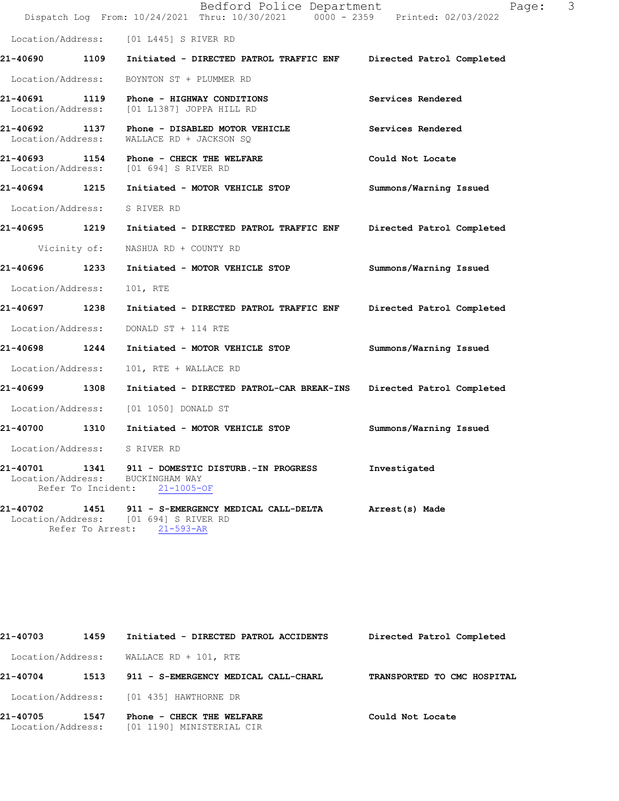|                                    | Bedford Police Department<br>Dispatch Log From: 10/24/2021 Thru: 10/30/2021 0000 - 2359 Printed: 02/03/2022      | 3<br>Page:                |
|------------------------------------|------------------------------------------------------------------------------------------------------------------|---------------------------|
|                                    | Location/Address: [01 L445] S RIVER RD                                                                           |                           |
|                                    | 21-40690 1109 Initiated - DIRECTED PATROL TRAFFIC ENF Directed Patrol Completed                                  |                           |
| Location/Address:                  | BOYNTON ST + PLUMMER RD                                                                                          |                           |
|                                    | 21-40691 1119 Phone - HIGHWAY CONDITIONS<br>Location/Address: [01 L1387] JOPPA HILL RD                           | Services Rendered         |
| 21-40692 1137<br>Location/Address: | Phone - DISABLED MOTOR VEHICLE<br>WALLACE RD + JACKSON SO                                                        | Services Rendered         |
|                                    | <b>21-40693 1154 Phone - CHECK THE WELFARE</b><br>Location/Address: [01 694] S RIVER RD                          | Could Not Locate          |
| 21-40694 1215                      | Initiated - MOTOR VEHICLE STOP                                                                                   | Summons/Warning Issued    |
| Location/Address:                  | S RIVER RD                                                                                                       |                           |
|                                    | 21-40695 1219 Initiated - DIRECTED PATROL TRAFFIC ENF                                                            | Directed Patrol Completed |
| Vicinity of:                       | NASHUA RD + COUNTY RD                                                                                            |                           |
| 21-40696 1233                      | Initiated - MOTOR VEHICLE STOP                                                                                   | Summons/Warning Issued    |
| Location/Address:                  | 101, RTE                                                                                                         |                           |
| 21-40697 1238                      | Initiated - DIRECTED PATROL TRAFFIC ENF                                                                          | Directed Patrol Completed |
| Location/Address:                  | DONALD ST + 114 RTE                                                                                              |                           |
| 21-40698 1244                      | Initiated - MOTOR VEHICLE STOP                                                                                   | Summons/Warning Issued    |
| Location/Address:                  | 101, RTE + WALLACE RD                                                                                            |                           |
| 1308<br>21-40699                   | Initiated - DIRECTED PATROL-CAR BREAK-INS Directed Patrol Completed                                              |                           |
|                                    | Location/Address: [01 1050] DONALD ST                                                                            |                           |
| 21-40700 1310                      | Initiated - MOTOR VEHICLE STOP                                                                                   | Summons/Warning Issued    |
| Location/Address:                  | S RIVER RD                                                                                                       |                           |
| 21-40701<br>Refer To Incident:     | 1341 911 - DOMESTIC DISTURB.-IN PROGRESS<br>Location/Address: BUCKINGHAM WAY<br>$21 - 1005 - OF$                 | Investigated              |
| 21-40702                           | 1451 911 - S-EMERGENCY MEDICAL CALL-DELTA<br>Location/Address: [01 694] S RIVER RD<br>Refer To Arrest: 21-593-AR | Arrest(s) Made            |

| 21-40703                      | 1459 | Initiated - DIRECTED PATROL ACCIDENTS                  | Directed Patrol Completed   |
|-------------------------------|------|--------------------------------------------------------|-----------------------------|
| Location/Address:             |      | WALLACE RD + 101, RTE                                  |                             |
| 21-40704                      | 1513 | 911 - S-EMERGENCY MEDICAL CALL-CHARL                   | TRANSPORTED TO CMC HOSPITAL |
|                               |      | Location/Address: [01 435] HAWTHORNE DR                |                             |
| 21-40705<br>Location/Address: | 1547 | Phone - CHECK THE WELFARE<br>[01 1190] MINISTERIAL CIR | Could Not Locate            |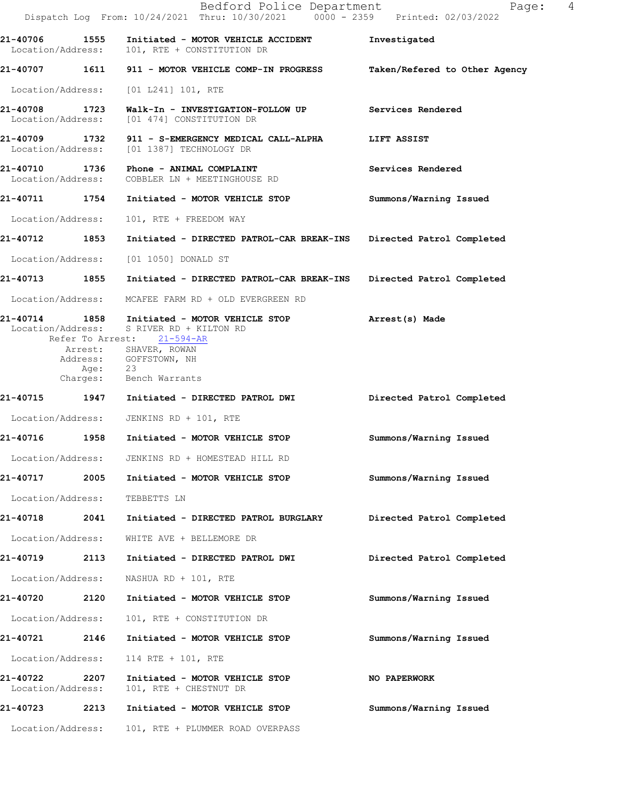|                               |         | Bedford Police Department<br>Dispatch Log From: 10/24/2021 Thru: 10/30/2021 0000 - 2359 Printed: 02/03/2022                                                               | $\overline{4}$<br>Page:       |
|-------------------------------|---------|---------------------------------------------------------------------------------------------------------------------------------------------------------------------------|-------------------------------|
|                               |         | 21-40706 1555 Initiated - MOTOR VEHICLE ACCIDENT<br>Location/Address: 101, RTE + CONSTITUTION DR                                                                          | Investigated                  |
|                               |         | 21-40707 1611 911 - MOTOR VEHICLE COMP-IN PROGRESS                                                                                                                        | Taken/Refered to Other Agency |
|                               |         | Location/Address: [01 L241] 101, RTE                                                                                                                                      |                               |
|                               |         |                                                                                                                                                                           | Services Rendered             |
| Location/Address:             |         | 21-40709 1732 911 - S-EMERGENCY MEDICAL CALL-ALPHA<br>[01 1387] TECHNOLOGY DR                                                                                             | LIFT ASSIST                   |
|                               |         | 21-40710 1736 Phone - ANIMAL COMPLAINT<br>Location/Address: COBBLER LN + MEETINGHOUSE RD                                                                                  | Services Rendered             |
|                               |         | 21-40711 1754 Initiated - MOTOR VEHICLE STOP                                                                                                                              | Summons/Warning Issued        |
| Location/Address:             |         | 101, RTE + FREEDOM WAY                                                                                                                                                    |                               |
| 21-40712 1853                 |         | Initiated - DIRECTED PATROL-CAR BREAK-INS                                                                                                                                 | Directed Patrol Completed     |
| Location/Address:             |         | [01 1050] DONALD ST                                                                                                                                                       |                               |
|                               |         | 21-40713 1855 Initiated - DIRECTED PATROL-CAR BREAK-INS                                                                                                                   | Directed Patrol Completed     |
|                               |         | Location/Address: MCAFEE FARM RD + OLD EVERGREEN RD                                                                                                                       |                               |
|                               |         | 21-40714 1858 Initiated - MOTOR VEHICLE STOP<br>Location/Address: S RIVER RD + KILTON RD<br>Refer To Arrest: 21-594-AR<br>Arrest: SHAVER, ROWAN<br>Address: GOFFSTOWN, NH | Arrest(s) Made                |
|                               | Age: 23 | Charges: Bench Warrants                                                                                                                                                   |                               |
|                               |         | 21-40715 1947 Initiated - DIRECTED PATROL DWI                                                                                                                             | Directed Patrol Completed     |
|                               |         | Location/Address: JENKINS RD + 101, RTE                                                                                                                                   |                               |
| <b>21-40716</b>               |         | 1958 Initiated - MOTOR VEHICLE STOP                                                                                                                                       | Summons/Warning Issued        |
| Location/Address:             |         | JENKINS RD + HOMESTEAD HILL RD                                                                                                                                            |                               |
| 21-40717                      | 2005    | Initiated - MOTOR VEHICLE STOP                                                                                                                                            | Summons/Warning Issued        |
| Location/Address:             |         | TEBBETTS LN                                                                                                                                                               |                               |
| 21-40718                      | 2041    | Initiated - DIRECTED PATROL BURGLARY                                                                                                                                      | Directed Patrol Completed     |
| Location/Address:             |         | WHITE AVE + BELLEMORE DR                                                                                                                                                  |                               |
| 21-40719                      | 2113    | Initiated - DIRECTED PATROL DWI                                                                                                                                           | Directed Patrol Completed     |
| Location/Address:             |         | NASHUA RD + 101, RTE                                                                                                                                                      |                               |
| 21-40720                      | 2120    | Initiated - MOTOR VEHICLE STOP                                                                                                                                            | Summons/Warning Issued        |
| Location/Address:             |         | 101, RTE + CONSTITUTION DR                                                                                                                                                |                               |
| 21-40721                      | 2146    | Initiated - MOTOR VEHICLE STOP                                                                                                                                            | Summons/Warning Issued        |
| Location/Address:             |         | 114 RTE + 101, RTE                                                                                                                                                        |                               |
| 21-40722<br>Location/Address: | 2207    | Initiated - MOTOR VEHICLE STOP<br>101, RTE + CHESTNUT DR                                                                                                                  | NO PAPERWORK                  |
| 21-40723                      | 2213    | Initiated - MOTOR VEHICLE STOP                                                                                                                                            | Summons/Warning Issued        |
| Location/Address:             |         | 101, RTE + PLUMMER ROAD OVERPASS                                                                                                                                          |                               |
|                               |         |                                                                                                                                                                           |                               |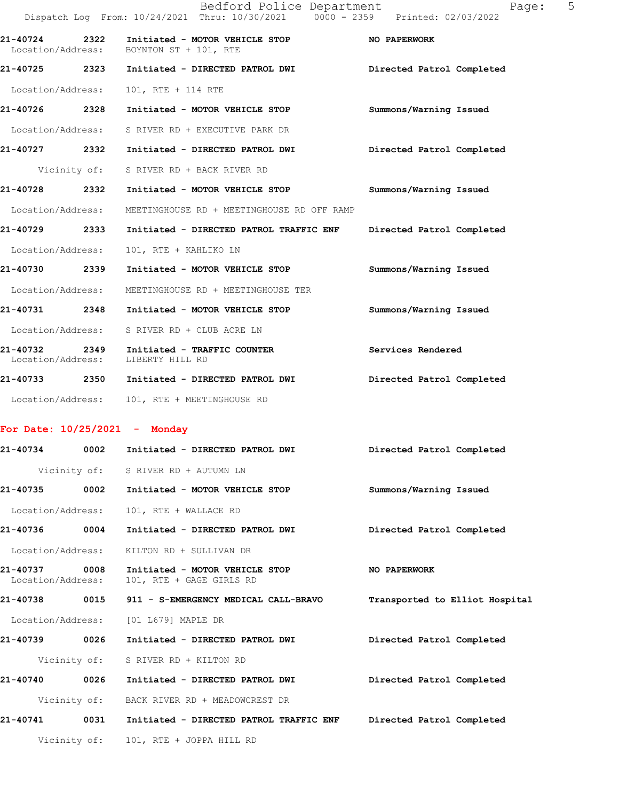|                                    |      | Bedford Police Department<br>Dispatch Log From: 10/24/2021 Thru: 10/30/2021 0000 - 2359 Printed: 02/03/2022 | Page:                     | 5 |
|------------------------------------|------|-------------------------------------------------------------------------------------------------------------|---------------------------|---|
| 21-40724 2322<br>Location/Address: |      | Initiated - MOTOR VEHICLE STOP<br>BOYNTON ST + 101, RTE                                                     | <b>NO PAPERWORK</b>       |   |
| 21-40725 2323                      |      | Initiated - DIRECTED PATROL DWI                                                                             | Directed Patrol Completed |   |
| Location/Address:                  |      | 101, RTE + 114 RTE                                                                                          |                           |   |
| 21-40726                           | 2328 | Initiated - MOTOR VEHICLE STOP                                                                              | Summons/Warning Issued    |   |
| Location/Address:                  |      | S RIVER RD + EXECUTIVE PARK DR                                                                              |                           |   |
| 21-40727 2332                      |      | Initiated - DIRECTED PATROL DWI                                                                             | Directed Patrol Completed |   |
|                                    |      | Vicinity of: S RIVER RD + BACK RIVER RD                                                                     |                           |   |
| 21-40728 2332                      |      | Initiated - MOTOR VEHICLE STOP                                                                              | Summons/Warning Issued    |   |
| Location/Address:                  |      | MEETINGHOUSE RD + MEETINGHOUSE RD OFF RAMP                                                                  |                           |   |
| 21-40729 2333                      |      | Initiated - DIRECTED PATROL TRAFFIC ENF                                                                     | Directed Patrol Completed |   |
| Location/Address:                  |      | 101, RTE + KAHLIKO LN                                                                                       |                           |   |
| 21-40730 2339                      |      | Initiated - MOTOR VEHICLE STOP                                                                              | Summons/Warning Issued    |   |
| Location/Address:                  |      | MEETINGHOUSE RD + MEETINGHOUSE TER                                                                          |                           |   |
| 21-40731 2348                      |      | Initiated - MOTOR VEHICLE STOP                                                                              | Summons/Warning Issued    |   |
| Location/Address:                  |      | S RIVER RD + CLUB ACRE LN                                                                                   |                           |   |
| 21-40732<br>Location/Address:      | 2349 | Initiated - TRAFFIC COUNTER<br>LIBERTY HILL RD                                                              | Services Rendered         |   |
| 21-40733 2350                      |      | Initiated - DIRECTED PATROL DWI                                                                             | Directed Patrol Completed |   |
| Location/Address:                  |      | 101, RTE + MEETINGHOUSE RD                                                                                  |                           |   |
|                                    |      |                                                                                                             |                           |   |

## **For Date: 10/25/2021 - Monday**

| 21-40734                           | 0002         | Initiated - DIRECTED PATROL DWI                            | Directed Patrol Completed      |
|------------------------------------|--------------|------------------------------------------------------------|--------------------------------|
|                                    |              | Vicinity of: S RIVER RD + AUTUMN LN                        |                                |
| 21-40735 0002                      |              | Initiated - MOTOR VEHICLE STOP                             | Summons/Warning Issued         |
| Location/Address:                  |              | 101, RTE + WALLACE RD                                      |                                |
| 21-40736                           | 0004         | Initiated - DIRECTED PATROL DWI                            | Directed Patrol Completed      |
| Location/Address:                  |              | KILTON RD + SULLIVAN DR                                    |                                |
| 21-40737 0008<br>Location/Address: |              | Initiated - MOTOR VEHICLE STOP<br>101, RTE + GAGE GIRLS RD | <b>NO PAPERWORK</b>            |
| 21-40738                           | 0015         | 911 - S-EMERGENCY MEDICAL CALL-BRAVO                       | Transported to Elliot Hospital |
|                                    |              | Location/Address: [01 L679] MAPLE DR                       |                                |
| 21-40739                           | 0026         | Initiated - DIRECTED PATROL DWI                            | Directed Patrol Completed      |
|                                    | Vicinity of: | S RIVER RD + KILTON RD                                     |                                |
| 21-40740                           | 0026         | Initiated - DIRECTED PATROL DWI                            | Directed Patrol Completed      |
|                                    |              | Vicinity of: BACK RIVER RD + MEADOWCREST DR                |                                |
| $21 - 40741$                       | 0031         | Initiated - DIRECTED PATROL TRAFFIC ENF                    | Directed Patrol Completed      |
|                                    |              | Vicinity of: 101, RTE + JOPPA HILL RD                      |                                |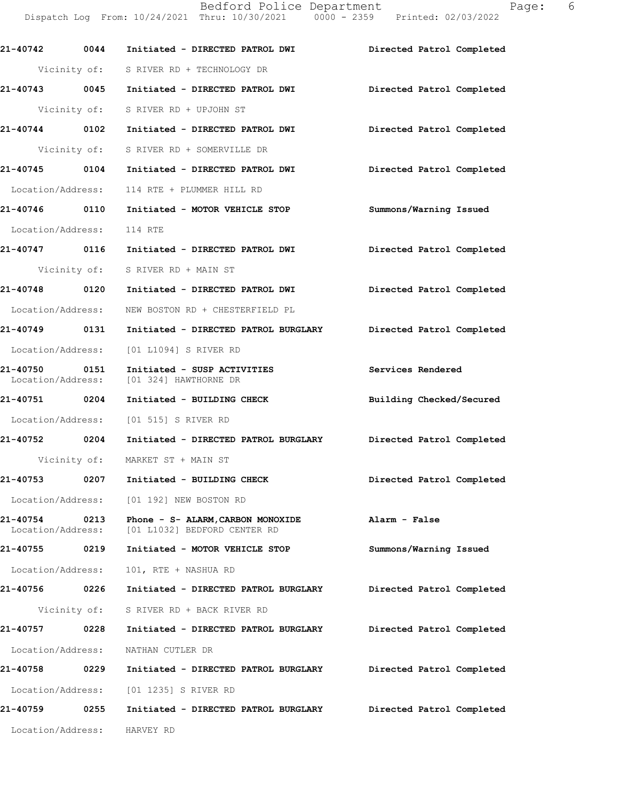**21-40742 0044 Initiated - DIRECTED PATROL DWI Directed Patrol Completed**  Vicinity of: S RIVER RD + TECHNOLOGY DR **21-40743 0045 Initiated - DIRECTED PATROL DWI Directed Patrol Completed**  Vicinity of: S RIVER RD + UPJOHN ST **21-40744 0102 Initiated - DIRECTED PATROL DWI Directed Patrol Completed**  Vicinity of: S RIVER RD + SOMERVILLE DR **21-40745 0104 Initiated - DIRECTED PATROL DWI Directed Patrol Completed**  Location/Address: 114 RTE + PLUMMER HILL RD **21-40746 0110 Initiated - MOTOR VEHICLE STOP Summons/Warning Issued**  Location/Address: 114 RTE **21-40747 0116 Initiated - DIRECTED PATROL DWI Directed Patrol Completed**  Vicinity of: S RIVER RD + MAIN ST **21-40748 0120 Initiated - DIRECTED PATROL DWI Directed Patrol Completed**  Location/Address: NEW BOSTON RD + CHESTERFIELD PL **21-40749 0131 Initiated - DIRECTED PATROL BURGLARY Directed Patrol Completed**  Location/Address: [01 L1094] S RIVER RD **21-40750 0151 Initiated - SUSP ACTIVITIES Services Rendered**  Location/Address: [01 324] HAWTHORNE DR **21-40751 0204 Initiated - BUILDING CHECK Building Checked/Secured**  Location/Address: [01 515] S RIVER RD **21-40752 0204 Initiated - DIRECTED PATROL BURGLARY Directed Patrol Completed**  Vicinity of: MARKET ST + MAIN ST **21-40753 0207 Initiated - BUILDING CHECK Directed Patrol Completed**  Location/Address: [01 192] NEW BOSTON RD **21-40754 0213 Phone - S- ALARM,CARBON MONOXIDE Alarm - False**  Location/Address: [01 L1032] BEDFORD CENTER RD **21-40755 0219 Initiated - MOTOR VEHICLE STOP Summons/Warning Issued**  Location/Address: 101, RTE + NASHUA RD **21-40756 0226 Initiated - DIRECTED PATROL BURGLARY Directed Patrol Completed**  Vicinity of: S RIVER RD + BACK RIVER RD **21-40757 0228 Initiated - DIRECTED PATROL BURGLARY Directed Patrol Completed**  Location/Address: NATHAN CUTLER DR **21-40758 0229 Initiated - DIRECTED PATROL BURGLARY Directed Patrol Completed**  Location/Address: [01 1235] S RIVER RD **21-40759 0255 Initiated - DIRECTED PATROL BURGLARY Directed Patrol Completed**  Location/Address: HARVEY RD

Bedford Police Department Fage: 6 Dispatch Log From: 10/24/2021 Thru: 10/30/2021 0000 - 2359 Printed: 02/03/2022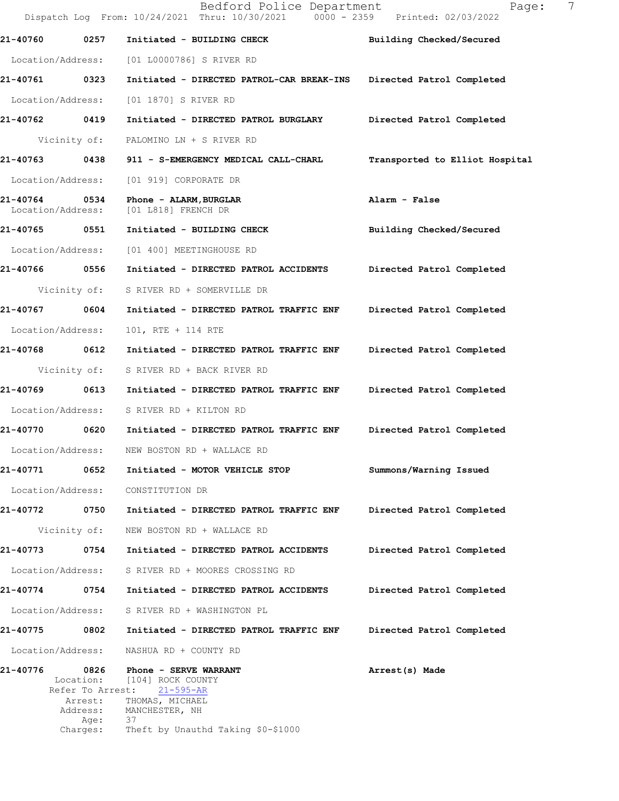|                                    |                     | Bedford Police Department<br>Dispatch Log From: 10/24/2021 Thru: 10/30/2021 0000 - 2359 Printed: 02/03/2022 | 7<br>Page:                     |
|------------------------------------|---------------------|-------------------------------------------------------------------------------------------------------------|--------------------------------|
| 21-40760                           | 0257                | Initiated - BUILDING CHECK                                                                                  | Building Checked/Secured       |
| Location/Address:                  |                     | [01 L0000786] S RIVER RD                                                                                    |                                |
| 21-40761 0323                      |                     | Initiated - DIRECTED PATROL-CAR BREAK-INS                                                                   | Directed Patrol Completed      |
| Location/Address:                  |                     | [01 1870] S RIVER RD                                                                                        |                                |
| 21-40762 0419                      |                     | Initiated - DIRECTED PATROL BURGLARY                                                                        | Directed Patrol Completed      |
|                                    | Vicinity of:        | PALOMINO LN + S RIVER RD                                                                                    |                                |
| 21-40763                           | 0438                | 911 - S-EMERGENCY MEDICAL CALL-CHARL                                                                        | Transported to Elliot Hospital |
| Location/Address:                  |                     | [01 919] CORPORATE DR                                                                                       |                                |
| 21-40764 0534<br>Location/Address: |                     | Phone - ALARM, BURGLAR<br>$[01  L818]$ FRENCH DR                                                            | Alarm - False                  |
| 21-40765                           | 0551                | Initiated - BUILDING CHECK                                                                                  | Building Checked/Secured       |
| Location/Address:                  |                     | [01 400] MEETINGHOUSE RD                                                                                    |                                |
| 21-40766 0556                      |                     | Initiated - DIRECTED PATROL ACCIDENTS                                                                       | Directed Patrol Completed      |
|                                    | Vicinity of:        | S RIVER RD + SOMERVILLE DR                                                                                  |                                |
| 21-40767                           | 0604                | Initiated - DIRECTED PATROL TRAFFIC ENF                                                                     | Directed Patrol Completed      |
| Location/Address:                  |                     | 101, RTE + 114 RTE                                                                                          |                                |
| 21-40768 0612                      |                     | Initiated - DIRECTED PATROL TRAFFIC ENF                                                                     | Directed Patrol Completed      |
|                                    | Vicinity of:        | S RIVER RD + BACK RIVER RD                                                                                  |                                |
| 21-40769                           | 0613                | Initiated - DIRECTED PATROL TRAFFIC ENF                                                                     | Directed Patrol Completed      |
| Location/Address:                  |                     | S RIVER RD + KILTON RD                                                                                      |                                |
| 21-40770 0620                      |                     | Initiated - DIRECTED PATROL TRAFFIC ENF                                                                     | Directed Patrol Completed      |
| Location/Address:                  |                     | NEW BOSTON RD + WALLACE RD                                                                                  |                                |
| 21-40771                           | 0652                | Initiated - MOTOR VEHICLE STOP                                                                              | Summons/Warning Issued         |
| Location/Address:                  |                     | CONSTITUTION DR                                                                                             |                                |
| 21-40772 0750                      |                     | Initiated - DIRECTED PATROL TRAFFIC ENF                                                                     | Directed Patrol Completed      |
|                                    | Vicinity of:        | NEW BOSTON RD + WALLACE RD                                                                                  |                                |
| 21-40773                           | 0754                | Initiated - DIRECTED PATROL ACCIDENTS                                                                       | Directed Patrol Completed      |
| Location/Address:                  |                     | S RIVER RD + MOORES CROSSING RD                                                                             |                                |
| 21-40774                           | 0754                | Initiated - DIRECTED PATROL ACCIDENTS                                                                       | Directed Patrol Completed      |
| Location/Address:                  |                     | S RIVER RD + WASHINGTON PL                                                                                  |                                |
| 21-40775                           | 0802                | Initiated - DIRECTED PATROL TRAFFIC ENF                                                                     | Directed Patrol Completed      |
| Location/Address:                  |                     | NASHUA RD + COUNTY RD                                                                                       |                                |
| 21-40776                           | 0826<br>Location:   | Phone - SERVE WARRANT<br>[104] ROCK COUNTY<br>Refer To Arrest: 21-595-AR                                    | Arrest(s) Made                 |
|                                    | Arrest:<br>Address: | THOMAS, MICHAEL<br>MANCHESTER, NH                                                                           |                                |
|                                    | Age:<br>Charges:    | 37<br>Theft by Unauthd Taking \$0-\$1000                                                                    |                                |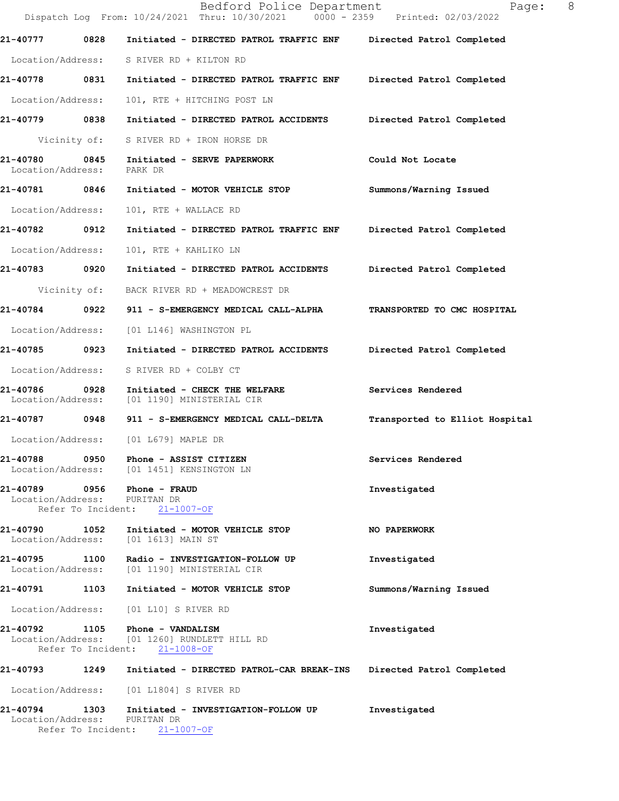|                               |              | Bedford Police Department<br>Dispatch Log From: 10/24/2021 Thru: 10/30/2021 0000 - 2359 Printed: 02/03/2022      | 8<br>Page:                     |
|-------------------------------|--------------|------------------------------------------------------------------------------------------------------------------|--------------------------------|
| 21-40777                      | 0828         | Initiated - DIRECTED PATROL TRAFFIC ENF                                                                          | Directed Patrol Completed      |
|                               |              | Location/Address: S RIVER RD + KILTON RD                                                                         |                                |
| 21-40778 0831                 |              | Initiated - DIRECTED PATROL TRAFFIC ENF Directed Patrol Completed                                                |                                |
| Location/Address:             |              | 101, RTE + HITCHING POST LN                                                                                      |                                |
| 21-40779 0838                 |              | Initiated - DIRECTED PATROL ACCIDENTS                                                                            | Directed Patrol Completed      |
|                               | Vicinity of: | S RIVER RD + IRON HORSE DR                                                                                       |                                |
| 21-40780<br>Location/Address: | 0845         | Initiated - SERVE PAPERWORK<br>PARK DR                                                                           | Could Not Locate               |
| 21-40781 0846                 |              | Initiated - MOTOR VEHICLE STOP                                                                                   | Summons/Warning Issued         |
| Location/Address:             |              | 101, RTE + WALLACE RD                                                                                            |                                |
| 21-40782                      | 0912         | Initiated - DIRECTED PATROL TRAFFIC ENF                                                                          | Directed Patrol Completed      |
| Location/Address:             |              | 101, RTE + KAHLIKO LN                                                                                            |                                |
| 21-40783                      | 0920         | Initiated - DIRECTED PATROL ACCIDENTS                                                                            | Directed Patrol Completed      |
|                               | Vicinity of: | BACK RIVER RD + MEADOWCREST DR                                                                                   |                                |
| 21-40784                      | 0922         | 911 - S-EMERGENCY MEDICAL CALL-ALPHA                                                                             | TRANSPORTED TO CMC HOSPITAL    |
| Location/Address:             |              | [01 L146] WASHINGTON PL                                                                                          |                                |
| 21-40785 0923                 |              | Initiated - DIRECTED PATROL ACCIDENTS                                                                            | Directed Patrol Completed      |
| Location/Address:             |              | S RIVER RD + COLBY CT                                                                                            |                                |
| 21-40786<br>Location/Address: | 0928         | Initiated - CHECK THE WELFARE<br>[01 1190] MINISTERIAL CIR                                                       | Services Rendered              |
| 21-40787 0948                 |              | 911 - S-EMERGENCY MEDICAL CALL-DELTA                                                                             | Transported to Elliot Hospital |
|                               |              | Location/Address: [01 L679] MAPLE DR                                                                             |                                |
| 21-40788                      |              | 0950 Phone - ASSIST CITIZEN<br>Location/Address: [01 1451] KENSINGTON LN                                         | Services Rendered              |
| Location/Address: PURITAN DR  |              | 21-40789 0956 Phone - FRAUD<br>Refer To Incident: 21-1007-OF                                                     | Investigated                   |
| 21-40790<br>Location/Address: | 1052         | Initiated - MOTOR VEHICLE STOP<br>[01 1613] MAIN ST                                                              | <b>NO PAPERWORK</b>            |
| 21-40795 1100                 |              | Radio - INVESTIGATION-FOLLOW UP<br>Location/Address: [01 1190] MINISTERIAL CIR                                   | Investigated                   |
| 21-40791                      | 1103         | Initiated - MOTOR VEHICLE STOP                                                                                   | Summons/Warning Issued         |
|                               |              | Location/Address: [01 L10] S RIVER RD                                                                            |                                |
|                               |              | 21-40792 1105 Phone - VANDALISM<br>Location/Address: [01 1260] RUNDLETT HILL RD<br>Refer To Incident: 21-1008-OF | Investigated                   |
| 21-40793 1249                 |              | Initiated - DIRECTED PATROL-CAR BREAK-INS                                                                        | Directed Patrol Completed      |
| Location/Address:             |              | [01 L1804] S RIVER RD                                                                                            |                                |
| 21-40794                      | 1303         | Initiated - INVESTIGATION-FOLLOW UP<br>Location/Address: PURITAN DR<br>Refer To Incident: 21-1007-OF             | Investigated                   |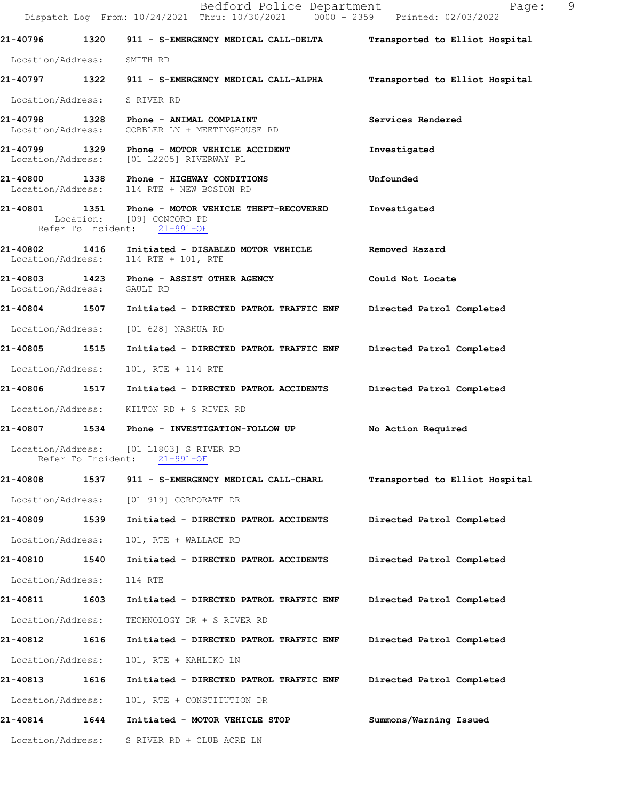|                              |                    | Bedford Police Department<br>Dispatch Log From: 10/24/2021 Thru: 10/30/2021 0000 - 2359 Printed: 02/03/2022      | - 9<br>Page:                   |
|------------------------------|--------------------|------------------------------------------------------------------------------------------------------------------|--------------------------------|
|                              |                    | 21-40796 1320 911 - S-EMERGENCY MEDICAL CALL-DELTA                                                               | Transported to Elliot Hospital |
| Location/Address: SMITH RD   |                    |                                                                                                                  |                                |
|                              |                    | 21-40797 1322 911 - S-EMERGENCY MEDICAL CALL-ALPHA Transported to Elliot Hospital                                |                                |
| Location/Address: S RIVER RD |                    |                                                                                                                  |                                |
|                              |                    | 21-40798 1328 Phone - ANIMAL COMPLAINT<br>Location/Address: COBBLER LN + MEETINGHOUSE RD                         | Services Rendered              |
|                              |                    | 21-40799 1329 Phone - MOTOR VEHICLE ACCIDENT<br>Location/Address: [01 L2205] RIVERWAY PL                         | Investigated                   |
|                              |                    | 21-40800 1338 Phone - HIGHWAY CONDITIONS<br>Location/Address: 114 RTE + NEW BOSTON RD                            | Unfounded                      |
|                              |                    | 21-40801 1351 Phone - MOTOR VEHICLE THEFT-RECOVERED<br>Location: [09] CONCORD PD<br>Refer To Incident: 21-991-OF | Investigated                   |
|                              |                    | 21-40802 1416 Initiated - DISABLED MOTOR VEHICLE Removed Hazard<br>Location/Address: 114 RTE + 101, RTE          |                                |
| Location/Address: GAULT RD   |                    | 21-40803 1423 Phone - ASSIST OTHER AGENCY                                                                        | Could Not Locate               |
|                              |                    | 21-40804 1507 Initiated - DIRECTED PATROL TRAFFIC ENF Directed Patrol Completed                                  |                                |
|                              |                    | Location/Address: [01 628] NASHUA RD                                                                             |                                |
| 21-40805 1515                |                    | Initiated - DIRECTED PATROL TRAFFIC ENF Directed Patrol Completed                                                |                                |
| Location/Address:            |                    | 101, RTE + 114 RTE                                                                                               |                                |
|                              |                    | 21-40806 1517 Initiated - DIRECTED PATROL ACCIDENTS Directed Patrol Completed                                    |                                |
|                              |                    | Location/Address: KILTON RD + S RIVER RD                                                                         |                                |
|                              |                    | 21-40807 1534 Phone - INVESTIGATION-FOLLOW UP                                                                    | No Action Required             |
|                              | Refer To Incident: | Location/Address: [01 L1803] S RIVER RD<br>$21 - 991 - OF$                                                       |                                |
| 21-40808                     | 1537               | 911 - S-EMERGENCY MEDICAL CALL-CHARL                                                                             | Transported to Elliot Hospital |
| Location/Address:            |                    | [01 919] CORPORATE DR                                                                                            |                                |
| 21-40809                     | 1539               | Initiated - DIRECTED PATROL ACCIDENTS                                                                            | Directed Patrol Completed      |
| Location/Address:            |                    | 101, RTE + WALLACE RD                                                                                            |                                |
| 21-40810 1540                |                    | Initiated - DIRECTED PATROL ACCIDENTS                                                                            | Directed Patrol Completed      |
| Location/Address:            |                    | 114 RTE                                                                                                          |                                |
| 21-40811                     | 1603               | Initiated - DIRECTED PATROL TRAFFIC ENF                                                                          | Directed Patrol Completed      |
| Location/Address:            |                    | TECHNOLOGY DR + S RIVER RD                                                                                       |                                |
| 21-40812                     | 1616               | Initiated - DIRECTED PATROL TRAFFIC ENF                                                                          | Directed Patrol Completed      |
| Location/Address:            |                    | 101, RTE + KAHLIKO LN                                                                                            |                                |
| 21-40813                     | 1616               | Initiated - DIRECTED PATROL TRAFFIC ENF                                                                          | Directed Patrol Completed      |
| Location/Address:            |                    | 101, RTE + CONSTITUTION DR                                                                                       |                                |
| 21-40814                     | 1644               | Initiated - MOTOR VEHICLE STOP                                                                                   | Summons/Warning Issued         |
| Location/Address:            |                    | S RIVER RD + CLUB ACRE LN                                                                                        |                                |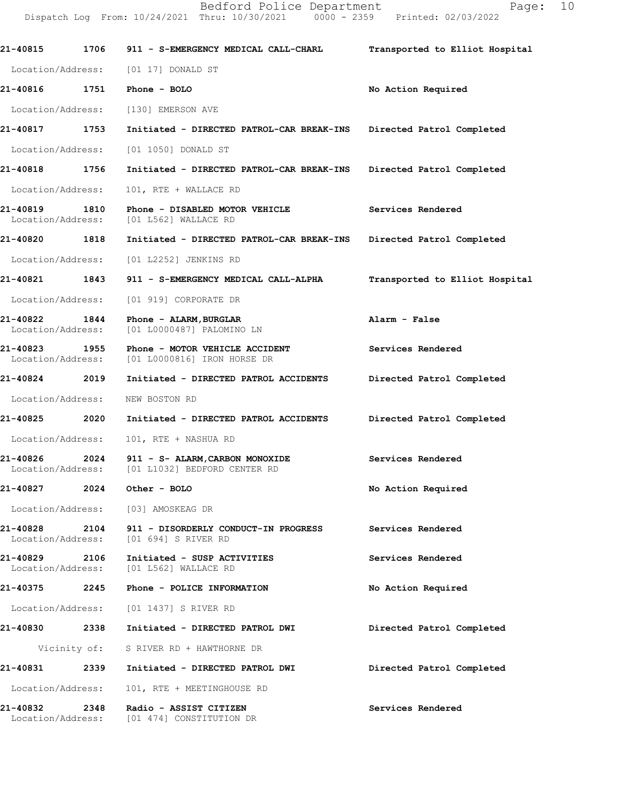**21-40815 1706 911 - S-EMERGENCY MEDICAL CALL-CHARL Transported to Elliot Hospital** Location/Address: [01 17] DONALD ST **21-40816 1751 Phone - BOLO No Action Required**  Location/Address: [130] EMERSON AVE **21-40817 1753 Initiated - DIRECTED PATROL-CAR BREAK-INS Directed Patrol Completed**  Location/Address: [01 1050] DONALD ST **21-40818 1756 Initiated - DIRECTED PATROL-CAR BREAK-INS Directed Patrol Completed**  Location/Address: 101, RTE + WALLACE RD **21-40819 1810 Phone - DISABLED MOTOR VEHICLE Services Rendered**  Location/Address: [01 L562] WALLACE RD **21-40820 1818 Initiated - DIRECTED PATROL-CAR BREAK-INS Directed Patrol Completed**  Location/Address: [01 L2252] JENKINS RD **21-40821 1843 911 - S-EMERGENCY MEDICAL CALL-ALPHA Transported to Elliot Hospital** Location/Address: [01 919] CORPORATE DR **21-40822 1844 Phone - ALARM,BURGLAR Alarm - False**  Location/Address: [01 L0000487] PALOMINO LN **21-40823 1955 Phone - MOTOR VEHICLE ACCIDENT Services Rendered**  Location/Address: [01 L0000816] IRON HORSE DR **21-40824 2019 Initiated - DIRECTED PATROL ACCIDENTS Directed Patrol Completed**  Location/Address: NEW BOSTON RD **21-40825 2020 Initiated - DIRECTED PATROL ACCIDENTS Directed Patrol Completed**  Location/Address: 101, RTE + NASHUA RD **21-40826 2024 911 - S- ALARM,CARBON MONOXIDE Services Rendered**  Location/Address: [01 L1032] BEDFORD CENTER RD **21-40827 2024 Other - BOLO No Action Required**  Location/Address: [03] AMOSKEAG DR **21-40828 2104 911 - DISORDERLY CONDUCT-IN PROGRESS Services Rendered**  Location/Address: [01 694] S RIVER RD **21-40829 2106 Initiated - SUSP ACTIVITIES Services Rendered**  Location/Address: [01 L562] WALLACE RD **21-40375 2245 Phone - POLICE INFORMATION No Action Required**  Location/Address: [01 1437] S RIVER RD **21-40830 2338 Initiated - DIRECTED PATROL DWI Directed Patrol Completed**  Vicinity of: S RIVER RD + HAWTHORNE DR **21-40831 2339 Initiated - DIRECTED PATROL DWI Directed Patrol Completed**  Location/Address: 101, RTE + MEETINGHOUSE RD **21-40832 2348 Radio - ASSIST CITIZEN Services Rendered**  Location/Address: [01 474] CONSTITUTION DR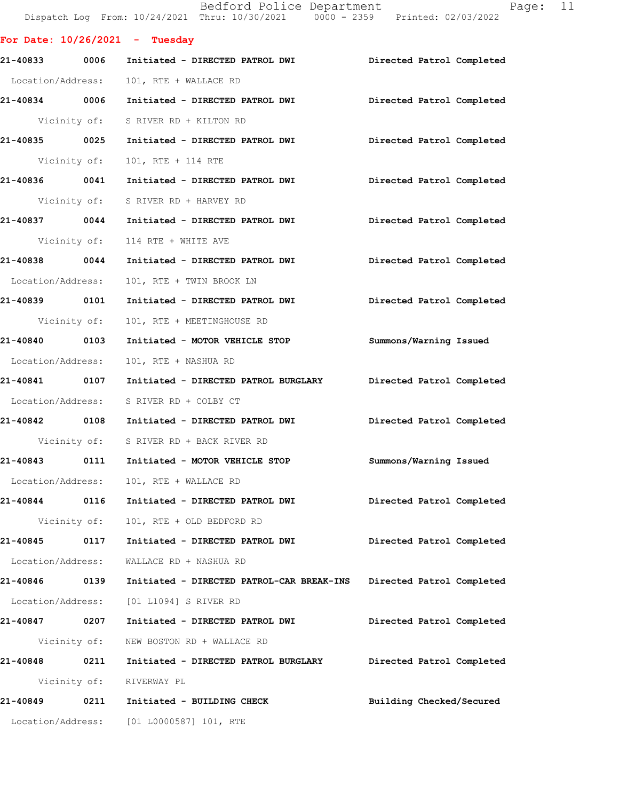Dispatch Log From: 10/24/2021 Thru: 10/30/2021 0000 - 2359 Printed: 02/03/2022 **For Date: 10/26/2021 - Tuesday 21-40833 0006 Initiated - DIRECTED PATROL DWI Directed Patrol Completed**  Location/Address: 101, RTE + WALLACE RD **21-40834 0006 Initiated - DIRECTED PATROL DWI Directed Patrol Completed**  Vicinity of: S RIVER RD + KILTON RD **21-40835 0025 Initiated - DIRECTED PATROL DWI Directed Patrol Completed**  Vicinity of: 101, RTE + 114 RTE **21-40836 0041 Initiated - DIRECTED PATROL DWI Directed Patrol Completed**  Vicinity of: S RIVER RD + HARVEY RD **21-40837 0044 Initiated - DIRECTED PATROL DWI Directed Patrol Completed**  Vicinity of: 114 RTE + WHITE AVE **21-40838 0044 Initiated - DIRECTED PATROL DWI Directed Patrol Completed**  Location/Address: 101, RTE + TWIN BROOK LN **21-40839 0101 Initiated - DIRECTED PATROL DWI Directed Patrol Completed**  Vicinity of: 101, RTE + MEETINGHOUSE RD **21-40840 0103 Initiated - MOTOR VEHICLE STOP Summons/Warning Issued**  Location/Address: 101, RTE + NASHUA RD **21-40841 0107 Initiated - DIRECTED PATROL BURGLARY Directed Patrol Completed**  Location/Address: S RIVER RD + COLBY CT **21-40842 0108 Initiated - DIRECTED PATROL DWI Directed Patrol Completed**  Vicinity of: S RIVER RD + BACK RIVER RD **21-40843 0111 Initiated - MOTOR VEHICLE STOP Summons/Warning Issued**  Location/Address: 101, RTE + WALLACE RD **21-40844 0116 Initiated - DIRECTED PATROL DWI Directed Patrol Completed**  Vicinity of: 101, RTE + OLD BEDFORD RD **21-40845 0117 Initiated - DIRECTED PATROL DWI Directed Patrol Completed**  Location/Address: WALLACE RD + NASHUA RD **21-40846 0139 Initiated - DIRECTED PATROL-CAR BREAK-INS Directed Patrol Completed**  Location/Address: [01 L1094] S RIVER RD **21-40847 0207 Initiated - DIRECTED PATROL DWI Directed Patrol Completed**  Vicinity of: NEW BOSTON RD + WALLACE RD **21-40848 0211 Initiated - DIRECTED PATROL BURGLARY Directed Patrol Completed**  Vicinity of: RIVERWAY PL **21-40849 0211 Initiated - BUILDING CHECK Building Checked/Secured**  Location/Address: [01 L0000587] 101, RTE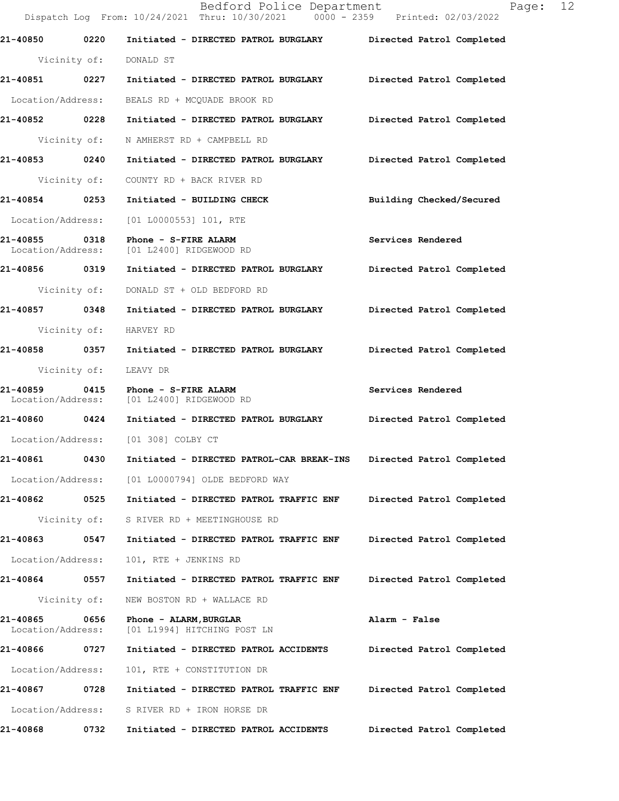Dispatch Log From: 10/24/2021 Thru: 10/30/2021 0000 - 2359 Printed: 02/03/2022 **21-40850 0220 Initiated - DIRECTED PATROL BURGLARY Directed Patrol Completed**  Vicinity of: DONALD ST **21-40851 0227 Initiated - DIRECTED PATROL BURGLARY Directed Patrol Completed**  Location/Address: BEALS RD + MCQUADE BROOK RD **21-40852 0228 Initiated - DIRECTED PATROL BURGLARY Directed Patrol Completed**  Vicinity of: N AMHERST RD + CAMPBELL RD **21-40853 0240 Initiated - DIRECTED PATROL BURGLARY Directed Patrol Completed**  Vicinity of: COUNTY RD + BACK RIVER RD **21-40854 0253 Initiated - BUILDING CHECK Building Checked/Secured**  Location/Address: [01 L0000553] 101, RTE **21-40855 0318 Phone - S-FIRE ALARM Services Rendered**  Location/Address: [01 L2400] RIDGEWOOD RD **21-40856 0319 Initiated - DIRECTED PATROL BURGLARY Directed Patrol Completed**  Vicinity of: DONALD ST + OLD BEDFORD RD **21-40857 0348 Initiated - DIRECTED PATROL BURGLARY Directed Patrol Completed**  Vicinity of: HARVEY RD **21-40858 0357 Initiated - DIRECTED PATROL BURGLARY Directed Patrol Completed**  Vicinity of: LEAVY DR **21-40859 0415 Phone - S-FIRE ALARM Services Rendered**  Location/Address: [01 L2400] RIDGEWOOD RD **21-40860 0424 Initiated - DIRECTED PATROL BURGLARY Directed Patrol Completed**  Location/Address: [01 308] COLBY CT **21-40861 0430 Initiated - DIRECTED PATROL-CAR BREAK-INS Directed Patrol Completed**  Location/Address: [01 L0000794] OLDE BEDFORD WAY **21-40862 0525 Initiated - DIRECTED PATROL TRAFFIC ENF Directed Patrol Completed**  Vicinity of: S RIVER RD + MEETINGHOUSE RD **21-40863 0547 Initiated - DIRECTED PATROL TRAFFIC ENF Directed Patrol Completed**  Location/Address: 101, RTE + JENKINS RD **21-40864 0557 Initiated - DIRECTED PATROL TRAFFIC ENF Directed Patrol Completed**  Vicinity of: NEW BOSTON RD + WALLACE RD **21-40865 0656 Phone - ALARM,BURGLAR Alarm - False**  Location/Address: [01 L1994] HITCHING POST LN **21-40866 0727 Initiated - DIRECTED PATROL ACCIDENTS Directed Patrol Completed**  Location/Address: 101, RTE + CONSTITUTION DR **21-40867 0728 Initiated - DIRECTED PATROL TRAFFIC ENF Directed Patrol Completed**  Location/Address: S RIVER RD + IRON HORSE DR **21-40868 0732 Initiated - DIRECTED PATROL ACCIDENTS Directed Patrol Completed**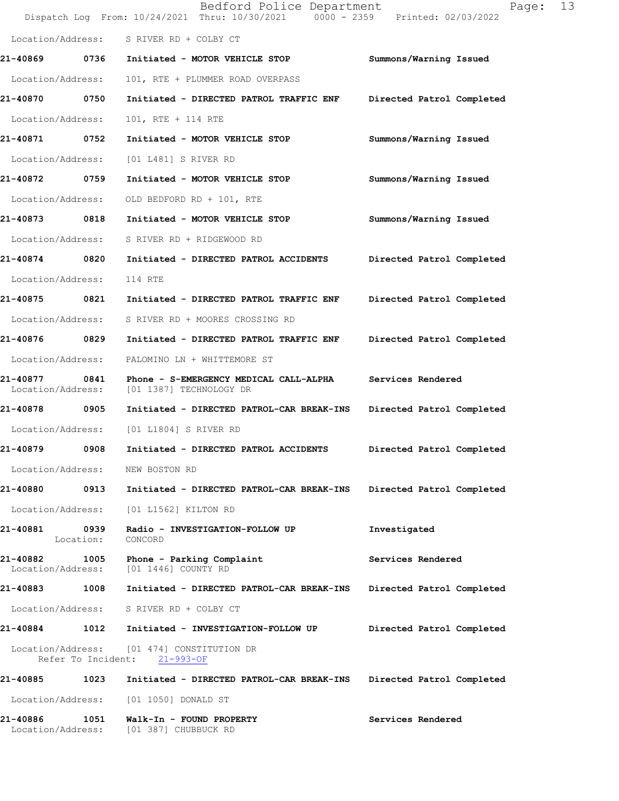|                               |                    | Bedford Police Department<br>Dispatch Log From: 10/24/2021 Thru: 10/30/2021 0000 - 2359 Printed: 02/03/2022 | 13<br>Page:               |  |
|-------------------------------|--------------------|-------------------------------------------------------------------------------------------------------------|---------------------------|--|
|                               |                    | Location/Address: S RIVER RD + COLBY CT                                                                     |                           |  |
| 21-40869 0736                 |                    | Initiated - MOTOR VEHICLE STOP                                                                              | Summons/Warning Issued    |  |
| Location/Address:             |                    | 101, RTE + PLUMMER ROAD OVERPASS                                                                            |                           |  |
| 21-40870                      | 0750               | Initiated - DIRECTED PATROL TRAFFIC ENF                                                                     | Directed Patrol Completed |  |
| Location/Address:             |                    | 101, RTE + 114 RTE                                                                                          |                           |  |
| 21-40871 0752                 |                    | Initiated - MOTOR VEHICLE STOP                                                                              | Summons/Warning Issued    |  |
| Location/Address:             |                    | [01 L481] S RIVER RD                                                                                        |                           |  |
| 21-40872 0759                 |                    | Initiated - MOTOR VEHICLE STOP                                                                              | Summons/Warning Issued    |  |
| Location/Address:             |                    | OLD BEDFORD RD + 101, RTE                                                                                   |                           |  |
| 21-40873                      | 0818               | Initiated - MOTOR VEHICLE STOP                                                                              | Summons/Warning Issued    |  |
| Location/Address:             |                    | S RIVER RD + RIDGEWOOD RD                                                                                   |                           |  |
| 21-40874 0820                 |                    | Initiated - DIRECTED PATROL ACCIDENTS                                                                       | Directed Patrol Completed |  |
| Location/Address:             |                    | 114 RTE                                                                                                     |                           |  |
| 21-40875 0821                 |                    | Initiated - DIRECTED PATROL TRAFFIC ENF                                                                     | Directed Patrol Completed |  |
| Location/Address:             |                    | S RIVER RD + MOORES CROSSING RD                                                                             |                           |  |
| 21-40876                      | 0829               | Initiated - DIRECTED PATROL TRAFFIC ENF                                                                     | Directed Patrol Completed |  |
| Location/Address:             |                    | PALOMINO LN + WHITTEMORE ST                                                                                 |                           |  |
| 21-40877<br>Location/Address: | 0841               | Phone - S-EMERGENCY MEDICAL CALL-ALPHA<br>[01 1387] TECHNOLOGY DR                                           | Services Rendered         |  |
| 21-40878 0905                 |                    | Initiated - DIRECTED PATROL-CAR BREAK-INS                                                                   | Directed Patrol Completed |  |
| Location/Address:             |                    | [01 L1804] S RIVER RD                                                                                       |                           |  |
| 21-40879                      | 0908               | Initiated - DIRECTED PATROL ACCIDENTS                                                                       | Directed Patrol Completed |  |
| Location/Address:             |                    | NEW BOSTON RD                                                                                               |                           |  |
| 21-40880                      | 0913               | Initiated - DIRECTED PATROL-CAR BREAK-INS                                                                   | Directed Patrol Completed |  |
| Location/Address:             |                    | [01 L1562] KILTON RD                                                                                        |                           |  |
| 21-40881                      | 0939<br>Location:  | Radio - INVESTIGATION-FOLLOW UP<br>CONCORD                                                                  | Investigated              |  |
| 21-40882<br>Location/Address: | 1005               | Phone - Parking Complaint<br>[01 1446] COUNTY RD                                                            | Services Rendered         |  |
| 21-40883                      | 1008               | Initiated - DIRECTED PATROL-CAR BREAK-INS                                                                   | Directed Patrol Completed |  |
| Location/Address:             |                    | S RIVER RD + COLBY CT                                                                                       |                           |  |
| 21-40884                      | 1012               | Initiated - INVESTIGATION-FOLLOW UP                                                                         | Directed Patrol Completed |  |
| Location/Address:             | Refer To Incident: | [01 474] CONSTITUTION DR<br>$21 - 993 - OF$                                                                 |                           |  |
| 21-40885                      | 1023               | Initiated - DIRECTED PATROL-CAR BREAK-INS                                                                   | Directed Patrol Completed |  |
| Location/Address:             |                    | [01 1050] DONALD ST                                                                                         |                           |  |
| 21-40886<br>Location/Address: | 1051               | Walk-In - FOUND PROPERTY<br>[01 387] CHUBBUCK RD                                                            | Services Rendered         |  |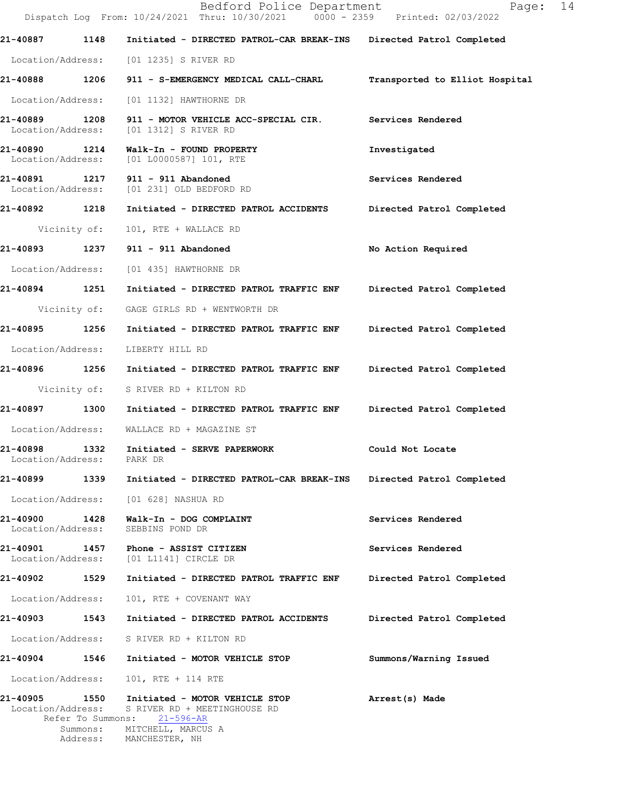|                               |                                                | Bedford Police Department<br>Dispatch Log From: 10/24/2021 Thru: 10/30/2021 0000 - 2359 Printed: 02/03/2022 | Page: 14                       |  |
|-------------------------------|------------------------------------------------|-------------------------------------------------------------------------------------------------------------|--------------------------------|--|
| 21-40887                      | 1148                                           | Initiated - DIRECTED PATROL-CAR BREAK-INS                                                                   | Directed Patrol Completed      |  |
|                               |                                                | Location/Address: [01 1235] S RIVER RD                                                                      |                                |  |
|                               | 21-40888 1206                                  | 911 - S-EMERGENCY MEDICAL CALL-CHARL                                                                        | Transported to Elliot Hospital |  |
|                               | Location/Address:                              | [01 1132] HAWTHORNE DR                                                                                      |                                |  |
| 21-40889                      | 1208                                           | 911 - MOTOR VEHICLE ACC-SPECIAL CIR.<br>Location/Address: [01 1312] S RIVER RD                              | Services Rendered              |  |
|                               | 21-40890 1214                                  | Walk-In - FOUND PROPERTY<br>Location/Address: [01 L0000587] 101, RTE                                        | Investigated                   |  |
| 21-40891                      |                                                | 1217 911 - 911 Abandoned<br>Location/Address: [01 231] OLD BEDFORD RD                                       | Services Rendered              |  |
|                               | 21-40892 1218                                  | Initiated - DIRECTED PATROL ACCIDENTS                                                                       | Directed Patrol Completed      |  |
|                               | Vicinity of:                                   | 101, RTE + WALLACE RD                                                                                       |                                |  |
|                               |                                                |                                                                                                             | No Action Required             |  |
|                               |                                                | Location/Address: [01 435] HAWTHORNE DR                                                                     |                                |  |
|                               | 21-40894 1251                                  | Initiated - DIRECTED PATROL TRAFFIC ENF                                                                     | Directed Patrol Completed      |  |
|                               | Vicinity of:                                   | GAGE GIRLS RD + WENTWORTH DR                                                                                |                                |  |
|                               | 21-40895 1256                                  | Initiated - DIRECTED PATROL TRAFFIC ENF                                                                     | Directed Patrol Completed      |  |
|                               | Location/Address:                              | LIBERTY HILL RD                                                                                             |                                |  |
|                               |                                                | 21-40896 1256 Initiated - DIRECTED PATROL TRAFFIC ENF                                                       | Directed Patrol Completed      |  |
|                               | Vicinity of:                                   | S RIVER RD + KILTON RD                                                                                      |                                |  |
|                               | 21-40897 1300                                  | Initiated - DIRECTED PATROL TRAFFIC ENF                                                                     | Directed Patrol Completed      |  |
|                               | Location/Address:                              | WALLACE RD + MAGAZINE ST                                                                                    |                                |  |
| 21-40898                      | 1332<br>Location/Address:                      | Initiated - SERVE PAPERWORK<br>PARK DR                                                                      | Could Not Locate               |  |
| 21-40899                      | 1339                                           | Initiated - DIRECTED PATROL-CAR BREAK-INS                                                                   | Directed Patrol Completed      |  |
|                               | Location/Address:                              | [01 628] NASHUA RD                                                                                          |                                |  |
| 21-40900                      | 1428<br>Location/Address:                      | Walk-In - DOG COMPLAINT<br>SEBBINS POND DR                                                                  | Services Rendered              |  |
| 21-40901<br>Location/Address: | 1457                                           | Phone - ASSIST CITIZEN<br>[01 L1141] CIRCLE DR                                                              | Services Rendered              |  |
| 21-40902                      | 1529                                           | Initiated - DIRECTED PATROL TRAFFIC ENF                                                                     | Directed Patrol Completed      |  |
|                               | Location/Address:                              | 101, RTE + COVENANT WAY                                                                                     |                                |  |
| 21-40903                      | 1543                                           | Initiated - DIRECTED PATROL ACCIDENTS                                                                       | Directed Patrol Completed      |  |
|                               | Location/Address:                              | S RIVER RD + KILTON RD                                                                                      |                                |  |
| 21-40904                      | 1546                                           | Initiated - MOTOR VEHICLE STOP                                                                              | Summons/Warning Issued         |  |
|                               | Location/Address:                              | 101, RTE + 114 RTE                                                                                          |                                |  |
| 21-40905                      | 1550<br>Location/Address:<br>Refer To Summons: | Initiated - MOTOR VEHICLE STOP<br>S RIVER RD + MEETINGHOUSE RD<br>21-596-AR                                 | Arrest(s) Made                 |  |
|                               | Summons:<br>Address:                           | MITCHELL, MARCUS A<br>MANCHESTER, NH                                                                        |                                |  |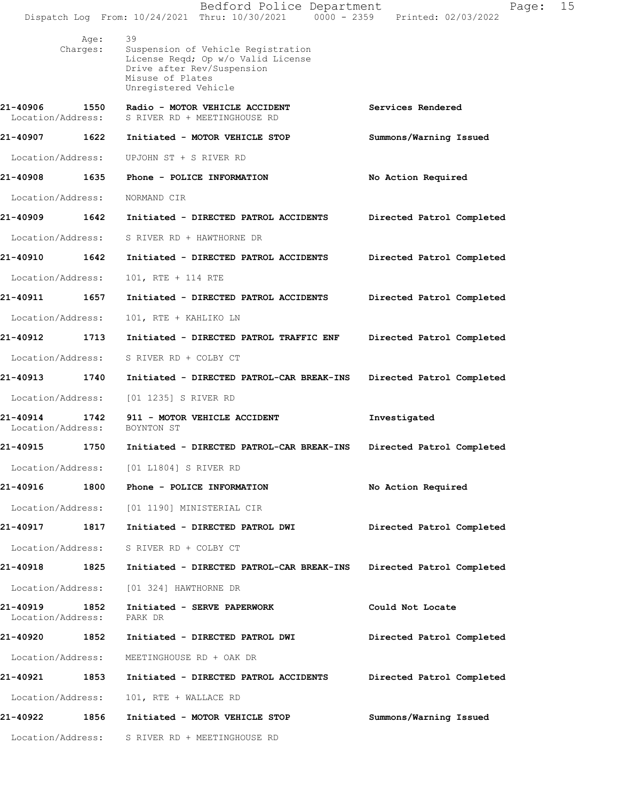|                               |                  | Bedford Police Department<br>Dispatch Log From: 10/24/2021 Thru: 10/30/2021 0000 - 2359                                                                  | Page:<br>Printed: 02/03/2022 | 15 |
|-------------------------------|------------------|----------------------------------------------------------------------------------------------------------------------------------------------------------|------------------------------|----|
|                               | Age:<br>Charges: | 39<br>Suspension of Vehicle Registration<br>License Reqd; Op w/o Valid License<br>Drive after Rev/Suspension<br>Misuse of Plates<br>Unregistered Vehicle |                              |    |
| 21-40906<br>Location/Address: | 1550             | Radio - MOTOR VEHICLE ACCIDENT<br>S RIVER RD + MEETINGHOUSE RD                                                                                           | Services Rendered            |    |
| 21-40907                      | 1622             | Initiated - MOTOR VEHICLE STOP                                                                                                                           | Summons/Warning Issued       |    |
| Location/Address:             |                  | UPJOHN ST + S RIVER RD                                                                                                                                   |                              |    |
| 21-40908                      | 1635             | Phone - POLICE INFORMATION                                                                                                                               | No Action Required           |    |
| Location/Address:             |                  | NORMAND CIR                                                                                                                                              |                              |    |
| 21-40909                      | 1642             | Initiated - DIRECTED PATROL ACCIDENTS                                                                                                                    | Directed Patrol Completed    |    |
| Location/Address:             |                  | S RIVER RD + HAWTHORNE DR                                                                                                                                |                              |    |
| 21-40910                      | 1642             | Initiated - DIRECTED PATROL ACCIDENTS                                                                                                                    | Directed Patrol Completed    |    |
| Location/Address:             |                  | 101, RTE + 114 RTE                                                                                                                                       |                              |    |
| 21-40911                      | 1657             | Initiated - DIRECTED PATROL ACCIDENTS                                                                                                                    | Directed Patrol Completed    |    |
| Location/Address:             |                  | 101, RTE + KAHLIKO LN                                                                                                                                    |                              |    |
| 21-40912                      | 1713             | Initiated - DIRECTED PATROL TRAFFIC ENF                                                                                                                  | Directed Patrol Completed    |    |
| Location/Address:             |                  | S RIVER RD + COLBY CT                                                                                                                                    |                              |    |
| 21-40913                      | 1740             | Initiated - DIRECTED PATROL-CAR BREAK-INS                                                                                                                | Directed Patrol Completed    |    |
| Location/Address:             |                  | [01 1235] S RIVER RD                                                                                                                                     |                              |    |
| 21-40914<br>Location/Address: | 1742             | 911 - MOTOR VEHICLE ACCIDENT<br>BOYNTON ST                                                                                                               | Investigated                 |    |
| 21-40915                      | 1750             | Initiated - DIRECTED PATROL-CAR BREAK-INS                                                                                                                | Directed Patrol Completed    |    |
|                               |                  | Location/Address: [01 L1804] S RIVER RD                                                                                                                  |                              |    |
|                               |                  | 21-40916 1800 Phone - POLICE INFORMATION                                                                                                                 | No Action Required           |    |
| Location/Address:             |                  | [01 1190] MINISTERIAL CIR                                                                                                                                |                              |    |
| 21-40917                      | 1817             | Initiated - DIRECTED PATROL DWI                                                                                                                          | Directed Patrol Completed    |    |
| Location/Address:             |                  | S RIVER RD + COLBY CT                                                                                                                                    |                              |    |
| 21-40918                      | 1825             | Initiated - DIRECTED PATROL-CAR BREAK-INS                                                                                                                | Directed Patrol Completed    |    |
| Location/Address:             |                  | [01 324] HAWTHORNE DR                                                                                                                                    |                              |    |
| 21-40919<br>Location/Address: | 1852             | Initiated - SERVE PAPERWORK<br>PARK DR                                                                                                                   | Could Not Locate             |    |
| 21-40920                      | 1852             | Initiated - DIRECTED PATROL DWI                                                                                                                          | Directed Patrol Completed    |    |
| Location/Address:             |                  | MEETINGHOUSE RD + OAK DR                                                                                                                                 |                              |    |
| 21-40921                      | 1853             | Initiated - DIRECTED PATROL ACCIDENTS                                                                                                                    | Directed Patrol Completed    |    |
| Location/Address:             |                  | 101, RTE + WALLACE RD                                                                                                                                    |                              |    |
| 21-40922 1856                 |                  | Initiated - MOTOR VEHICLE STOP                                                                                                                           | Summons/Warning Issued       |    |
| Location/Address:             |                  | S RIVER RD + MEETINGHOUSE RD                                                                                                                             |                              |    |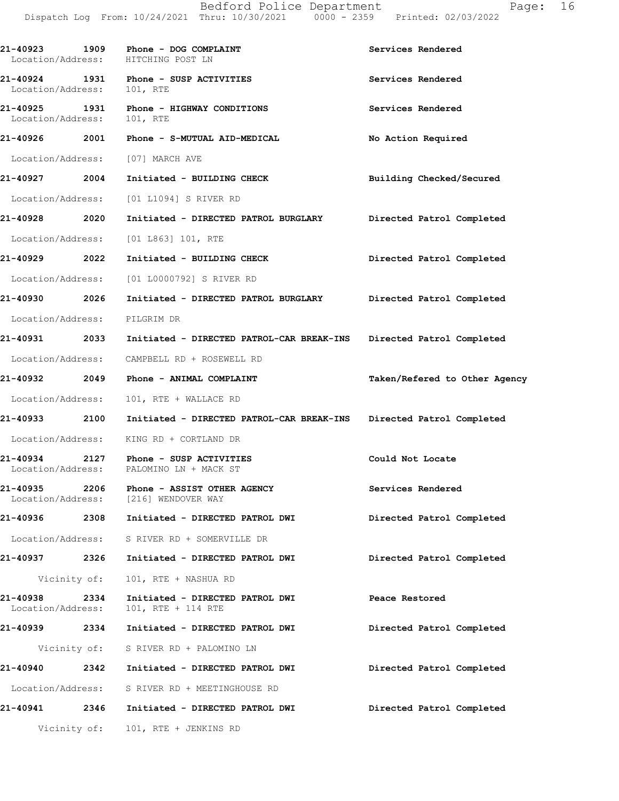**21-40923 1909 Phone - DOG COMPLAINT Services Rendered**  Location/Address: HITCHING POST LN **21-40924 1931 Phone - SUSP ACTIVITIES Services Rendered**  Location/Address: 101, RTE **21-40925 1931 Phone - HIGHWAY CONDITIONS Services Rendered**  Location/Address: 101, RTE **21-40926 2001 Phone - S-MUTUAL AID-MEDICAL No Action Required**  Location/Address: [07] MARCH AVE **21-40927 2004 Initiated - BUILDING CHECK Building Checked/Secured**  Location/Address: [01 L1094] S RIVER RD **21-40928 2020 Initiated - DIRECTED PATROL BURGLARY Directed Patrol Completed**  Location/Address: [01 L863] 101, RTE **21-40929 2022 Initiated - BUILDING CHECK Directed Patrol Completed**  Location/Address: [01 L0000792] S RIVER RD **21-40930 2026 Initiated - DIRECTED PATROL BURGLARY Directed Patrol Completed**  Location/Address: PILGRIM DR **21-40931 2033 Initiated - DIRECTED PATROL-CAR BREAK-INS Directed Patrol Completed**  Location/Address: CAMPBELL RD + ROSEWELL RD **21-40932 2049 Phone - ANIMAL COMPLAINT Taken/Refered to Other Agency** Location/Address: 101, RTE + WALLACE RD **21-40933 2100 Initiated - DIRECTED PATROL-CAR BREAK-INS Directed Patrol Completed**  Location/Address: KING RD + CORTLAND DR **21-40934 2127 Phone - SUSP ACTIVITIES Could Not Locate**  Location/Address: PALOMINO LN + MACK ST **21-40935 2206 Phone - ASSIST OTHER AGENCY Services Rendered**  Location/Address: [216] WENDOVER WAY **21-40936 2308 Initiated - DIRECTED PATROL DWI Directed Patrol Completed**  Location/Address: S RIVER RD + SOMERVILLE DR **21-40937 2326 Initiated - DIRECTED PATROL DWI Directed Patrol Completed**  Vicinity of: 101, RTE + NASHUA RD **21-40938 2334 Initiated - DIRECTED PATROL DWI Peace Restored**  Location/Address: 101, RTE + 114 RTE **21-40939 2334 Initiated - DIRECTED PATROL DWI Directed Patrol Completed**  Vicinity of: S RIVER RD + PALOMINO LN **21-40940 2342 Initiated - DIRECTED PATROL DWI Directed Patrol Completed**  Location/Address: S RIVER RD + MEETINGHOUSE RD **21-40941 2346 Initiated - DIRECTED PATROL DWI Directed Patrol Completed**  Vicinity of: 101, RTE + JENKINS RD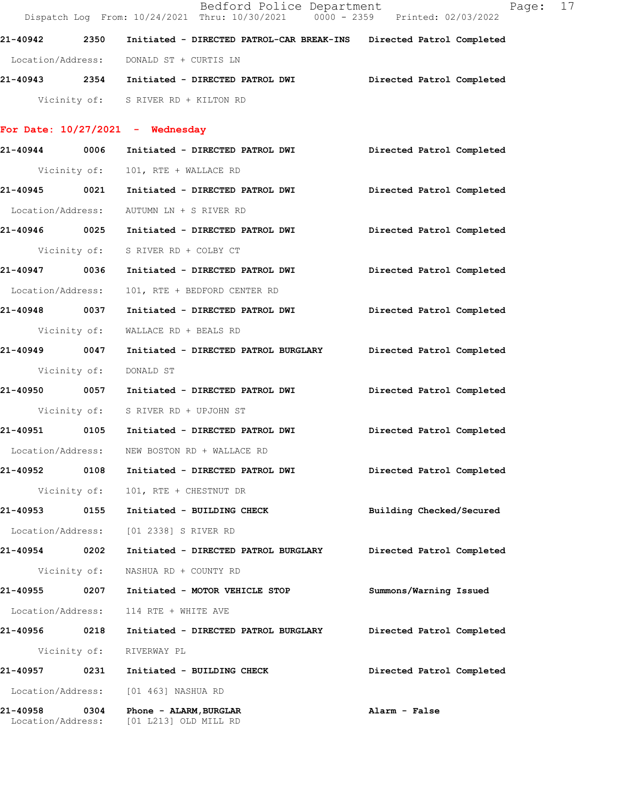|                               |              | Bedford Police Department<br>Dispatch Log From: 10/24/2021 Thru: 10/30/2021 0000 - 2359 Printed: 02/03/2022 | Page: 17                  |
|-------------------------------|--------------|-------------------------------------------------------------------------------------------------------------|---------------------------|
|                               |              | 21-40942 2350 Initiated - DIRECTED PATROL-CAR BREAK-INS Directed Patrol Completed                           |                           |
|                               |              | Location/Address: DONALD ST + CURTIS LN                                                                     |                           |
|                               |              | 21-40943 2354 Initiated - DIRECTED PATROL DWI         Directed Patrol Completed                             |                           |
|                               |              | Vicinity of: S RIVER RD + KILTON RD                                                                         |                           |
|                               |              | For Date: $10/27/2021$ - Wednesday                                                                          |                           |
|                               |              | 21-40944 0006 Initiated - DIRECTED PATROL DWI                                                               | Directed Patrol Completed |
|                               |              | Vicinity of: 101, RTE + WALLACE RD                                                                          |                           |
|                               |              | 21-40945     0021  Initiated - DIRECTED PATROL DWI        Directed Patrol Completed                         |                           |
|                               |              | Location/Address: AUTUMN LN + S RIVER RD                                                                    |                           |
|                               |              | 21-40946 0025 Initiated - DIRECTED PATROL DWI                                                               | Directed Patrol Completed |
|                               |              | Vicinity of: S RIVER RD + COLBY CT                                                                          |                           |
| 21-40947 0036                 |              | Initiated - DIRECTED PATROL DWI                                                                             | Directed Patrol Completed |
| Location/Address:             |              | 101, RTE + BEDFORD CENTER RD                                                                                |                           |
| 21-40948 0037                 |              | Initiated - DIRECTED PATROL DWI                                                                             | Directed Patrol Completed |
| Vicinity of:                  |              | WALLACE RD + BEALS RD                                                                                       |                           |
| 21-40949 0047                 |              | Initiated - DIRECTED PATROL BURGLARY Directed Patrol Completed                                              |                           |
| Vicinity of:                  |              | DONALD ST                                                                                                   |                           |
|                               |              | 21-40950 0057 Initiated - DIRECTED PATROL DWI                                                               | Directed Patrol Completed |
|                               |              | Vicinity of: S RIVER RD + UPJOHN ST                                                                         |                           |
|                               |              |                                                                                                             | Directed Patrol Completed |
| Location/Address:             |              | NEW BOSTON RD + WALLACE RD                                                                                  |                           |
| 21-40952                      | 0108         | Initiated - DIRECTED PATROL DWI                                                                             | Directed Patrol Completed |
|                               | Vicinity of: | 101, RTE + CHESTNUT DR                                                                                      |                           |
| 21-40953                      | 0155         | Initiated - BUILDING CHECK                                                                                  | Building Checked/Secured  |
| Location/Address:             |              | [01 2338] S RIVER RD                                                                                        |                           |
| 21-40954 0202                 |              | Initiated - DIRECTED PATROL BURGLARY                                                                        | Directed Patrol Completed |
|                               | Vicinity of: | NASHUA RD + COUNTY RD                                                                                       |                           |
| 21-40955                      | 0207         | Initiated - MOTOR VEHICLE STOP                                                                              | Summons/Warning Issued    |
| Location/Address:             |              | 114 RTE + WHITE AVE                                                                                         |                           |
| 21-40956 0218                 |              | Initiated - DIRECTED PATROL BURGLARY                                                                        | Directed Patrol Completed |
|                               | Vicinity of: | RIVERWAY PL                                                                                                 |                           |
| 21-40957                      | 0231         | Initiated - BUILDING CHECK                                                                                  | Directed Patrol Completed |
| Location/Address:             |              | [01 463] NASHUA RD                                                                                          |                           |
| 21-40958<br>Location/Address: | 0304         | Phone - ALARM, BURGLAR<br>[01 L213] OLD MILL RD                                                             | Alarm - False             |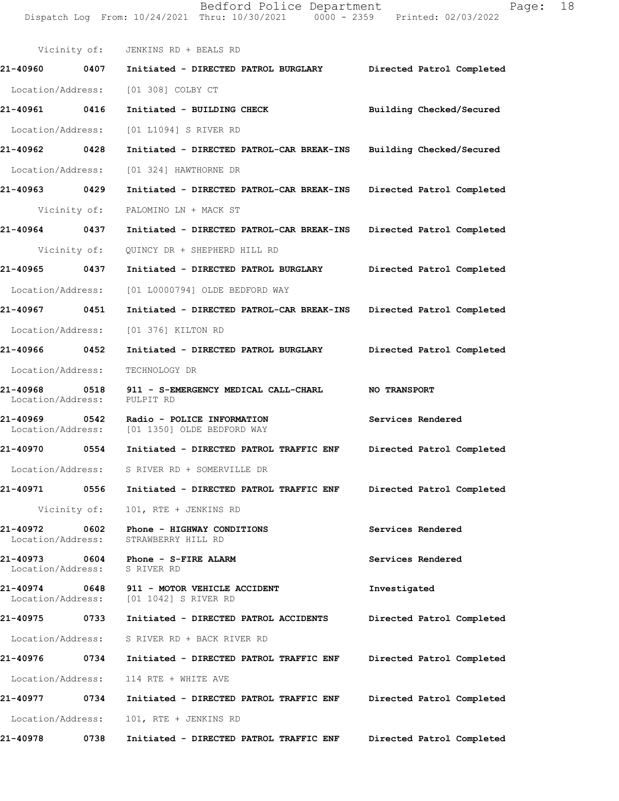Bedford Police Department Page: 18 Dispatch Log From: 10/24/2021 Thru: 10/30/2021 0000 - 2359 Printed: 02/03/2022 Vicinity of: JENKINS RD + BEALS RD **21-40960 0407 Initiated - DIRECTED PATROL BURGLARY Directed Patrol Completed**  Location/Address: [01 308] COLBY CT **21-40961 0416 Initiated - BUILDING CHECK Building Checked/Secured**  Location/Address: [01 L1094] S RIVER RD **21-40962 0428 Initiated - DIRECTED PATROL-CAR BREAK-INS Building Checked/Secured**  Location/Address: [01 324] HAWTHORNE DR **21-40963 0429 Initiated - DIRECTED PATROL-CAR BREAK-INS Directed Patrol Completed**  Vicinity of: PALOMINO LN + MACK ST **21-40964 0437 Initiated - DIRECTED PATROL-CAR BREAK-INS Directed Patrol Completed**  Vicinity of: QUINCY DR + SHEPHERD HILL RD **21-40965 0437 Initiated - DIRECTED PATROL BURGLARY Directed Patrol Completed**  Location/Address: [01 L0000794] OLDE BEDFORD WAY **21-40967 0451 Initiated - DIRECTED PATROL-CAR BREAK-INS Directed Patrol Completed**  Location/Address: [01 376] KILTON RD **21-40966 0452 Initiated - DIRECTED PATROL BURGLARY Directed Patrol Completed**  Location/Address: TECHNOLOGY DR **21-40968 0518 911 - S-EMERGENCY MEDICAL CALL-CHARL NO TRANSPORT**  Location/Address: PULPIT RD **21-40969 0542 Radio - POLICE INFORMATION Services Rendered**  Location/Address: [01 1350] OLDE BEDFORD WAY **21-40970 0554 Initiated - DIRECTED PATROL TRAFFIC ENF Directed Patrol Completed**  Location/Address: S RIVER RD + SOMERVILLE DR **21-40971 0556 Initiated - DIRECTED PATROL TRAFFIC ENF Directed Patrol Completed**  Vicinity of: 101, RTE + JENKINS RD **21-40972 0602 Phone - HIGHWAY CONDITIONS Services Rendered** 

Location/Address: STRAWBERRY HILL RD

**21-40973 0604 Phone - S-FIRE ALARM Services Rendered**  Location/Address: S RIVER RD

**21-40974 0648 911 - MOTOR VEHICLE ACCIDENT 1nvestigated** Location/Address: [01 1042] S RIVER RD [01 1042] S RIVER RD

**21-40975 0733 Initiated - DIRECTED PATROL ACCIDENTS Directed Patrol Completed**  Location/Address: S RIVER RD + BACK RIVER RD **21-40976 0734 Initiated - DIRECTED PATROL TRAFFIC ENF Directed Patrol Completed** 

 Location/Address: 114 RTE + WHITE AVE **21-40977 0734 Initiated - DIRECTED PATROL TRAFFIC ENF Directed Patrol Completed**  Location/Address: 101, RTE + JENKINS RD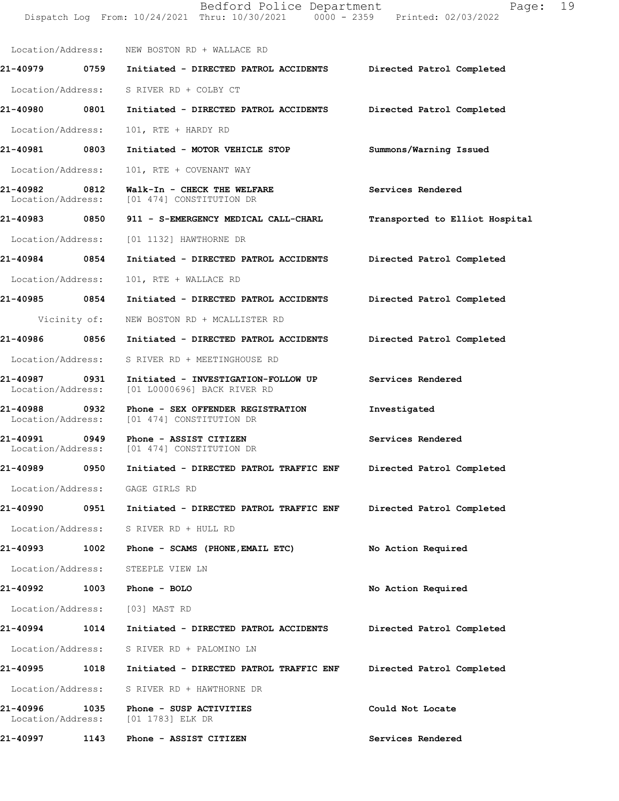Dispatch Log From: 10/24/2021 Thru: 10/30/2021 0000 - 2359 Printed: 02/03/2022 Location/Address: NEW BOSTON RD + WALLACE RD **21-40979 0759 Initiated - DIRECTED PATROL ACCIDENTS Directed Patrol Completed**  Location/Address: S RIVER RD + COLBY CT **21-40980 0801 Initiated - DIRECTED PATROL ACCIDENTS Directed Patrol Completed**  Location/Address: 101, RTE + HARDY RD **21-40981 0803 Initiated - MOTOR VEHICLE STOP Summons/Warning Issued**  Location/Address: 101, RTE + COVENANT WAY **21-40982 0812 Walk-In - CHECK THE WELFARE Services Rendered**  Location/Address: [01 474] CONSTITUTION DR **21-40983 0850 911 - S-EMERGENCY MEDICAL CALL-CHARL Transported to Elliot Hospital** Location/Address: [01 1132] HAWTHORNE DR **21-40984 0854 Initiated - DIRECTED PATROL ACCIDENTS Directed Patrol Completed**  Location/Address: 101, RTE + WALLACE RD **21-40985 0854 Initiated - DIRECTED PATROL ACCIDENTS Directed Patrol Completed**  Vicinity of: NEW BOSTON RD + MCALLISTER RD **21-40986 0856 Initiated - DIRECTED PATROL ACCIDENTS Directed Patrol Completed**  Location/Address: S RIVER RD + MEETINGHOUSE RD **21-40987 0931 Initiated - INVESTIGATION-FOLLOW UP Services Rendered**  Location/Address: [01 L0000696] BACK RIVER RD **21-40988 0932 Phone - SEX OFFENDER REGISTRATION Investigated**  [01 474] CONSTITUTION DR 21-40991 0949 Phone - ASSIST CITIZEN Services Rendered Location/Address: [01 474] CONSTITUTION DR [01 474] CONSTITUTION DR **21-40989 0950 Initiated - DIRECTED PATROL TRAFFIC ENF Directed Patrol Completed**  Location/Address: GAGE GIRLS RD **21-40990 0951 Initiated - DIRECTED PATROL TRAFFIC ENF Directed Patrol Completed**  Location/Address: S RIVER RD + HULL RD **21-40993 1002 Phone - SCAMS (PHONE,EMAIL ETC) No Action Required**  Location/Address: STEEPLE VIEW LN **21-40992 1003 Phone - BOLO No Action Required**  Location/Address: [03] MAST RD **21-40994 1014 Initiated - DIRECTED PATROL ACCIDENTS Directed Patrol Completed**  Location/Address: S RIVER RD + PALOMINO LN **21-40995 1018 Initiated - DIRECTED PATROL TRAFFIC ENF Directed Patrol Completed**  Location/Address: S RIVER RD + HAWTHORNE DR **21-40996 1035 Phone - SUSP ACTIVITIES Could Not Locate**  Location/Address: [01 1783] ELK DR **21-40997 1143 Phone - ASSIST CITIZEN Services Rendered**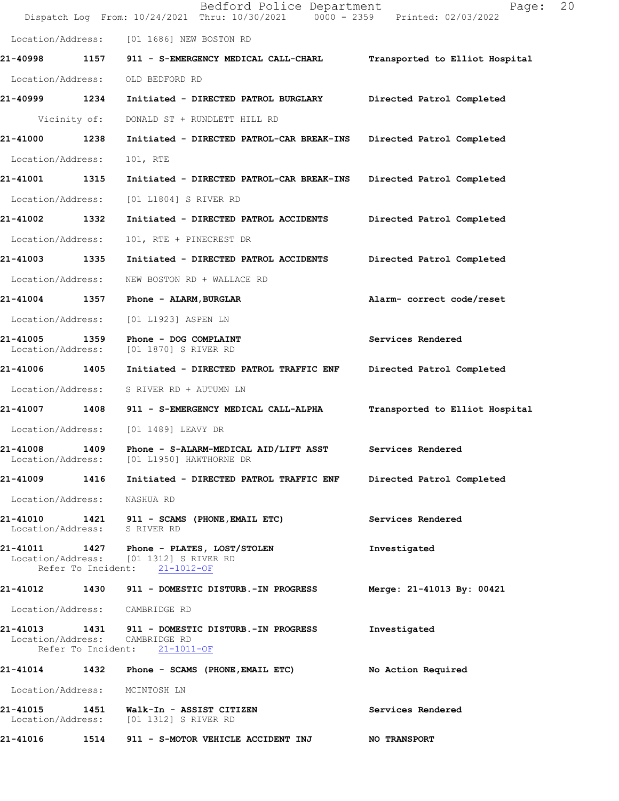|                               |              | Bedford Police Department<br>Dispatch Log From: 10/24/2021 Thru: 10/30/2021 0000 - 2359 Printed: 02/03/2022          | Page:                          | 20 |
|-------------------------------|--------------|----------------------------------------------------------------------------------------------------------------------|--------------------------------|----|
| Location/Address:             |              | [01 1686] NEW BOSTON RD                                                                                              |                                |    |
| 21-40998                      | 1157         | 911 - S-EMERGENCY MEDICAL CALL-CHARL                                                                                 | Transported to Elliot Hospital |    |
| Location/Address:             |              | OLD BEDFORD RD                                                                                                       |                                |    |
| 21-40999                      | 1234         | Initiated - DIRECTED PATROL BURGLARY                                                                                 | Directed Patrol Completed      |    |
|                               | Vicinity of: | DONALD ST + RUNDLETT HILL RD                                                                                         |                                |    |
| 21-41000                      | 1238         | Initiated - DIRECTED PATROL-CAR BREAK-INS                                                                            | Directed Patrol Completed      |    |
| Location/Address:             |              | 101, RTE                                                                                                             |                                |    |
| 21-41001                      | 1315         | Initiated - DIRECTED PATROL-CAR BREAK-INS                                                                            | Directed Patrol Completed      |    |
| Location/Address:             |              | [01 L1804] S RIVER RD                                                                                                |                                |    |
| 21-41002                      | 1332         | Initiated - DIRECTED PATROL ACCIDENTS                                                                                | Directed Patrol Completed      |    |
| Location/Address:             |              | 101, RTE + PINECREST DR                                                                                              |                                |    |
| 21-41003                      | 1335         | Initiated - DIRECTED PATROL ACCIDENTS                                                                                | Directed Patrol Completed      |    |
| Location/Address:             |              | NEW BOSTON RD + WALLACE RD                                                                                           |                                |    |
| 21-41004 1357                 |              | Phone - ALARM, BURGLAR                                                                                               | Alarm- correct code/reset      |    |
| Location/Address:             |              | [01 L1923] ASPEN LN                                                                                                  |                                |    |
| 21-41005<br>Location/Address: | 1359         | Phone - DOG COMPLAINT<br>[01 1870] S RIVER RD                                                                        | Services Rendered              |    |
| 21-41006 1405                 |              | Initiated - DIRECTED PATROL TRAFFIC ENF                                                                              | Directed Patrol Completed      |    |
| Location/Address:             |              | S RIVER RD + AUTUMN LN                                                                                               |                                |    |
| 21-41007 1408                 |              | 911 - S-EMERGENCY MEDICAL CALL-ALPHA                                                                                 | Transported to Elliot Hospital |    |
| Location/Address:             |              | [01 1489] LEAVY DR                                                                                                   |                                |    |
| 21-41008                      | 1409         | Phone - S-ALARM-MEDICAL AID/LIFT ASST<br>Location/Address: [01 L1950] HAWTHORNE DR                                   | Services Rendered              |    |
|                               |              | 21-41009 1416 Initiated - DIRECTED PATROL TRAFFIC ENF Directed Patrol Completed                                      |                                |    |
| Location/Address: NASHUA RD   |              |                                                                                                                      |                                |    |
| Location/Address: S RIVER RD  |              | 21-41010 1421 911 - SCAMS (PHONE, EMAIL ETC)                                                                         | Services Rendered              |    |
|                               |              | 21-41011 1427 Phone - PLATES, LOST/STOLEN<br>Location/Address: [01 1312] S RIVER RD<br>Refer To Incident: 21-1012-OF | Investigated                   |    |
|                               |              | 21-41012 1430 911 - DOMESTIC DISTURB.-IN PROGRESS Merge: 21-41013 By: 00421                                          |                                |    |
|                               |              | Location/Address: CAMBRIDGE RD                                                                                       |                                |    |
|                               |              | 21-41013 1431 911 - DOMESTIC DISTURB.-IN PROGRESS<br>Location/Address: CAMBRIDGE RD<br>Refer To Incident: 21-1011-OF | Investigated                   |    |
|                               |              | 21-41014 1432 Phone - SCAMS (PHONE, EMAIL ETC) No Action Required                                                    |                                |    |
| Location/Address: MCINTOSH LN |              |                                                                                                                      |                                |    |
|                               |              | 21-41015 1451 Walk-In - ASSIST CITIZEN<br>Location/Address: [01 1312] S RIVER RD                                     | Services Rendered              |    |
|                               |              | 21-41016 1514 911 - S-MOTOR VEHICLE ACCIDENT INJ                                                                     | <b>NO TRANSPORT</b>            |    |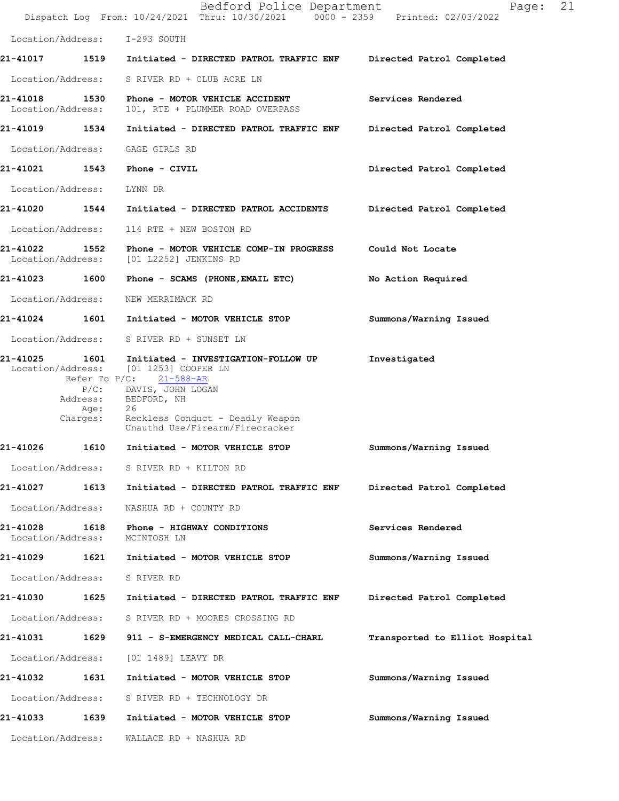|                                    |                              | Bedford Police Department<br>Dispatch Log From: 10/24/2021 Thru: 10/30/2021 0000 - 2359 Printed: 02/03/2022                                                                                                                           | 21<br>Page:                    |
|------------------------------------|------------------------------|---------------------------------------------------------------------------------------------------------------------------------------------------------------------------------------------------------------------------------------|--------------------------------|
|                                    |                              | Location/Address: I-293 SOUTH                                                                                                                                                                                                         |                                |
|                                    |                              | 21-41017 1519 Initiated - DIRECTED PATROL TRAFFIC ENF                                                                                                                                                                                 | Directed Patrol Completed      |
| Location/Address:                  |                              | S RIVER RD + CLUB ACRE LN                                                                                                                                                                                                             |                                |
| 21-41018 1530<br>Location/Address: |                              | Phone - MOTOR VEHICLE ACCIDENT<br>101, RTE + PLUMMER ROAD OVERPASS                                                                                                                                                                    | Services Rendered              |
| 21-41019 1534                      |                              | Initiated - DIRECTED PATROL TRAFFIC ENF                                                                                                                                                                                               | Directed Patrol Completed      |
| Location/Address:                  |                              | GAGE GIRLS RD                                                                                                                                                                                                                         |                                |
|                                    |                              |                                                                                                                                                                                                                                       | Directed Patrol Completed      |
| Location/Address:                  |                              | LYNN DR                                                                                                                                                                                                                               |                                |
| 21-41020 1544                      |                              | Initiated - DIRECTED PATROL ACCIDENTS                                                                                                                                                                                                 | Directed Patrol Completed      |
| Location/Address:                  |                              | 114 RTE + NEW BOSTON RD                                                                                                                                                                                                               |                                |
| Location/Address:                  |                              | 21-41022     1552   Phone - MOTOR VEHICLE COMP-IN PROGRESS     Could Not Locate<br>[01 L2252] JENKINS RD                                                                                                                              |                                |
| 21-41023 1600                      |                              | Phone - SCAMS (PHONE,EMAIL ETC)                                                                                                                                                                                                       | No Action Required             |
| Location/Address:                  |                              | NEW MERRIMACK RD                                                                                                                                                                                                                      |                                |
|                                    |                              | 21-41024 1601 Initiated - MOTOR VEHICLE STOP                                                                                                                                                                                          | Summons/Warning Issued         |
|                                    |                              | Location/Address: S RIVER RD + SUNSET LN                                                                                                                                                                                              |                                |
| 21-41025                           | Address:<br>Age:<br>Charges: | 1601 Initiated - INVESTIGATION-FOLLOW UP<br>Location/Address: [01 1253] COOPER LN<br>Refer To $P/C$ : 21-588-AR<br>P/C: DAVIS, JOHN LOGAN<br>BEDFORD, NH<br>26<br>Reckless Conduct - Deadly Weapon<br>Unauthd Use/Firearm/Firecracker | Investigated                   |
| 21-41026                           | 1610                         | Initiated - MOTOR VEHICLE STOP                                                                                                                                                                                                        | Summons/Warning Issued         |
|                                    |                              | Location/Address: S RIVER RD + KILTON RD                                                                                                                                                                                              |                                |
| <b>21-41027</b>                    | 1613                         | Initiated - DIRECTED PATROL TRAFFIC ENF                                                                                                                                                                                               | Directed Patrol Completed      |
| Location/Address:                  |                              | NASHUA RD + COUNTY RD                                                                                                                                                                                                                 |                                |
| 21-41028<br>Location/Address:      | 1618                         | Phone - HIGHWAY CONDITIONS<br>MCINTOSH LN                                                                                                                                                                                             | Services Rendered              |
| 21-41029 1621                      |                              | Initiated - MOTOR VEHICLE STOP                                                                                                                                                                                                        | Summons/Warning Issued         |
| Location/Address:                  |                              | S RIVER RD                                                                                                                                                                                                                            |                                |
| 21-41030                           | 1625                         | Initiated - DIRECTED PATROL TRAFFIC ENF                                                                                                                                                                                               | Directed Patrol Completed      |
| Location/Address:                  |                              | S RIVER RD + MOORES CROSSING RD                                                                                                                                                                                                       |                                |
| 21-41031                           | 1629                         | 911 - S-EMERGENCY MEDICAL CALL-CHARL                                                                                                                                                                                                  | Transported to Elliot Hospital |
| Location/Address:                  |                              | [01 1489] LEAVY DR                                                                                                                                                                                                                    |                                |
| 21-41032                           | 1631                         | Initiated - MOTOR VEHICLE STOP                                                                                                                                                                                                        | Summons/Warning Issued         |
| Location/Address:                  |                              | S RIVER RD + TECHNOLOGY DR                                                                                                                                                                                                            |                                |
| 21-41033 1639                      |                              | Initiated - MOTOR VEHICLE STOP                                                                                                                                                                                                        | Summons/Warning Issued         |
| Location/Address:                  |                              | WALLACE RD + NASHUA RD                                                                                                                                                                                                                |                                |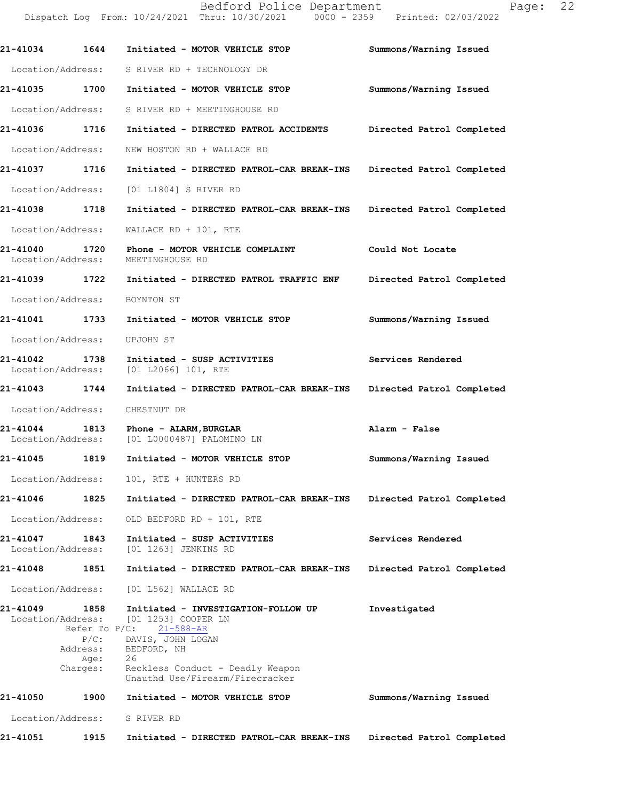|                                    |                                                                      | Dispatch Log From: 10/24/2021 Thru: 10/30/2021 0000 - 2359 Printed: 02/03/2022                                                                                                                         |                           |
|------------------------------------|----------------------------------------------------------------------|--------------------------------------------------------------------------------------------------------------------------------------------------------------------------------------------------------|---------------------------|
| 21-41034 1644                      |                                                                      | Initiated - MOTOR VEHICLE STOP                                                                                                                                                                         | Summons/Warning Issued    |
| Location/Address:                  |                                                                      | S RIVER RD + TECHNOLOGY DR                                                                                                                                                                             |                           |
|                                    |                                                                      | 21-41035 1700 Initiated - MOTOR VEHICLE STOP                                                                                                                                                           | Summons/Warning Issued    |
| Location/Address:                  |                                                                      | S RIVER RD + MEETINGHOUSE RD                                                                                                                                                                           |                           |
| 21-41036 1716                      |                                                                      | Initiated - DIRECTED PATROL ACCIDENTS Directed Patrol Completed                                                                                                                                        |                           |
| Location/Address:                  |                                                                      | NEW BOSTON RD + WALLACE RD                                                                                                                                                                             |                           |
| 21-41037 1716                      |                                                                      | Initiated - DIRECTED PATROL-CAR BREAK-INS Directed Patrol Completed                                                                                                                                    |                           |
| Location/Address:                  |                                                                      | [01 L1804] S RIVER RD                                                                                                                                                                                  |                           |
| 21-41038 1718                      |                                                                      | Initiated - DIRECTED PATROL-CAR BREAK-INS Directed Patrol Completed                                                                                                                                    |                           |
| Location/Address:                  |                                                                      | WALLACE RD + 101, RTE                                                                                                                                                                                  |                           |
| 21-41040 1720<br>Location/Address: |                                                                      | Phone - MOTOR VEHICLE COMPLAINT<br>MEETINGHOUSE RD                                                                                                                                                     | Could Not Locate          |
|                                    |                                                                      | 21-41039 1722 Initiated - DIRECTED PATROL TRAFFIC ENF Directed Patrol Completed                                                                                                                        |                           |
| Location/Address:                  |                                                                      | BOYNTON ST                                                                                                                                                                                             |                           |
| 21-41041 1733                      |                                                                      | Initiated - MOTOR VEHICLE STOP                                                                                                                                                                         | Summons/Warning Issued    |
| Location/Address:                  |                                                                      | UPJOHN ST                                                                                                                                                                                              |                           |
| 21-41042 1738<br>Location/Address: |                                                                      | Initiated - SUSP ACTIVITIES<br>$[01 L2066] 101$ , RTE                                                                                                                                                  | Services Rendered         |
| 21-41043 1744                      |                                                                      | Initiated - DIRECTED PATROL-CAR BREAK-INS Directed Patrol Completed                                                                                                                                    |                           |
| Location/Address:                  |                                                                      | CHESTNUT DR                                                                                                                                                                                            |                           |
| Location/Address:                  |                                                                      | 21-41044 1813 Phone - ALARM, BURGLAR<br>[01 L0000487] PALOMINO LN                                                                                                                                      | Alarm - False             |
| 21-41045 1819                      |                                                                      | Initiated - MOTOR VEHICLE STOP                                                                                                                                                                         | Summons/Warning Issued    |
| Location/Address:                  |                                                                      | 101, RTE + HUNTERS RD                                                                                                                                                                                  |                           |
| 21-41046                           | 1825                                                                 | Initiated - DIRECTED PATROL-CAR BREAK-INS                                                                                                                                                              | Directed Patrol Completed |
| Location/Address:                  |                                                                      | OLD BEDFORD RD + 101, RTE                                                                                                                                                                              |                           |
| 21-41047<br>Location/Address:      | 1843                                                                 | Initiated - SUSP ACTIVITIES<br>[01 1263] JENKINS RD                                                                                                                                                    | Services Rendered         |
| 21-41048                           | 1851                                                                 | Initiated - DIRECTED PATROL-CAR BREAK-INS                                                                                                                                                              | Directed Patrol Completed |
|                                    | Location/Address:                                                    | [01 L562] WALLACE RD                                                                                                                                                                                   |                           |
| 21-41049                           | 1858<br>Location/Address:<br>$P/C$ :<br>Address:<br>Age:<br>Charges: | Initiated - INVESTIGATION-FOLLOW UP<br>[01 1253] COOPER LN<br>Refer To P/C: 21-588-AR<br>DAVIS, JOHN LOGAN<br>BEDFORD, NH<br>26<br>Reckless Conduct - Deadly Weapon<br>Unauthd Use/Firearm/Firecracker | Investigated              |
| 21-41050                           | 1900                                                                 | Initiated - MOTOR VEHICLE STOP                                                                                                                                                                         | Summons/Warning Issued    |
| Location/Address:                  |                                                                      | S RIVER RD                                                                                                                                                                                             |                           |
| 21-41051                           | 1915                                                                 | Initiated - DIRECTED PATROL-CAR BREAK-INS                                                                                                                                                              | Directed Patrol Completed |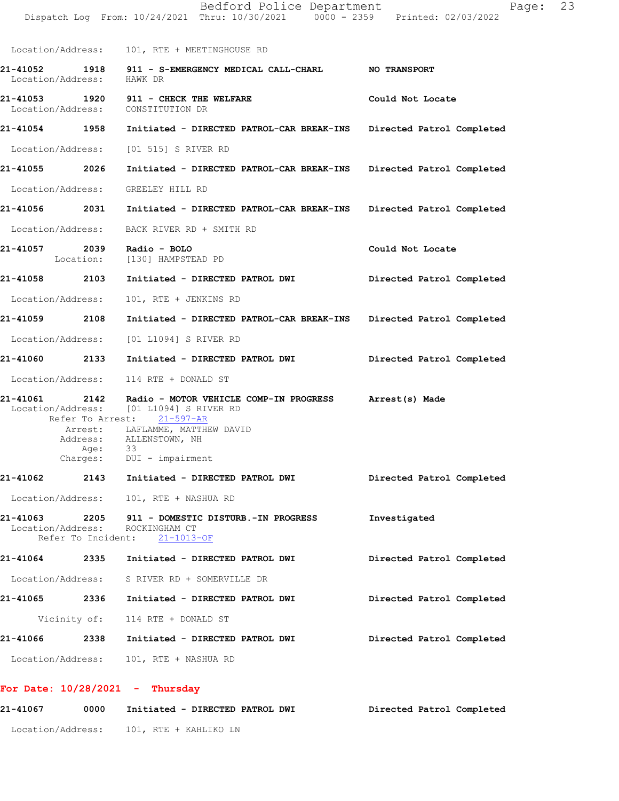|                   |              | Dispatch Log From: 10/24/2021 Thru: 10/30/2021 0000 - 2359 Printed: 02/03/2022                                                                                                                                                  |                           |
|-------------------|--------------|---------------------------------------------------------------------------------------------------------------------------------------------------------------------------------------------------------------------------------|---------------------------|
|                   |              | Location/Address: 101, RTE + MEETINGHOUSE RD                                                                                                                                                                                    |                           |
| Location/Address: |              | 21-41052 1918 911 - S-EMERGENCY MEDICAL CALL-CHARL NO TRANSPORT<br>HAWK DR                                                                                                                                                      |                           |
|                   |              | Location/Address: CONSTITUTION DR                                                                                                                                                                                               | Could Not Locate          |
|                   |              | 21-41054 1958 Initiated - DIRECTED PATROL-CAR BREAK-INS Directed Patrol Completed                                                                                                                                               |                           |
|                   |              | Location/Address: [01 515] S RIVER RD                                                                                                                                                                                           |                           |
| 21-41055 2026     |              | Initiated - DIRECTED PATROL-CAR BREAK-INS Directed Patrol Completed                                                                                                                                                             |                           |
|                   |              | Location/Address: GREELEY HILL RD                                                                                                                                                                                               |                           |
|                   |              | 21-41056 2031 Initiated - DIRECTED PATROL-CAR BREAK-INS Directed Patrol Completed                                                                                                                                               |                           |
|                   |              | Location/Address: BACK RIVER RD + SMITH RD                                                                                                                                                                                      |                           |
|                   |              | 21-41057  2039  Radio - BOLO<br>Location: [130] HAMPSTEAD PD                                                                                                                                                                    | Could Not Locate          |
|                   |              | 21-41058 2103 Initiated - DIRECTED PATROL DWI                                                                                                                                                                                   | Directed Patrol Completed |
| Location/Address: |              | 101, RTE + JENKINS RD                                                                                                                                                                                                           |                           |
| 21-41059 2108     |              | Initiated - DIRECTED PATROL-CAR BREAK-INS Directed Patrol Completed                                                                                                                                                             |                           |
|                   |              | Location/Address: [01 L1094] S RIVER RD                                                                                                                                                                                         |                           |
|                   |              | 21-41060  2133  Initiated - DIRECTED PATROL DWI                                                                                                                                                                                 | Directed Patrol Completed |
|                   |              | Location/Address: 114 RTE + DONALD ST                                                                                                                                                                                           |                           |
| 21-41061          | 2142<br>Age: | Radio - MOTOR VEHICLE COMP-IN PROGRESS Arrest(s) Made<br>Location/Address: [01 L1094] S RIVER RD<br>Refer To Arrest: 21-597-AR<br>Arrest: LAFLAMME, MATTHEW DAVID<br>Address: ALLENSTOWN, NH<br>33<br>Charges: DUI - impairment |                           |
| 21-41062          |              | 2143 Initiated - DIRECTED PATROL DWI                                                                                                                                                                                            | Directed Patrol Completed |
|                   |              | Location/Address: 101, RTE + NASHUA RD                                                                                                                                                                                          |                           |
| 21-41063          |              | 2205 911 - DOMESTIC DISTURB.-IN PROGRESS<br>Location/Address: ROCKINGHAM CT<br>Refer To Incident: 21-1013-OF                                                                                                                    | Investigated              |
|                   |              | 21-41064 2335 Initiated - DIRECTED PATROL DWI                                                                                                                                                                                   | Directed Patrol Completed |
|                   |              | Location/Address: S RIVER RD + SOMERVILLE DR                                                                                                                                                                                    |                           |
|                   |              | 21-41065  2336  Initiated - DIRECTED PATROL DWI                                                                                                                                                                                 | Directed Patrol Completed |
|                   |              | Vicinity of: 114 RTE + DONALD ST                                                                                                                                                                                                |                           |
| <b>21-41066</b>   |              | 2338 Initiated - DIRECTED PATROL DWI                                                                                                                                                                                            | Directed Patrol Completed |
|                   |              | Location/Address: 101, RTE + NASHUA RD                                                                                                                                                                                          |                           |
|                   |              | For Date: $10/28/2021$ - Thursday                                                                                                                                                                                               |                           |

**21-41067 0000 Initiated - DIRECTED PATROL DWI Directed Patrol Completed**  Location/Address: 101, RTE + KAHLIKO LN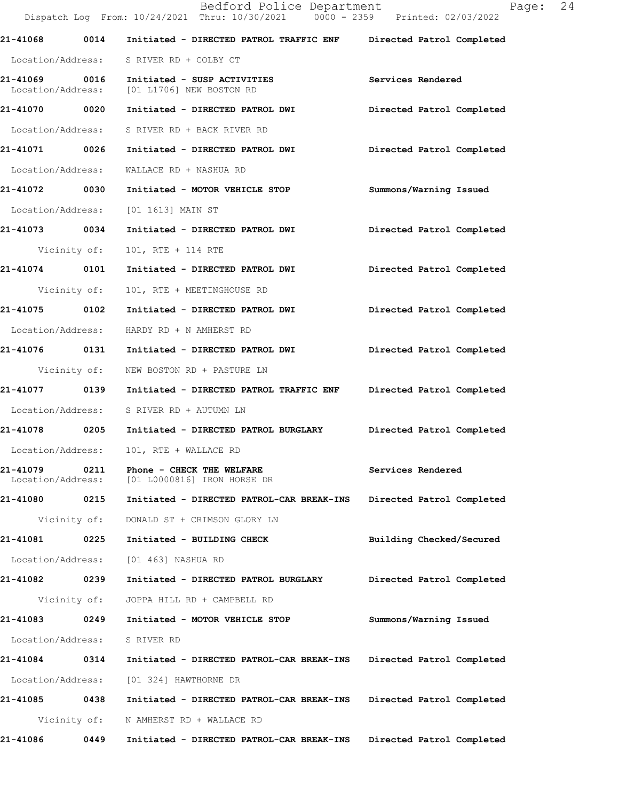|                               |              | Bedford Police Department<br>Dispatch Log From: 10/24/2021 Thru: 10/30/2021 0000 - 2359 Printed: 02/03/2022 | 24<br>Page:               |
|-------------------------------|--------------|-------------------------------------------------------------------------------------------------------------|---------------------------|
| 21-41068                      |              | 0014 Initiated - DIRECTED PATROL TRAFFIC ENF Directed Patrol Completed                                      |                           |
|                               |              | Location/Address: S RIVER RD + COLBY CT                                                                     |                           |
|                               |              | 21-41069 0016 Initiated - SUSP ACTIVITIES<br>Location/Address: [01 L1706] NEW BOSTON RD                     | Services Rendered         |
| 21-41070 0020                 |              | Initiated - DIRECTED PATROL DWI                                                                             | Directed Patrol Completed |
|                               |              | Location/Address: S RIVER RD + BACK RIVER RD                                                                |                           |
|                               |              | 21-41071 0026 Initiated - DIRECTED PATROL DWI                                                               | Directed Patrol Completed |
| Location/Address:             |              | WALLACE RD + NASHUA RD                                                                                      |                           |
|                               |              |                                                                                                             | Summons/Warning Issued    |
| Location/Address:             |              | [01 1613] MAIN ST                                                                                           |                           |
| 21-41073 0034                 |              | Initiated - DIRECTED PATROL DWI                                                                             | Directed Patrol Completed |
| Vicinity of:                  |              | 101, RTE + 114 RTE                                                                                          |                           |
| 21-41074 0101                 |              | Initiated - DIRECTED PATROL DWI                                                                             | Directed Patrol Completed |
| Vicinity of:                  |              | 101, RTE + MEETINGHOUSE RD                                                                                  |                           |
| 21-41075 0102                 |              | Initiated - DIRECTED PATROL DWI                                                                             | Directed Patrol Completed |
|                               |              | Location/Address: HARDY RD + N AMHERST RD                                                                   |                           |
|                               |              | 21-41076   0131   Initiated - DIRECTED PATROL DWI                                                           | Directed Patrol Completed |
|                               | Vicinity of: | NEW BOSTON RD + PASTURE LN                                                                                  |                           |
|                               |              | 21-41077     0139  Initiated - DIRECTED PATROL TRAFFIC ENF    Directed Patrol Completed                     |                           |
|                               |              | Location/Address: S RIVER RD + AUTUMN LN                                                                    |                           |
|                               |              | 21-41078     0205   Initiated - DIRECTED PATROL BURGLARY      Directed Patrol Completed                     |                           |
| Location/Address:             |              | 101, RTE + WALLACE RD                                                                                       |                           |
| 21-41079<br>Location/Address: | 0211         | Phone - CHECK THE WELFARE<br>[01 L0000816] IRON HORSE DR                                                    | Services Rendered         |
| 21-41080 0215                 |              | Initiated - DIRECTED PATROL-CAR BREAK-INS                                                                   | Directed Patrol Completed |
|                               | Vicinity of: | DONALD ST + CRIMSON GLORY LN                                                                                |                           |
| 21-41081                      | 0225         | Initiated - BUILDING CHECK                                                                                  | Building Checked/Secured  |
| Location/Address:             |              | [01 463] NASHUA RD                                                                                          |                           |
| 21-41082 0239                 |              | Initiated - DIRECTED PATROL BURGLARY                                                                        | Directed Patrol Completed |
|                               | Vicinity of: | JOPPA HILL RD + CAMPBELL RD                                                                                 |                           |
| 21-41083 0249                 |              | Initiated - MOTOR VEHICLE STOP                                                                              | Summons/Warning Issued    |
| Location/Address:             |              | S RIVER RD                                                                                                  |                           |
| 21-41084                      | 0314         | Initiated - DIRECTED PATROL-CAR BREAK-INS                                                                   | Directed Patrol Completed |
| Location/Address:             |              | [01 324] HAWTHORNE DR                                                                                       |                           |
| 21-41085                      | 0438         | Initiated - DIRECTED PATROL-CAR BREAK-INS                                                                   | Directed Patrol Completed |
|                               | Vicinity of: | N AMHERST RD + WALLACE RD                                                                                   |                           |
| 21-41086                      | 0449         | Initiated - DIRECTED PATROL-CAR BREAK-INS                                                                   | Directed Patrol Completed |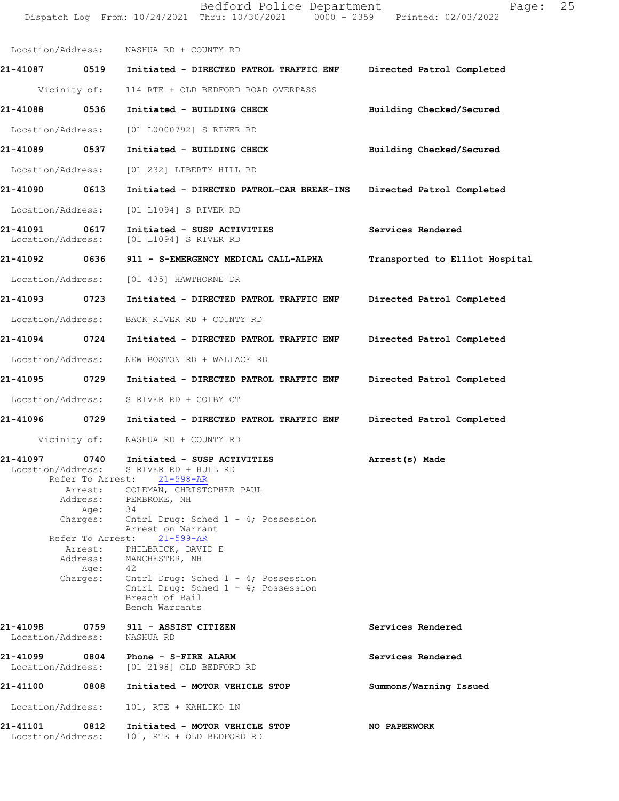Dispatch Log From: 10/24/2021 Thru: 10/30/2021 0000 - 2359 Printed: 02/03/2022 Location/Address: NASHUA RD + COUNTY RD **21-41087 0519 Initiated - DIRECTED PATROL TRAFFIC ENF Directed Patrol Completed** Vicinity of: 114 RTE + OLD BEDFORD ROAD OVERPASS **21-41088 0536 Initiated - BUILDING CHECK Building Checked/Secured** Location/Address: [01 L0000792] S RIVER RD **21-41089 0537 Initiated - BUILDING CHECK Building Checked/Secured** Location/Address: [01 232] LIBERTY HILL RD **21-41090 0613 Initiated - DIRECTED PATROL-CAR BREAK-INS Directed Patrol Completed** Location/Address: [01 L1094] S RIVER RD **21-41091 0617 Initiated - SUSP ACTIVITIES Services Rendered** Location/Address: [01 L1094] S RIVER RD **21-41092 0636 911 - S-EMERGENCY MEDICAL CALL-ALPHA Transported to Elliot Hospital** Location/Address: [01 435] HAWTHORNE DR **21-41093 0723 Initiated - DIRECTED PATROL TRAFFIC ENF Directed Patrol Completed** Location/Address: BACK RIVER RD + COUNTY RD **21-41094 0724 Initiated - DIRECTED PATROL TRAFFIC ENF Directed Patrol Completed** Location/Address: NEW BOSTON RD + WALLACE RD **21-41095 0729 Initiated - DIRECTED PATROL TRAFFIC ENF Directed Patrol Completed** Location/Address: S RIVER RD + COLBY CT **21-41096 0729 Initiated - DIRECTED PATROL TRAFFIC ENF Directed Patrol Completed** Vicinity of: NASHUA RD + COUNTY RD **21-41097 0740 Arrest(s) Made Initiated - SUSP ACTIVITIES** Location/Address: S RIVER RD + HULL RD Refer To Arrest: 21-598-AR Refer To Arrest: 21-599-AR **Services Rendered Services Rendered Summons/Warning Issued NO PAPERWORK**  Arrest: COLEMAN, CHRISTOPHER PAUL Address: PEMBROKE, NH Age: 34 Charges: Cntrl Drug: Sched 1 - 4; Possession Arrest on Warrant Arrest: PHILBRICK, DAVID E Address: MANCHESTER, NH Age: 42 Charges: Cntrl Drug: Sched 1 - 4; Possession Cntrl Drug: Sched 1 - 4; Possession Breach of Bail Bench Warrants **21-41098 0759 911 - ASSIST CITIZEN** Location/Address: NASHUA RD **21-41099 0804 Phone - S-FIRE ALARM** Location/Address: [01 2198] OLD BEDFORD RD **21-41100 0808 Initiated - MOTOR VEHICLE STOP** Location/Address: 101, RTE + KAHLIKO LN **21-41101 0812 Initiated - MOTOR VEHICLE STOP** Location/Address: 101, RTE + OLD BEDFORD RD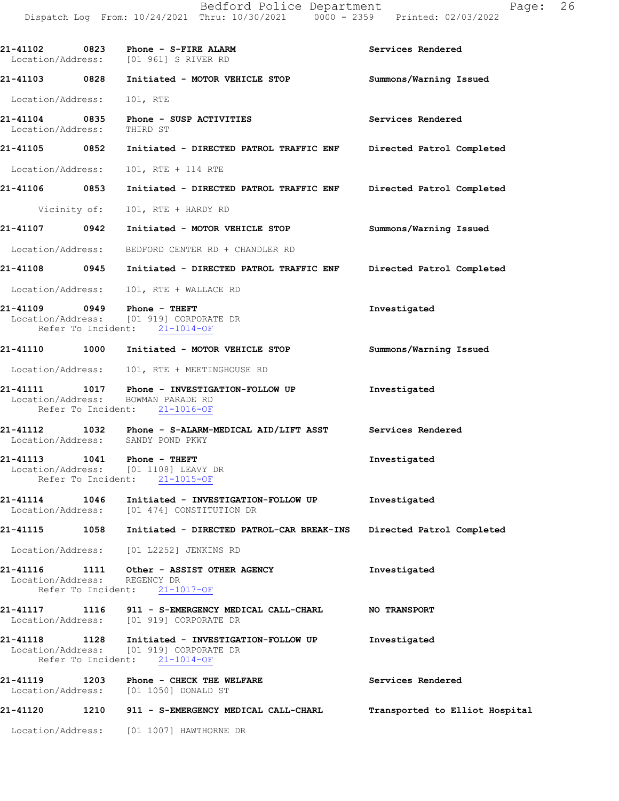**21-41102 0823 Phone - S-FIRE ALARM Services Rendered**  Location/Address: [01 961] S RIVER RD **21-41103 0828 Initiated - MOTOR VEHICLE STOP Summons/Warning Issued**  Location/Address: 101, RTE **21-41104 0835 Phone - SUSP ACTIVITIES Services Rendered**  Location/Address: THIRD ST **21-41105 0852 Initiated - DIRECTED PATROL TRAFFIC ENF Directed Patrol Completed**  Location/Address: 101, RTE + 114 RTE **21-41106 0853 Initiated - DIRECTED PATROL TRAFFIC ENF Directed Patrol Completed**  Vicinity of: 101, RTE + HARDY RD **21-41107 0942 Initiated - MOTOR VEHICLE STOP Summons/Warning Issued**  Location/Address: BEDFORD CENTER RD + CHANDLER RD **21-41108 0945 Initiated - DIRECTED PATROL TRAFFIC ENF Directed Patrol Completed**  Location/Address: 101, RTE + WALLACE RD **21-41109 0949 Phone - THEFT Investigated Investigated Investigated Investigated** Location/Address: Refer To Incident: 21-1014-OF **21-41110 1000 Initiated - MOTOR VEHICLE STOP Summons/Warning Issued**  Location/Address: 101, RTE + MEETINGHOUSE RD **21-41111 1017 Phone - INVESTIGATION-FOLLOW UP Investigated**  Location/Address: BOWMAN PARADE RD Refer To Incident: 21-1016-OF **21-41112 1032 Phone - S-ALARM-MEDICAL AID/LIFT ASST Services Rendered**  Location/Address: SANDY POND PKWY **21-41113 1041 Phone - THEFT Investigated**  Location/Address: [01 1108] LEAVY DR Refer To Incident: 21-1015-OF **21-41114 1046 Initiated - INVESTIGATION-FOLLOW UP Investigated**  Location/Address: [01 474] CONSTITUTION DR **21-41115 1058 Initiated - DIRECTED PATROL-CAR BREAK-INS Directed Patrol Completed**  Location/Address: [01 L2252] JENKINS RD **21-41116 1111 Other - ASSIST OTHER AGENCY Investigated**  Location/Address: REGENCY DR Refer To Incident: 21-1017-OF **21-41117 1116 911 - S-EMERGENCY MEDICAL CALL-CHARL NO TRANSPORT**  Location/Address: [01 919] CORPORATE DR **21-41118 1128 Initiated - INVESTIGATION-FOLLOW UP Investigated**  Location/Address: [01 919] CORPORATE DR Refer To Incident: 21-1014-OF **21-41119 1203 Phone - CHECK THE WELFARE Services Rendered**  Location/Address: [01 1050] DONALD ST **21-41120 1210 911 - S-EMERGENCY MEDICAL CALL-CHARL Transported to Elliot Hospital** Location/Address: [01 1007] HAWTHORNE DR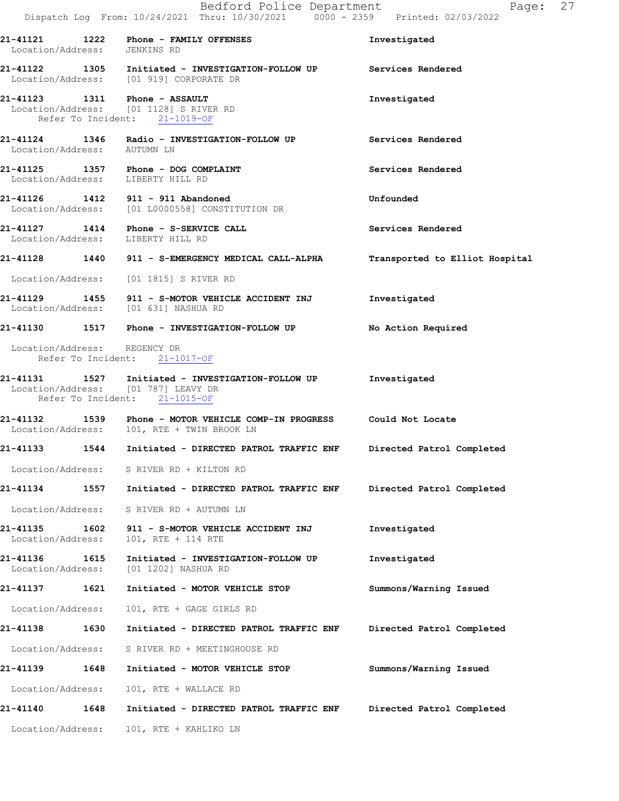| Location/Address: JENKINS RD          | $21-41121$ 1222 Phone - FAMILY OFFENSES<br>21-41122   1305   Initiated - INVESTIGATION-FOLLOW UP   Services Rendered Location/Address: [01 919] CORPORATE DR | Investigated                   |
|---------------------------------------|--------------------------------------------------------------------------------------------------------------------------------------------------------------|--------------------------------|
|                                       |                                                                                                                                                              |                                |
|                                       |                                                                                                                                                              |                                |
|                                       | 21-41123 1311 Phone - ASSAULT<br>Location/Address: [01 1128] S RIVER RD<br>Refer To Incident: 21-1019-OF                                                     | Investigated                   |
| Location/Address: AUTUMN LN           | 21-41124 1346 Radio - INVESTIGATION-FOLLOW UP                                                                                                                | Services Rendered              |
| Location/Address: LIBERTY HILL RD     | 21-41125 1357 Phone - DOG COMPLAINT                                                                                                                          | Services Rendered              |
|                                       | 21-41126 1412 911 - 911 Abandoned<br>Location/Address: [01 L0000558] CONSTITUTION DR                                                                         | Unfounded                      |
| Location/Address: LIBERTY HILL RD     | 21-41127 1414 Phone - S-SERVICE CALL                                                                                                                         | Services Rendered              |
|                                       | 21-41128 1440 911 - S-EMERGENCY MEDICAL CALL-ALPHA                                                                                                           | Transported to Elliot Hospital |
|                                       | Location/Address: [01 1815] S RIVER RD                                                                                                                       |                                |
| Location/Address: [01 631] NASHUA RD  | 21-41129 1455 911 - S-MOTOR VEHICLE ACCIDENT INJ                                                                                                             | Investigated                   |
|                                       | 21-41130 1517 Phone - INVESTIGATION-FOLLOW UP                                                                                                                | No Action Required             |
| Location/Address: REGENCY DR          | Refer To Incident: 21-1017-OF                                                                                                                                |                                |
|                                       | 21-41131 1527 Initiated - INVESTIGATION-FOLLOW UP<br>Location/Address: [01 787] LEAVY DR<br>Refer To Incident: 21-1015-OF                                    | Investigated                   |
|                                       | 21-41132 1539 Phone - MOTOR VEHICLE COMP-IN PROGRESS Could Not Locate<br>Location/Address: 101, RTE + TWIN BROOK LN                                          |                                |
|                                       | 21-41133 1544 Initiated - DIRECTED PATROL TRAFFIC ENF                                                                                                        | Directed Patrol Completed      |
|                                       | Location/Address: S RIVER RD + KILTON RD                                                                                                                     |                                |
| 21-41134<br>1557                      | Initiated - DIRECTED PATROL TRAFFIC ENF                                                                                                                      | Directed Patrol Completed      |
| Location/Address:                     | S RIVER RD + AUTUMN LN                                                                                                                                       |                                |
| 21-41135<br>1602<br>Location/Address: | 911 - S-MOTOR VEHICLE ACCIDENT INJ<br>101, RTE + 114 RTE                                                                                                     | Investigated                   |
| 21-41136<br>1615                      | Initiated - INVESTIGATION-FOLLOW UP<br>Location/Address: [01 1202] NASHUA RD                                                                                 | Investigated                   |
| 1621<br>21-41137                      | Initiated - MOTOR VEHICLE STOP                                                                                                                               | Summons/Warning Issued         |
| Location/Address:                     | 101, RTE + GAGE GIRLS RD                                                                                                                                     |                                |
| 21-41138<br>1630                      | Initiated - DIRECTED PATROL TRAFFIC ENF                                                                                                                      | Directed Patrol Completed      |
| Location/Address:                     | S RIVER RD + MEETINGHOUSE RD                                                                                                                                 |                                |
| 1648<br>21-41139                      | Initiated - MOTOR VEHICLE STOP                                                                                                                               | Summons/Warning Issued         |
| Location/Address:                     | 101, RTE + WALLACE RD                                                                                                                                        |                                |
| 21-41140<br>1648                      | Initiated - DIRECTED PATROL TRAFFIC ENF                                                                                                                      | Directed Patrol Completed      |
| Location/Address:                     | 101, RTE + KAHLIKO LN                                                                                                                                        |                                |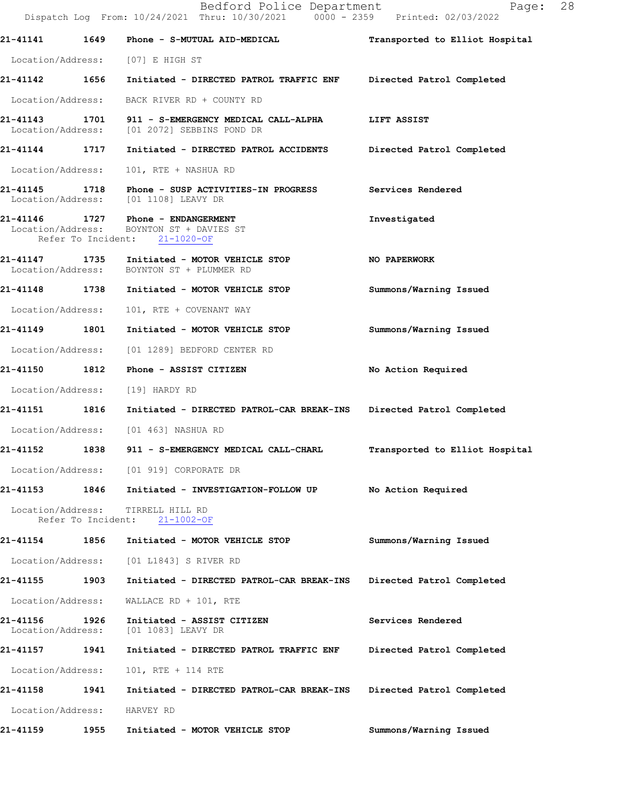Bedford Police Department Fage: 28 Dispatch Log From: 10/24/2021 Thru: 10/30/2021 0000 - 2359 Printed: 02/03/2022 **21-41141 1649 Phone - S-MUTUAL AID-MEDICAL Transported to Elliot Hospital** Location/Address: [07] E HIGH ST **21-41142 1656 Initiated - DIRECTED PATROL TRAFFIC ENF Directed Patrol Completed**  Location/Address: BACK RIVER RD + COUNTY RD **21-41143 1701 911 - S-EMERGENCY MEDICAL CALL-ALPHA LIFT ASSIST**  Location/Address: [01 2072] SEBBINS POND DR **21-41144 1717 Initiated - DIRECTED PATROL ACCIDENTS Directed Patrol Completed**  Location/Address: 101, RTE + NASHUA RD **21-41145 1718 Phone - SUSP ACTIVITIES-IN PROGRESS Services Rendered**  Location/Address: [01 1108] LEAVY DR **21-41146 1727 Phone - ENDANGERMENT Investigated**  Location/Address: BOYNTON ST + DAVIES ST Refer To Incident: 21-1020-OF **21-41147 1735 Initiated - MOTOR VEHICLE STOP NO PAPERWORK**  Location/Address: BOYNTON ST + PLUMMER RD **21-41148 1738 Initiated - MOTOR VEHICLE STOP Summons/Warning Issued**  Location/Address: 101, RTE + COVENANT WAY **21-41149 1801 Initiated - MOTOR VEHICLE STOP Summons/Warning Issued**  Location/Address: [01 1289] BEDFORD CENTER RD **21-41150 1812 Phone - ASSIST CITIZEN No Action Required**  Location/Address: [19] HARDY RD **21-41151 1816 Initiated - DIRECTED PATROL-CAR BREAK-INS Directed Patrol Completed**  Location/Address: [01 463] NASHUA RD **21-41152 1838 911 - S-EMERGENCY MEDICAL CALL-CHARL Transported to Elliot Hospital** Location/Address: [01 919] CORPORATE DR **21-41153 1846 Initiated - INVESTIGATION-FOLLOW UP No Action Required**  Location/Address: TIRRELL HILL RD Refer To Incident: 21-1002-OF **21-41154 1856 Initiated - MOTOR VEHICLE STOP Summons/Warning Issued**  Location/Address: [01 L1843] S RIVER RD **21-41155 1903 Initiated - DIRECTED PATROL-CAR BREAK-INS Directed Patrol Completed**  Location/Address: WALLACE RD + 101, RTE **21-41156 1926 Initiated - ASSIST CITIZEN Services Rendered**  Location/Address: [01 1083] LEAVY DR **21-41157 1941 Initiated - DIRECTED PATROL TRAFFIC ENF Directed Patrol Completed**  Location/Address: 101, RTE + 114 RTE **21-41158 1941 Initiated - DIRECTED PATROL-CAR BREAK-INS Directed Patrol Completed**  Location/Address: HARVEY RD **21-41159 1955 Initiated - MOTOR VEHICLE STOP Summons/Warning Issued**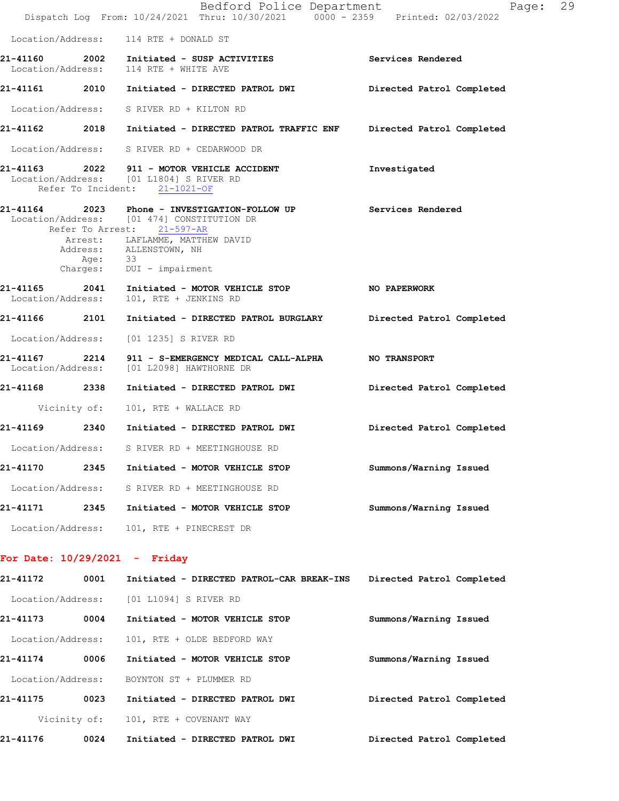|                   |         | Bedford Police Department<br>Dispatch Log From: 10/24/2021 Thru: 10/30/2021 0000 - 2359 Printed: 02/03/2022                                                                                                                            | Page: 29                  |  |
|-------------------|---------|----------------------------------------------------------------------------------------------------------------------------------------------------------------------------------------------------------------------------------------|---------------------------|--|
|                   |         | Location/Address: 114 RTE + DONALD ST                                                                                                                                                                                                  |                           |  |
|                   |         | 21-41160 2002 Initiated - SUSP ACTIVITIES<br>Location/Address: 114 RTE + WHITE AVE                                                                                                                                                     | Services Rendered         |  |
|                   |         | 21-41161 2010 Initiated - DIRECTED PATROL DWI Directed Patrol Completed                                                                                                                                                                |                           |  |
|                   |         | Location/Address: S RIVER RD + KILTON RD                                                                                                                                                                                               |                           |  |
|                   |         | 21-41162 2018 Initiated - DIRECTED PATROL TRAFFIC ENF Directed Patrol Completed                                                                                                                                                        |                           |  |
|                   |         | Location/Address: S RIVER RD + CEDARWOOD DR                                                                                                                                                                                            |                           |  |
|                   |         | 21-41163 2022 911 - MOTOR VEHICLE ACCIDENT<br>Location/Address: [01 L1804] S RIVER RD<br>Refer To Incident: 21-1021-OF                                                                                                                 | Investigated              |  |
|                   | Age: 33 | 21-41164 2023 Phone - INVESTIGATION-FOLLOW UP Services Rendered<br>Location/Address: [01 474] CONSTITUTION DR<br>Refer To Arrest: 21-597-AR<br>Arrest: LAFLAMME, MATTHEW DAVID<br>Address: ALLENSTOWN, NH<br>Charges: DUI - impairment |                           |  |
| Location/Address: |         | 21-41165 2041 Initiated - MOTOR VEHICLE STOP NO PAPERWORK<br>101, RTE + JENKINS RD                                                                                                                                                     |                           |  |
|                   |         | 21-41166 2101 Initiated - DIRECTED PATROL BURGLARY Directed Patrol Completed                                                                                                                                                           |                           |  |
|                   |         | Location/Address: [01 1235] S RIVER RD                                                                                                                                                                                                 |                           |  |
|                   |         | 21-41167 2214 911 - S-EMERGENCY MEDICAL CALL-ALPHA NO TRANSPORT<br>Location/Address: [01 L2098] HAWTHORNE DR                                                                                                                           |                           |  |
|                   |         | 21-41168 2338 Initiated - DIRECTED PATROL DWI           Directed Patrol Completed                                                                                                                                                      |                           |  |
|                   |         | Vicinity of: 101, RTE + WALLACE RD                                                                                                                                                                                                     |                           |  |
|                   |         | 21-41169 2340 Initiated - DIRECTED PATROL DWI                                                                                                                                                                                          | Directed Patrol Completed |  |
|                   |         | Location/Address: S RIVER RD + MEETINGHOUSE RD                                                                                                                                                                                         |                           |  |
| 21-41170          | 2345    | Initiated - MOTOR VEHICLE STOP                                                                                                                                                                                                         | Summons/Warning Issued    |  |
| Location/Address: |         | S RIVER RD + MEETINGHOUSE RD                                                                                                                                                                                                           |                           |  |
| 21-41171          | 2345    | Initiated - MOTOR VEHICLE STOP                                                                                                                                                                                                         | Summons/Warning Issued    |  |
| Location/Address: |         | 101, RTE + PINECREST DR                                                                                                                                                                                                                |                           |  |
|                   |         |                                                                                                                                                                                                                                        |                           |  |

## **For Date: 10/29/2021 - Friday**

| 21-41172          | 0001         | Initiated - DIRECTED PATROL-CAR BREAK-INS | Directed Patrol Completed |
|-------------------|--------------|-------------------------------------------|---------------------------|
|                   |              | Location/Address: [01 L1094] S RIVER RD   |                           |
| 21-41173          | 0004         | Initiated - MOTOR VEHICLE STOP            | Summons/Warning Issued    |
| Location/Address: |              | 101, RTE + OLDE BEDFORD WAY               |                           |
| 21-41174          | 0006         | Initiated - MOTOR VEHICLE STOP            | Summons/Warning Issued    |
| Location/Address: |              | BOYNTON ST + PLUMMER RD                   |                           |
| 21-41175          | 0023         | Initiated - DIRECTED PATROL DWI           | Directed Patrol Completed |
|                   | Vicinity of: | 101, RTE + COVENANT WAY                   |                           |
| 21-41176          | 0024         | Initiated - DIRECTED PATROL DWI           | Directed Patrol Completed |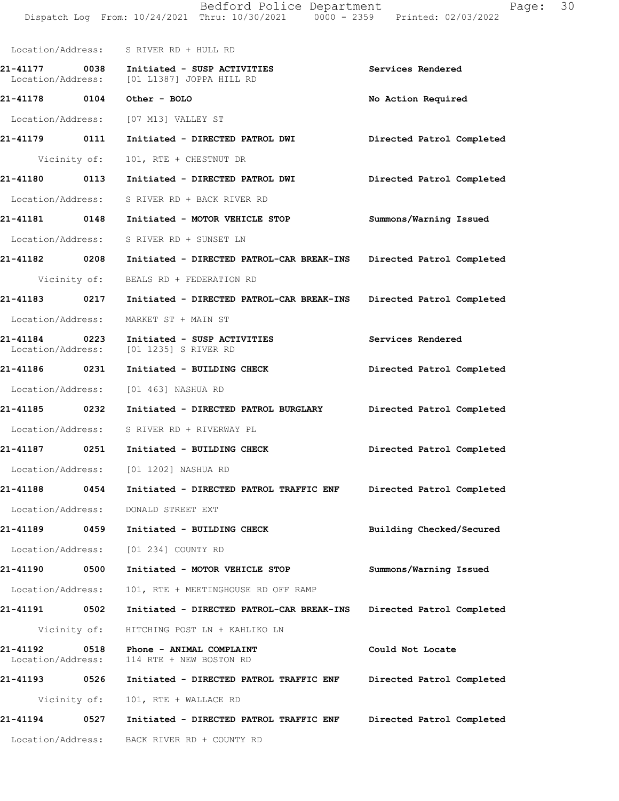|                                       | Dispatch Log From: 10/24/2021 Thru: 10/30/2021 0000 - 2359 Printed: 02/03/2022 |                           |
|---------------------------------------|--------------------------------------------------------------------------------|---------------------------|
|                                       | Location/Address: S RIVER RD + HULL RD                                         |                           |
| 21-41177<br>0038<br>Location/Address: | Initiated - SUSP ACTIVITIES<br>[01 L1387] JOPPA HILL RD                        | Services Rendered         |
| 21-41178<br>0104                      | Other - BOLO                                                                   | No Action Required        |
|                                       | Location/Address: [07 M13] VALLEY ST                                           |                           |
| 21-41179<br>0111                      | Initiated - DIRECTED PATROL DWI                                                | Directed Patrol Completed |
|                                       | Vicinity of: 101, RTE + CHESTNUT DR                                            |                           |
| 21-41180<br>0113                      | Initiated - DIRECTED PATROL DWI                                                | Directed Patrol Completed |
|                                       | Location/Address: S RIVER RD + BACK RIVER RD                                   |                           |

- **21-41181 0148 Initiated MOTOR VEHICLE STOP Summons/Warning Issued**  Location/Address: S RIVER RD + SUNSET LN
- **21-41182 0208 Initiated DIRECTED PATROL-CAR BREAK-INS Directed Patrol Completed**  Vicinity of: BEALS RD + FEDERATION RD
- **21-41183 0217 Initiated DIRECTED PATROL-CAR BREAK-INS Directed Patrol Completed**  Location/Address: MARKET ST + MAIN ST
- 21-41184 0223 Initiated SUSP ACTIVITIES Services Rendered Location/Address: [01 1235] S RIVER RD [01 1235] S RIVER RD
- **21-41186 0231 Initiated BUILDING CHECK Directed Patrol Completed**  Location/Address: [01 463] NASHUA RD
- **21-41185 0232 Initiated DIRECTED PATROL BURGLARY Directed Patrol Completed**
- Location/Address: S RIVER RD + RIVERWAY PL
- **21-41187 0251 Initiated BUILDING CHECK Directed Patrol Completed**  Location/Address: [01 1202] NASHUA RD
- **21-41188 0454 Initiated DIRECTED PATROL TRAFFIC ENF Directed Patrol Completed**
- **21-41189 0459 Initiated BUILDING CHECK Building Checked/Secured** 
	- Location/Address: [01 234] COUNTY RD

Location/Address: DONALD STREET EXT

**21-41190 0500 Initiated - MOTOR VEHICLE STOP Summons/Warning Issued** 

- Location/Address: 101, RTE + MEETINGHOUSE RD OFF RAMP
- **21-41191 0502 Initiated DIRECTED PATROL-CAR BREAK-INS Directed Patrol Completed** 
	- Vicinity of: HITCHING POST LN + KAHLIKO LN
- **21-41192 0518 Phone ANIMAL COMPLAINT Could Not Locate**  Location/Address: 114 RTE + NEW BOSTON RD
- **21-41193 0526 Initiated DIRECTED PATROL TRAFFIC ENF Directed Patrol Completed**  Vicinity of: 101, RTE + WALLACE RD
- **21-41194 0527 Initiated DIRECTED PATROL TRAFFIC ENF Directed Patrol Completed**
- Location/Address: BACK RIVER RD + COUNTY RD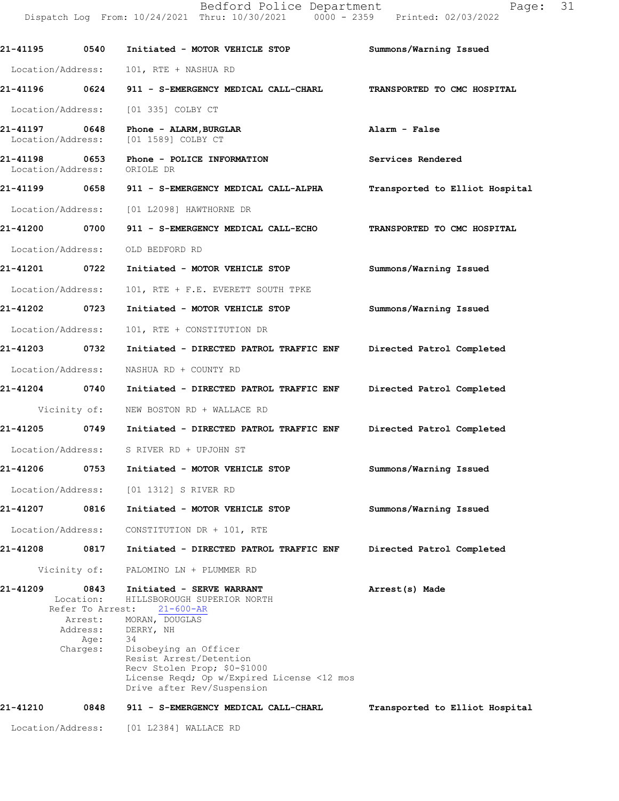Bedford Police Department Fage: 31 Dispatch Log From: 10/24/2021 Thru: 10/30/2021 0000 - 2359 Printed: 02/03/2022

**21-41195 0540 Initiated - MOTOR VEHICLE STOP Summons/Warning Issued** Location/Address: 101, RTE + NASHUA RD **21-41196 0624 911 - S-EMERGENCY MEDICAL CALL-CHARL TRANSPORTED TO CMC HOSPITAL** Location/Address: [01 335] COLBY CT **21-41197 0648 Phone - ALARM,BURGLAR Alarm - False** Location/Address: **21-41198 0653 Phone - POLICE INFORMATION Services Rendered** Location/Address: **21-41199 0658 911 - S-EMERGENCY MEDICAL CALL-ALPHA Transported to Elliot Hospital** Location/Address: [01 L2098] HAWTHORNE DR **21-41200 0700 911 - S-EMERGENCY MEDICAL CALL-ECHO TRANSPORTED TO CMC HOSPITAL** Location/Address: OLD BEDFORD RD **21-41201 0722 Initiated - MOTOR VEHICLE STOP Summons/Warning Issued** Location/Address: 101, RTE + F.E. EVERETT SOUTH TPKE **21-41202 0723 Initiated - MOTOR VEHICLE STOP Summons/Warning Issued** Location/Address: 101, RTE + CONSTITUTION DR **21-41203 0732 Initiated - DIRECTED PATROL TRAFFIC ENF Directed Patrol Completed** Location/Address: NASHUA RD + COUNTY RD **21-41204 0740 Initiated - DIRECTED PATROL TRAFFIC ENF Directed Patrol Completed** Vicinity of: NEW BOSTON RD + WALLACE RD **21-41205 0749 Initiated - DIRECTED PATROL TRAFFIC ENF Directed Patrol Completed** Location/Address: S RIVER RD + UPJOHN ST **21-41206 0753 Initiated - MOTOR VEHICLE STOP Summons/Warning Issued** Location/Address: [01 1312] S RIVER RD **21-41207 0816 Initiated - MOTOR VEHICLE STOP Summons/Warning Issued** Location/Address: CONSTITUTION DR + 101, RTE **21-41208 0817 Initiated - DIRECTED PATROL TRAFFIC ENF Directed Patrol Completed** Vicinity of: PALOMINO LN + PLUMMER RD 21-41209 0843 Initiated - SERVE WARRANT **Arrest(s)** Made Location: HILLSBOROUGH SUPERIOR NORTH<br>Refer To Arrest: 21-600-AR Refer To Arrest:

Arrest: MORAN, DOUGLAS Address: DERRY, NH<br>Age: 34 Age:<br>:Charges Disobeying an Officer Resist Arrest/Detention Recv Stolen Prop; \$0-\$1000 License Reqd; Op w/Expired License <12 mos Drive after Rev/Suspension

## **Transported to Elliot Hospital 21-41210 0848 911 - S-EMERGENCY MEDICAL CALL-CHARL**

Location/Address: [01 L2384] WALLACE RD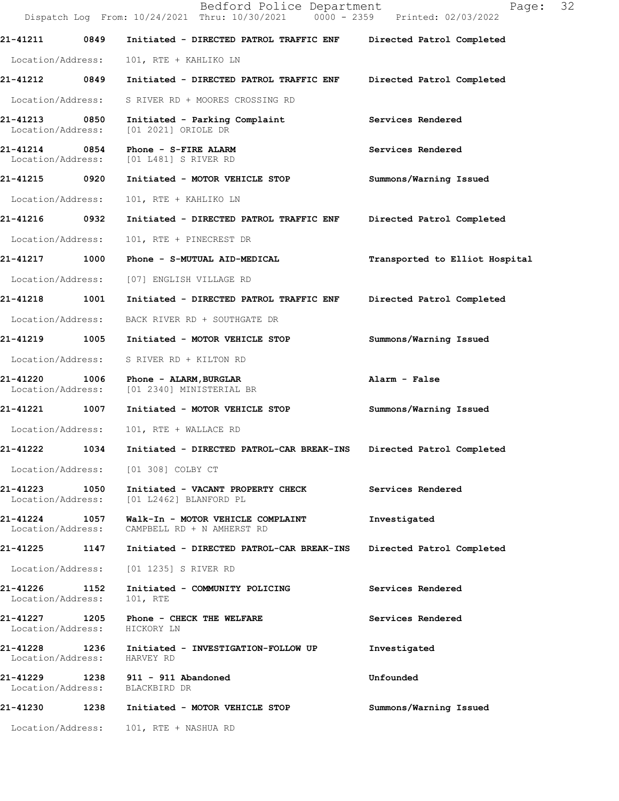|                               |                   | Bedford Police Department<br>Dispatch Log From: 10/24/2021 Thru: 10/30/2021 0000 - 2359 Printed: 02/03/2022 | 32<br>Page:                    |
|-------------------------------|-------------------|-------------------------------------------------------------------------------------------------------------|--------------------------------|
| 21-41211                      | 0849              | Initiated - DIRECTED PATROL TRAFFIC ENF                                                                     | Directed Patrol Completed      |
| Location/Address:             |                   | 101, RTE + KAHLIKO LN                                                                                       |                                |
| 21-41212                      | 0849              | Initiated - DIRECTED PATROL TRAFFIC ENF                                                                     | Directed Patrol Completed      |
| Location/Address:             |                   | S RIVER RD + MOORES CROSSING RD                                                                             |                                |
| 21-41213<br>Location/Address: | 0850              | Initiated - Parking Complaint<br>[01 2021] ORIOLE DR                                                        | Services Rendered              |
| 21-41214<br>Location/Address: | 0854              | Phone - S-FIRE ALARM<br>[01 L481] S RIVER RD                                                                | Services Rendered              |
| 21-41215                      | 0920              | Initiated - MOTOR VEHICLE STOP                                                                              | Summons/Warning Issued         |
| Location/Address:             |                   | 101, RTE + KAHLIKO LN                                                                                       |                                |
| 21-41216                      | 0932              | Initiated - DIRECTED PATROL TRAFFIC ENF                                                                     | Directed Patrol Completed      |
| Location/Address:             |                   | 101, RTE + PINECREST DR                                                                                     |                                |
| 21-41217                      | 1000              | Phone - S-MUTUAL AID-MEDICAL                                                                                | Transported to Elliot Hospital |
| Location/Address:             |                   | [07] ENGLISH VILLAGE RD                                                                                     |                                |
| 21-41218                      | 1001              | Initiated - DIRECTED PATROL TRAFFIC ENF                                                                     | Directed Patrol Completed      |
| Location/Address:             |                   | BACK RIVER RD + SOUTHGATE DR                                                                                |                                |
| 21-41219                      | 1005              | Initiated - MOTOR VEHICLE STOP                                                                              | Summons/Warning Issued         |
| Location/Address:             |                   | S RIVER RD + KILTON RD                                                                                      |                                |
| 21-41220<br>Location/Address: | 1006              | Phone - ALARM, BURGLAR<br>[01 2340] MINISTERIAL BR                                                          | Alarm - False                  |
| 21-41221                      | 1007              | Initiated - MOTOR VEHICLE STOP                                                                              | Summons/Warning Issued         |
| Location/Address:             |                   | 101, RTE + WALLACE RD                                                                                       |                                |
| 21-41222                      | 1034              | Initiated - DIRECTED PATROL-CAR BREAK-INS                                                                   | Directed Patrol Completed      |
|                               |                   | Location/Address: [01 308] COLBY CT                                                                         |                                |
| 21-41223                      | 1050              | Initiated - VACANT PROPERTY CHECK<br>Location/Address: [01 L2462] BLANFORD PL                               | Services Rendered              |
| Location/Address:             |                   | 21-41224 1057 Walk-In - MOTOR VEHICLE COMPLAINT<br>CAMPBELL RD + N AMHERST RD                               | Investigated                   |
| 21-41225 1147                 |                   | Initiated - DIRECTED PATROL-CAR BREAK-INS                                                                   | Directed Patrol Completed      |
| Location/Address:             |                   | [01 1235] S RIVER RD                                                                                        |                                |
| 21-41226<br>Location/Address: | 1152              | Initiated - COMMUNITY POLICING<br>101, RTE                                                                  | Services Rendered              |
| Location/Address: HICKORY LN  |                   | 21-41227 1205 Phone - CHECK THE WELFARE                                                                     | Services Rendered              |
| Location/Address: HARVEY RD   |                   | 21-41228 1236 Initiated - INVESTIGATION-FOLLOW UP                                                           | Investigated                   |
|                               |                   | 21-41229 1238 911 - 911 Abandoned<br>Location/Address: BLACKBIRD DR                                         | Unfounded                      |
| 21-41230                      |                   | 1238 Initiated - MOTOR VEHICLE STOP                                                                         | Summons/Warning Issued         |
|                               | Location/Address: | 101, RTE + NASHUA RD                                                                                        |                                |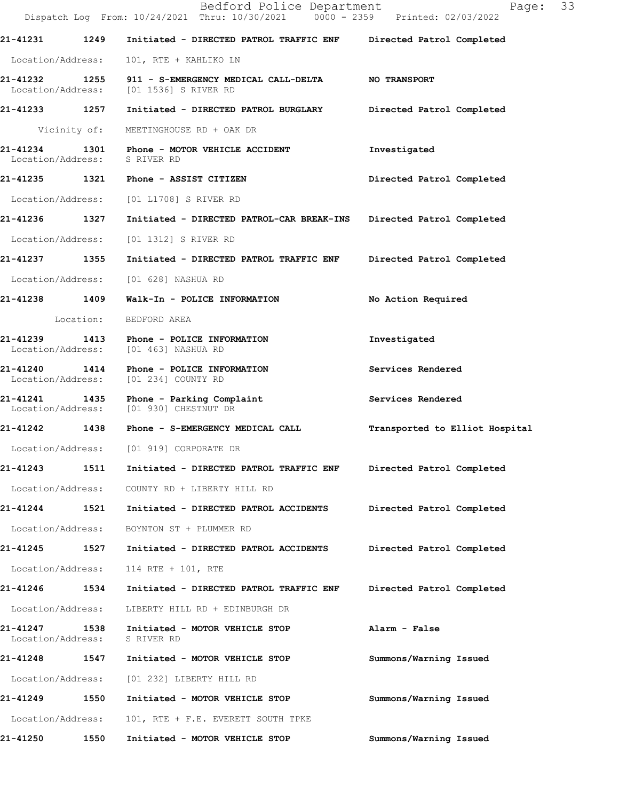|                               |              | Bedford Police Department<br>Dispatch Log From: 10/24/2021 Thru: 10/30/2021 0000 - 2359 Printed: 02/03/2022 | Page: 33                       |
|-------------------------------|--------------|-------------------------------------------------------------------------------------------------------------|--------------------------------|
| 21-41231 1249                 |              | Initiated - DIRECTED PATROL TRAFFIC ENF Directed Patrol Completed                                           |                                |
| Location/Address:             |              | 101, RTE + KAHLIKO LN                                                                                       |                                |
| Location/Address:             |              | 21-41232 1255 911 - S-EMERGENCY MEDICAL CALL-DELTA NO TRANSPORT<br>[01 1536] S RIVER RD                     |                                |
| 21-41233 1257                 |              | Initiated - DIRECTED PATROL BURGLARY Directed Patrol Completed                                              |                                |
|                               | Vicinity of: | MEETINGHOUSE RD + OAK DR                                                                                    |                                |
| Location/Address: S RIVER RD  |              | 21-41234 1301 Phone - MOTOR VEHICLE ACCIDENT                                                                | Investigated                   |
|                               |              | 21-41235 1321 Phone - ASSIST CITIZEN                                                                        | Directed Patrol Completed      |
| Location/Address:             |              | [01 L1708] S RIVER RD                                                                                       |                                |
| 21-41236 1327                 |              | Initiated - DIRECTED PATROL-CAR BREAK-INS Directed Patrol Completed                                         |                                |
| Location/Address:             |              | [01 1312] S RIVER RD                                                                                        |                                |
| 21-41237 1355                 |              | Initiated - DIRECTED PATROL TRAFFIC ENF Directed Patrol Completed                                           |                                |
|                               |              | Location/Address: [01 628] NASHUA RD                                                                        |                                |
| 21-41238 1409                 |              | Walk-In - POLICE INFORMATION                                                                                | No Action Required             |
|                               | Location:    | BEDFORD AREA                                                                                                |                                |
|                               |              | 21-41239 1413 Phone - POLICE INFORMATION<br>Location/Address: [01 463] NASHUA RD                            | Investigated                   |
| Location/Address:             |              | 21-41240 1414 Phone - POLICE INFORMATION<br>[01 234] COUNTY RD                                              | Services Rendered              |
|                               |              | 21-41241 1435 Phone - Parking Complaint<br>Location/Address: [01 930] CHESTNUT DR                           | Services Rendered              |
|                               |              | 21-41242 1438 Phone - S-EMERGENCY MEDICAL CALL                                                              | Transported to Elliot Hospital |
|                               |              | Location/Address: [01 919] CORPORATE DR                                                                     |                                |
| 21-41243                      | 1511         | Initiated - DIRECTED PATROL TRAFFIC ENF                                                                     | Directed Patrol Completed      |
| Location/Address:             |              | COUNTY RD + LIBERTY HILL RD                                                                                 |                                |
| 21-41244                      | 1521         | Initiated - DIRECTED PATROL ACCIDENTS                                                                       | Directed Patrol Completed      |
| Location/Address:             |              | BOYNTON ST + PLUMMER RD                                                                                     |                                |
| 21-41245                      | 1527         | Initiated - DIRECTED PATROL ACCIDENTS                                                                       | Directed Patrol Completed      |
| Location/Address:             |              | 114 RTE + 101, RTE                                                                                          |                                |
| 21-41246                      | 1534         | Initiated - DIRECTED PATROL TRAFFIC ENF                                                                     | Directed Patrol Completed      |
| Location/Address:             |              | LIBERTY HILL RD + EDINBURGH DR                                                                              |                                |
| 21-41247<br>Location/Address: | 1538         | Initiated - MOTOR VEHICLE STOP<br>S RIVER RD                                                                | Alarm - False                  |
| 21-41248                      | 1547         | Initiated - MOTOR VEHICLE STOP                                                                              | Summons/Warning Issued         |
| Location/Address:             |              | [01 232] LIBERTY HILL RD                                                                                    |                                |
| 21-41249                      | 1550         | Initiated - MOTOR VEHICLE STOP                                                                              | Summons/Warning Issued         |
| Location/Address:             |              | 101, RTE + F.E. EVERETT SOUTH TPKE                                                                          |                                |
| 21-41250                      | 1550         | Initiated - MOTOR VEHICLE STOP                                                                              | Summons/Warning Issued         |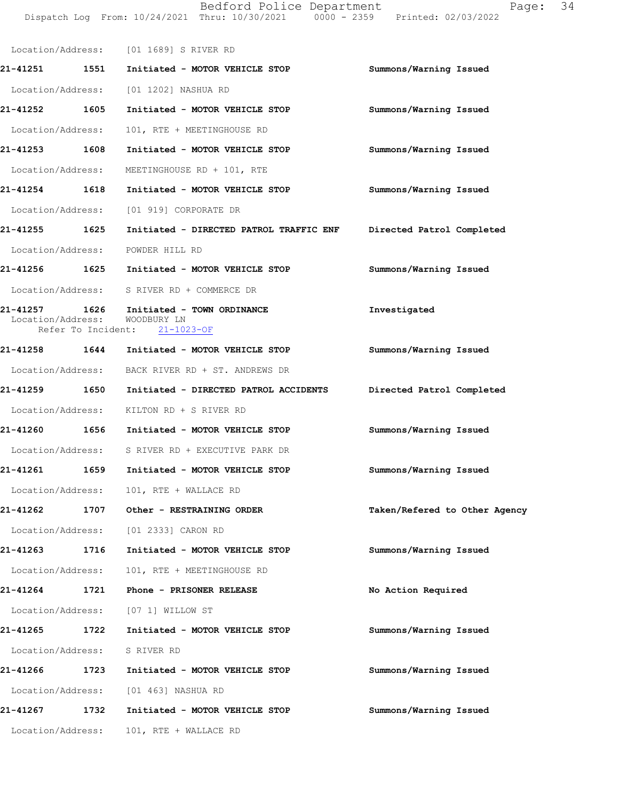Dispatch Log From: 10/24/2021 Thru: 10/30/2021 0000 - 2359 Printed: 02/03/2022 Location/Address: [01 1689] S RIVER RD **21-41251 1551 Initiated - MOTOR VEHICLE STOP Summons/Warning Issued**  Location/Address: [01 1202] NASHUA RD **21-41252 1605 Initiated - MOTOR VEHICLE STOP Summons/Warning Issued**  Location/Address: 101, RTE + MEETINGHOUSE RD **21-41253 1608 Initiated - MOTOR VEHICLE STOP Summons/Warning Issued**  Location/Address: MEETINGHOUSE RD + 101, RTE **21-41254 1618 Initiated - MOTOR VEHICLE STOP Summons/Warning Issued**  Location/Address: [01 919] CORPORATE DR **21-41255 1625 Initiated - DIRECTED PATROL TRAFFIC ENF Directed Patrol Completed**  Location/Address: POWDER HILL RD **21-41256 1625 Initiated - MOTOR VEHICLE STOP Summons/Warning Issued**  Location/Address: S RIVER RD + COMMERCE DR **21-41257 1626 Initiated - TOWN ORDINANCE Investigated**  Location/Address: WOODBURY LN<br>Refer To Incident: 21-1023-OF Refer To Incident: **21-41258 1644 Initiated - MOTOR VEHICLE STOP Summons/Warning Issued**  Location/Address: BACK RIVER RD + ST. ANDREWS DR **21-41259 1650 Initiated - DIRECTED PATROL ACCIDENTS Directed Patrol Completed**  Location/Address: KILTON RD + S RIVER RD **21-41260 1656 Initiated - MOTOR VEHICLE STOP Summons/Warning Issued**  Location/Address: S RIVER RD + EXECUTIVE PARK DR **21-41261 1659 Initiated - MOTOR VEHICLE STOP Summons/Warning Issued**  Location/Address: 101, RTE + WALLACE RD **21-41262 1707 Other - RESTRAINING ORDER Taken/Refered to Other Agency** Location/Address: [01 2333] CARON RD **21-41263 1716 Initiated - MOTOR VEHICLE STOP Summons/Warning Issued**  Location/Address: 101, RTE + MEETINGHOUSE RD **21-41264 1721 Phone - PRISONER RELEASE No Action Required**  Location/Address: [07 1] WILLOW ST **21-41265 1722 Initiated - MOTOR VEHICLE STOP Summons/Warning Issued**  Location/Address: S RIVER RD **21-41266 1723 Initiated - MOTOR VEHICLE STOP Summons/Warning Issued**  Location/Address: [01 463] NASHUA RD **21-41267 1732 Initiated - MOTOR VEHICLE STOP Summons/Warning Issued**  Location/Address: 101, RTE + WALLACE RD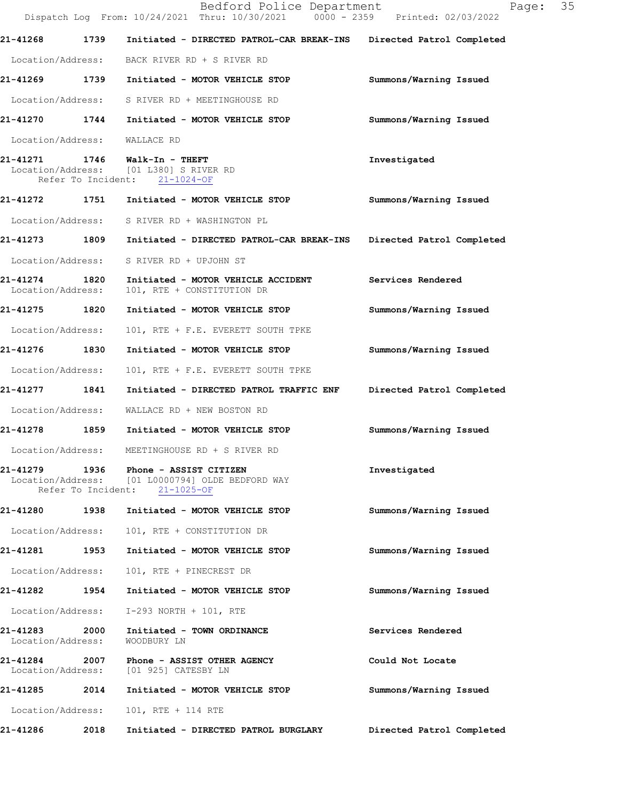|                                    |      | Bedford Police Department<br>Dispatch Log From: 10/24/2021 Thru: 10/30/2021 0000 - 2359 Printed: 02/03/2022      | Page:                     | 35 |
|------------------------------------|------|------------------------------------------------------------------------------------------------------------------|---------------------------|----|
| 21-41268                           | 1739 | Initiated - DIRECTED PATROL-CAR BREAK-INS                                                                        | Directed Patrol Completed |    |
|                                    |      | Location/Address: BACK RIVER RD + S RIVER RD                                                                     |                           |    |
|                                    |      | 21-41269 1739 Initiated - MOTOR VEHICLE STOP                                                                     | Summons/Warning Issued    |    |
|                                    |      | Location/Address: S RIVER RD + MEETINGHOUSE RD                                                                   |                           |    |
| 21-41270                           |      | 1744 Initiated - MOTOR VEHICLE STOP                                                                              | Summons/Warning Issued    |    |
| Location/Address:                  |      | WALLACE RD                                                                                                       |                           |    |
| 21-41271                           |      | 1746 Walk-In - THEFT<br>Location/Address: [01 L380] S RIVER RD<br>Refer To Incident: 21-1024-OF                  | Investigated              |    |
|                                    |      | 21-41272 1751 Initiated - MOTOR VEHICLE STOP                                                                     | Summons/Warning Issued    |    |
|                                    |      | Location/Address: S RIVER RD + WASHINGTON PL                                                                     |                           |    |
| 21-41273 1809                      |      | Initiated - DIRECTED PATROL-CAR BREAK-INS                                                                        | Directed Patrol Completed |    |
| Location/Address:                  |      | S RIVER RD + UPJOHN ST                                                                                           |                           |    |
| 21-41274 1820<br>Location/Address: |      | Initiated - MOTOR VEHICLE ACCIDENT<br>101, RTE + CONSTITUTION DR                                                 | Services Rendered         |    |
| 21-41275 1820                      |      | Initiated - MOTOR VEHICLE STOP                                                                                   | Summons/Warning Issued    |    |
| Location/Address:                  |      | 101, RTE + F.E. EVERETT SOUTH TPKE                                                                               |                           |    |
| 21-41276                           | 1830 | Initiated - MOTOR VEHICLE STOP                                                                                   | Summons/Warning Issued    |    |
| Location/Address:                  |      | 101, RTE + F.E. EVERETT SOUTH TPKE                                                                               |                           |    |
| 21-41277                           | 1841 | Initiated - DIRECTED PATROL TRAFFIC ENF                                                                          | Directed Patrol Completed |    |
| Location/Address:                  |      | WALLACE RD + NEW BOSTON RD                                                                                       |                           |    |
| 21-41278                           |      | 1859 Initiated - MOTOR VEHICLE STOP                                                                              | Summons/Warning Issued    |    |
| Location/Address:                  |      | MEETINGHOUSE RD + S RIVER RD                                                                                     |                           |    |
| 21-41279                           |      | 1936 Phone - ASSIST CITIZEN<br>Location/Address: [01 L0000794] OLDE BEDFORD WAY<br>Refer To Incident: 21-1025-OF | Investigated              |    |
|                                    |      | 21-41280 1938 Initiated - MOTOR VEHICLE STOP                                                                     | Summons/Warning Issued    |    |
| Location/Address:                  |      | 101, RTE + CONSTITUTION DR                                                                                       |                           |    |
| 21-41281                           | 1953 | Initiated - MOTOR VEHICLE STOP                                                                                   | Summons/Warning Issued    |    |
| Location/Address:                  |      | 101, RTE + PINECREST DR                                                                                          |                           |    |
| 21-41282                           | 1954 | Initiated - MOTOR VEHICLE STOP                                                                                   | Summons/Warning Issued    |    |
| Location/Address:                  |      | I-293 NORTH + 101, RTE                                                                                           |                           |    |
| 21-41283<br>Location/Address:      | 2000 | Initiated - TOWN ORDINANCE<br>WOODBURY LN                                                                        | Services Rendered         |    |
| 21-41284 2007                      |      | Phone - ASSIST OTHER AGENCY<br>Location/Address: [01 925] CATESBY LN                                             | Could Not Locate          |    |
| 21-41285                           | 2014 | Initiated - MOTOR VEHICLE STOP                                                                                   | Summons/Warning Issued    |    |
| Location/Address:                  |      | 101, RTE + 114 RTE                                                                                               |                           |    |
| 21-41286                           | 2018 | Initiated - DIRECTED PATROL BURGLARY                                                                             | Directed Patrol Completed |    |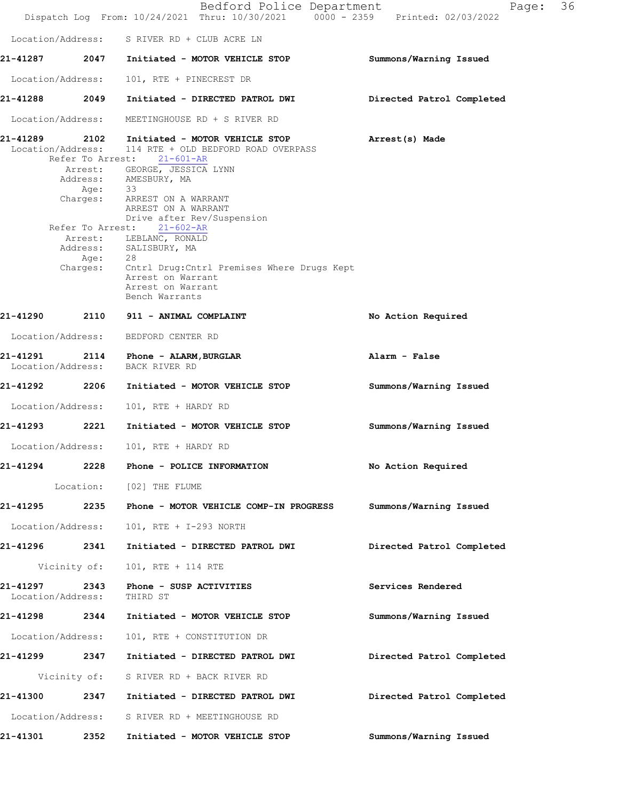|                               |                  | Bedford Police Department<br>Dispatch Log From: 10/24/2021 Thru: 10/30/2021 0000 - 2359 Printed: 02/03/2022                                                                                                                                                                                                                                         | Page:                     | 36 |
|-------------------------------|------------------|-----------------------------------------------------------------------------------------------------------------------------------------------------------------------------------------------------------------------------------------------------------------------------------------------------------------------------------------------------|---------------------------|----|
|                               |                  | Location/Address: S RIVER RD + CLUB ACRE LN                                                                                                                                                                                                                                                                                                         |                           |    |
|                               |                  | 21-41287 2047 Initiated - MOTOR VEHICLE STOP                                                                                                                                                                                                                                                                                                        | Summons/Warning Issued    |    |
| Location/Address:             |                  | 101, RTE + PINECREST DR                                                                                                                                                                                                                                                                                                                             |                           |    |
| 21-41288                      | 2049             | Initiated - DIRECTED PATROL DWI                                                                                                                                                                                                                                                                                                                     | Directed Patrol Completed |    |
| Location/Address:             |                  | MEETINGHOUSE RD + S RIVER RD                                                                                                                                                                                                                                                                                                                        |                           |    |
| Location/Address:             | Refer To Arrest: | 21-41289  2102 Initiated - MOTOR VEHICLE STOP<br>114 RTE + OLD BEDFORD ROAD OVERPASS<br>Refer To Arrest: 21-601-AR<br>Arrest: GEORGE, JESSICA LYNN<br>Address: AMESBURY, MA<br>Age: 33<br>Charges: ARREST ON A WARRANT<br>ARREST ON A WARRANT<br>Drive after Rev/Suspension<br>$21 - 602 - AR$<br>Arrest: LEBLANC, RONALD<br>Address: SALISBURY, MA | Arrest(s) Made            |    |
|                               | Age: 28          | Charges: Cntrl Drug: Cntrl Premises Where Drugs Kept<br>Arrest on Warrant<br>Arrest on Warrant<br>Bench Warrants                                                                                                                                                                                                                                    |                           |    |
| 21-41290                      |                  | 2110 911 - ANIMAL COMPLAINT                                                                                                                                                                                                                                                                                                                         | No Action Required        |    |
| Location/Address:             |                  | BEDFORD CENTER RD                                                                                                                                                                                                                                                                                                                                   |                           |    |
| 21-41291<br>Location/Address: |                  | 2114 Phone - ALARM, BURGLAR<br>BACK RIVER RD                                                                                                                                                                                                                                                                                                        | Alarm - False             |    |
| 21-41292                      | 2206             | Initiated - MOTOR VEHICLE STOP                                                                                                                                                                                                                                                                                                                      | Summons/Warning Issued    |    |
| Location/Address:             |                  | 101, RTE + HARDY RD                                                                                                                                                                                                                                                                                                                                 |                           |    |
| 21-41293                      | 2221             | Initiated - MOTOR VEHICLE STOP                                                                                                                                                                                                                                                                                                                      | Summons/Warning Issued    |    |
| Location/Address:             |                  | 101, RTE + HARDY RD                                                                                                                                                                                                                                                                                                                                 |                           |    |
| 21-41294                      |                  | 2228 Phone - POLICE INFORMATION                                                                                                                                                                                                                                                                                                                     | No Action Required        |    |
|                               |                  | Location: [02] THE FLUME                                                                                                                                                                                                                                                                                                                            |                           |    |
| 21-41295                      | 2235             | Phone - MOTOR VEHICLE COMP-IN PROGRESS                                                                                                                                                                                                                                                                                                              | Summons/Warning Issued    |    |
| Location/Address:             |                  | 101, RTE + I-293 NORTH                                                                                                                                                                                                                                                                                                                              |                           |    |
| 21-41296 2341                 |                  | Initiated - DIRECTED PATROL DWI                                                                                                                                                                                                                                                                                                                     | Directed Patrol Completed |    |
|                               | Vicinity of:     | 101, RTE + 114 RTE                                                                                                                                                                                                                                                                                                                                  |                           |    |
| 21-41297<br>Location/Address: | 2343             | Phone - SUSP ACTIVITIES<br>THIRD ST                                                                                                                                                                                                                                                                                                                 | Services Rendered         |    |
| 21-41298 2344                 |                  | Initiated - MOTOR VEHICLE STOP                                                                                                                                                                                                                                                                                                                      | Summons/Warning Issued    |    |
| Location/Address:             |                  | 101, RTE + CONSTITUTION DR                                                                                                                                                                                                                                                                                                                          |                           |    |
| 21-41299 2347                 |                  | Initiated - DIRECTED PATROL DWI                                                                                                                                                                                                                                                                                                                     | Directed Patrol Completed |    |
|                               | Vicinity of:     | S RIVER RD + BACK RIVER RD                                                                                                                                                                                                                                                                                                                          |                           |    |
| 21-41300                      | 2347             | Initiated - DIRECTED PATROL DWI                                                                                                                                                                                                                                                                                                                     | Directed Patrol Completed |    |
| Location/Address:             |                  | S RIVER RD + MEETINGHOUSE RD                                                                                                                                                                                                                                                                                                                        |                           |    |
| 21-41301                      | 2352             | Initiated - MOTOR VEHICLE STOP                                                                                                                                                                                                                                                                                                                      | Summons/Warning Issued    |    |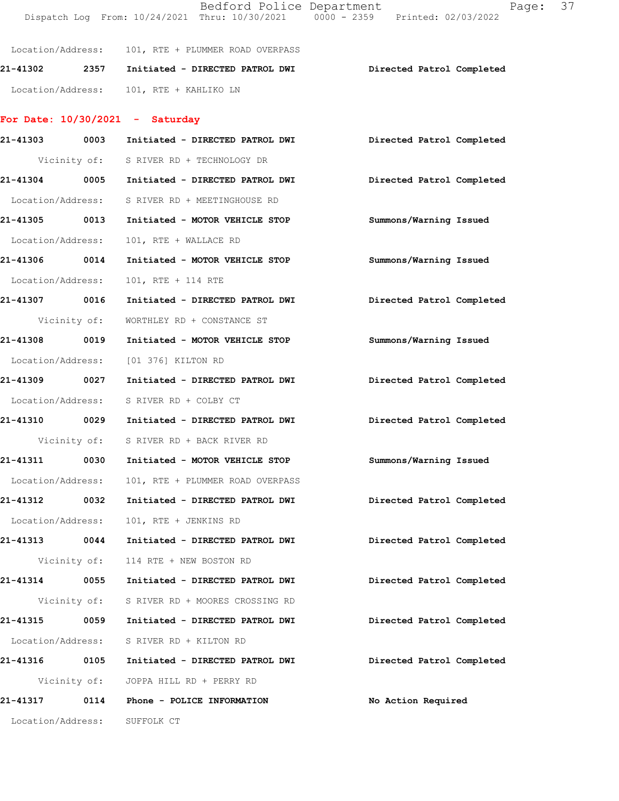|                   |              |                                                    | Dispatch Log From: 10/24/2021 Thru: 10/30/2021 0000 - 2359 Printed: 02/03/2022 |
|-------------------|--------------|----------------------------------------------------|--------------------------------------------------------------------------------|
|                   |              | Location/Address: 101, RTE + PLUMMER ROAD OVERPASS |                                                                                |
|                   |              | 21-41302  2357  Initiated - DIRECTED PATROL DWI    | Directed Patrol Completed                                                      |
|                   |              | Location/Address: 101, RTE + KAHLIKO LN            |                                                                                |
|                   |              | For Date: $10/30/2021$ - Saturday                  |                                                                                |
|                   |              |                                                    | 21-41303 0003 Initiated - DIRECTED PATROL DWI Directed Patrol Completed        |
|                   |              | Vicinity of: S RIVER RD + TECHNOLOGY DR            |                                                                                |
|                   |              | 21-41304 0005 Initiated - DIRECTED PATROL DWI      | Directed Patrol Completed                                                      |
|                   |              | Location/Address: S RIVER RD + MEETINGHOUSE RD     |                                                                                |
| 21-41305 0013     |              | Initiated - MOTOR VEHICLE STOP                     | Summons/Warning Issued                                                         |
| Location/Address: |              | 101, RTE + WALLACE RD                              |                                                                                |
| 21-41306 0014     |              | Initiated - MOTOR VEHICLE STOP                     | Summons/Warning Issued                                                         |
| Location/Address: |              | 101, RTE + 114 RTE                                 |                                                                                |
| 21-41307 0016     |              | Initiated - DIRECTED PATROL DWI                    | Directed Patrol Completed                                                      |
| Vicinity of:      |              | WORTHLEY RD + CONSTANCE ST                         |                                                                                |
| 21-41308 0019     |              | Initiated - MOTOR VEHICLE STOP                     | Summons/Warning Issued                                                         |
| Location/Address: |              | [01 376] KILTON RD                                 |                                                                                |
| 21-41309 0027     |              | Initiated - DIRECTED PATROL DWI                    | Directed Patrol Completed                                                      |
|                   |              | Location/Address: S RIVER RD + COLBY CT            |                                                                                |
| 21-41310 0029     |              | Initiated - DIRECTED PATROL DWI                    | Directed Patrol Completed                                                      |
|                   |              | Vicinity of: S RIVER RD + BACK RIVER RD            |                                                                                |
| 21-41311          | 0030         | Initiated - MOTOR VEHICLE STOP                     | Summons/Warning Issued                                                         |
|                   |              | Location/Address: 101, RTE + PLUMMER ROAD OVERPASS |                                                                                |
|                   |              | 21-41312 0032 Initiated - DIRECTED PATROL DWI      | Directed Patrol Completed                                                      |
| Location/Address: |              | 101, RTE + JENKINS RD                              |                                                                                |
| 21-41313 0044     |              | Initiated - DIRECTED PATROL DWI                    | Directed Patrol Completed                                                      |
|                   | Vicinity of: | 114 RTE + NEW BOSTON RD                            |                                                                                |
| 21-41314 0055     |              | Initiated - DIRECTED PATROL DWI                    | Directed Patrol Completed                                                      |
|                   | Vicinity of: | S RIVER RD + MOORES CROSSING RD                    |                                                                                |
| 21-41315 0059     |              | Initiated - DIRECTED PATROL DWI                    | Directed Patrol Completed                                                      |
|                   |              | Location/Address: S RIVER RD + KILTON RD           |                                                                                |
| 21-41316 0105     |              | Initiated - DIRECTED PATROL DWI                    | Directed Patrol Completed                                                      |
|                   | Vicinity of: | JOPPA HILL RD + PERRY RD                           |                                                                                |
|                   |              | 21-41317 0114 Phone - POLICE INFORMATION           | No Action Required                                                             |
| Location/Address: |              | SUFFOLK CT                                         |                                                                                |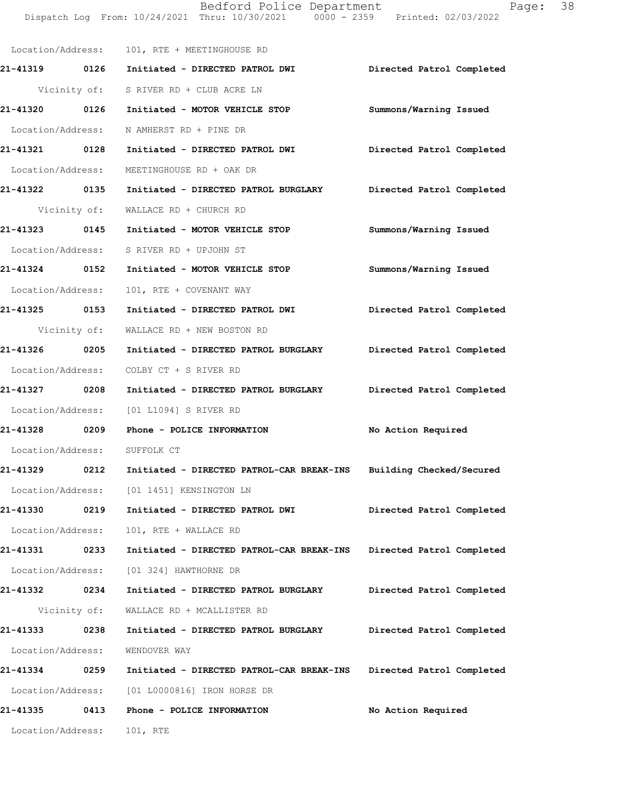Dispatch Log From: 10/24/2021 Thru: 10/30/2021 0000 - 2359 Printed: 02/03/2022 Location/Address: 101, RTE + MEETINGHOUSE RD **21-41319 0126 Initiated - DIRECTED PATROL DWI Directed Patrol Completed**  Vicinity of: S RIVER RD + CLUB ACRE LN **21-41320 0126 Initiated - MOTOR VEHICLE STOP Summons/Warning Issued**  Location/Address: N AMHERST RD + PINE DR **21-41321 0128 Initiated - DIRECTED PATROL DWI Directed Patrol Completed**  Location/Address: MEETINGHOUSE RD + OAK DR **21-41322 0135 Initiated - DIRECTED PATROL BURGLARY Directed Patrol Completed**  Vicinity of: WALLACE RD + CHURCH RD **21-41323 0145 Initiated - MOTOR VEHICLE STOP Summons/Warning Issued**  Location/Address: S RIVER RD + UPJOHN ST **21-41324 0152 Initiated - MOTOR VEHICLE STOP Summons/Warning Issued**  Location/Address: 101, RTE + COVENANT WAY **21-41325 0153 Initiated - DIRECTED PATROL DWI Directed Patrol Completed**  Vicinity of: WALLACE RD + NEW BOSTON RD **21-41326 0205 Initiated - DIRECTED PATROL BURGLARY Directed Patrol Completed**  Location/Address: COLBY CT + S RIVER RD **21-41327 0208 Initiated - DIRECTED PATROL BURGLARY Directed Patrol Completed**  Location/Address: [01 L1094] S RIVER RD **21-41328 0209 Phone - POLICE INFORMATION No Action Required**  Location/Address: SUFFOLK CT **21-41329 0212 Initiated - DIRECTED PATROL-CAR BREAK-INS Building Checked/Secured**  Location/Address: [01 1451] KENSINGTON LN **21-41330 0219 Initiated - DIRECTED PATROL DWI Directed Patrol Completed**  Location/Address: 101, RTE + WALLACE RD **21-41331 0233 Initiated - DIRECTED PATROL-CAR BREAK-INS Directed Patrol Completed**  Location/Address: [01 324] HAWTHORNE DR **21-41332 0234 Initiated - DIRECTED PATROL BURGLARY Directed Patrol Completed**  Vicinity of: WALLACE RD + MCALLISTER RD **21-41333 0238 Initiated - DIRECTED PATROL BURGLARY Directed Patrol Completed**  Location/Address: WENDOVER WAY **21-41334 0259 Initiated - DIRECTED PATROL-CAR BREAK-INS Directed Patrol Completed**  Location/Address: [01 L0000816] IRON HORSE DR **21-41335 0413 Phone - POLICE INFORMATION No Action Required**  Location/Address: 101, RTE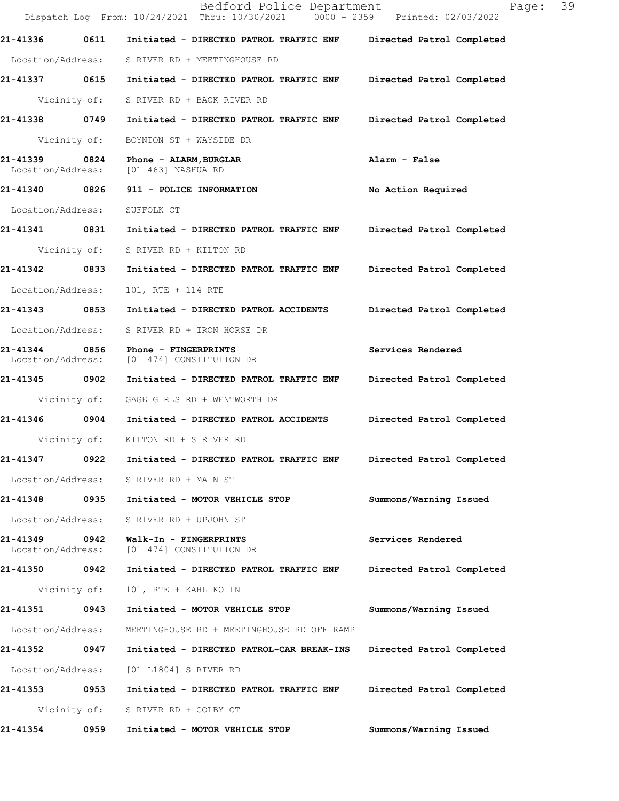|                                    |              | Bedford Police Department<br>Dispatch Log From: 10/24/2021 Thru: 10/30/2021 0000 - 2359 Printed: 02/03/2022 | 39<br>Page:               |
|------------------------------------|--------------|-------------------------------------------------------------------------------------------------------------|---------------------------|
| 21-41336                           | 0611         | Initiated - DIRECTED PATROL TRAFFIC ENF                                                                     | Directed Patrol Completed |
|                                    |              | Location/Address: S RIVER RD + MEETINGHOUSE RD                                                              |                           |
| 21-41337 0615                      |              | Initiated - DIRECTED PATROL TRAFFIC ENF                                                                     | Directed Patrol Completed |
|                                    | Vicinity of: | S RIVER RD + BACK RIVER RD                                                                                  |                           |
| 21-41338 0749                      |              | Initiated - DIRECTED PATROL TRAFFIC ENF                                                                     | Directed Patrol Completed |
|                                    | Vicinity of: | BOYNTON ST + WAYSIDE DR                                                                                     |                           |
| 21-41339 0824<br>Location/Address: |              | Phone - ALARM, BURGLAR<br>[01 463] NASHUA RD                                                                | Alarm - False             |
| 21-41340 0826                      |              | 911 - POLICE INFORMATION                                                                                    | No Action Required        |
| Location/Address:                  |              | SUFFOLK CT                                                                                                  |                           |
| 21-41341 0831                      |              | Initiated - DIRECTED PATROL TRAFFIC ENF                                                                     | Directed Patrol Completed |
|                                    | Vicinity of: | S RIVER RD + KILTON RD                                                                                      |                           |
| 21-41342                           | 0833         | Initiated - DIRECTED PATROL TRAFFIC ENF                                                                     | Directed Patrol Completed |
| Location/Address:                  |              | 101, RTE + 114 RTE                                                                                          |                           |
| 21-41343 0853                      |              | Initiated - DIRECTED PATROL ACCIDENTS                                                                       | Directed Patrol Completed |
| Location/Address:                  |              | S RIVER RD + IRON HORSE DR                                                                                  |                           |
| 21-41344<br>Location/Address:      | 0856         | Phone - FINGERPRINTS<br>[01 474] CONSTITUTION DR                                                            | Services Rendered         |
| 21-41345 0902                      |              | Initiated - DIRECTED PATROL TRAFFIC ENF                                                                     | Directed Patrol Completed |
|                                    | Vicinity of: | GAGE GIRLS RD + WENTWORTH DR                                                                                |                           |
| 21-41346 0904                      |              | Initiated - DIRECTED PATROL ACCIDENTS                                                                       | Directed Patrol Completed |
|                                    |              | Vicinity of: KILTON RD + S RIVER RD                                                                         |                           |
| 21-41347                           | 0922         | Initiated - DIRECTED PATROL TRAFFIC ENF                                                                     | Directed Patrol Completed |
| Location/Address:                  |              | S RIVER RD + MAIN ST                                                                                        |                           |
| 21-41348 0935                      |              | Initiated - MOTOR VEHICLE STOP                                                                              | Summons/Warning Issued    |
| Location/Address:                  |              | S RIVER RD + UPJOHN ST                                                                                      |                           |
| 21-41349<br>Location/Address:      | 0942         | Walk-In - FINGERPRINTS<br>[01 474] CONSTITUTION DR                                                          | Services Rendered         |
| 21-41350 0942                      |              | Initiated - DIRECTED PATROL TRAFFIC ENF                                                                     | Directed Patrol Completed |
|                                    | Vicinity of: | 101, RTE + KAHLIKO LN                                                                                       |                           |
| 21-41351 0943                      |              | Initiated - MOTOR VEHICLE STOP                                                                              | Summons/Warning Issued    |
| Location/Address:                  |              | MEETINGHOUSE RD + MEETINGHOUSE RD OFF RAMP                                                                  |                           |
| 21-41352                           | 0947         | Initiated - DIRECTED PATROL-CAR BREAK-INS                                                                   | Directed Patrol Completed |
| Location/Address:                  |              | [01 L1804] S RIVER RD                                                                                       |                           |
| 21-41353                           | 0953         | Initiated - DIRECTED PATROL TRAFFIC ENF                                                                     | Directed Patrol Completed |
|                                    | Vicinity of: | S RIVER RD + COLBY CT                                                                                       |                           |
| 21-41354                           | 0959         | Initiated - MOTOR VEHICLE STOP                                                                              | Summons/Warning Issued    |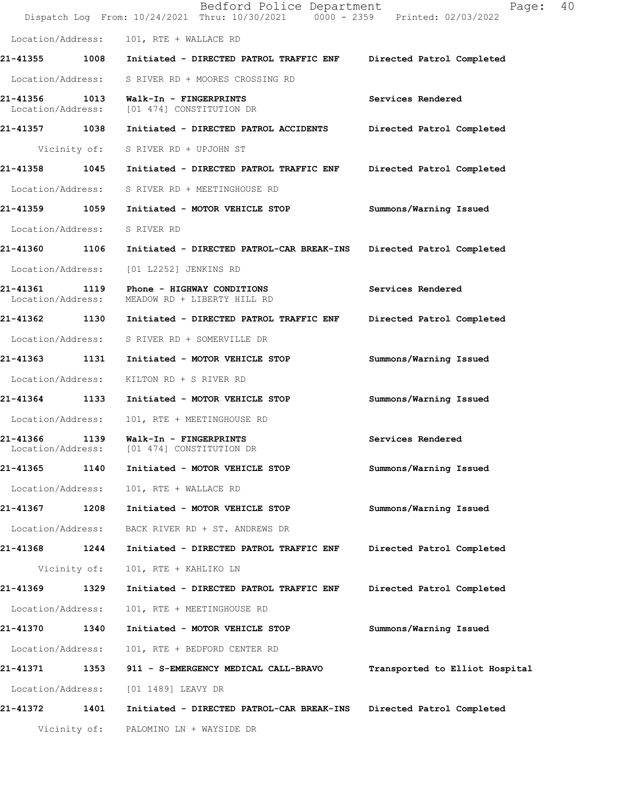|                                    |              | Bedford Police Department<br>Dispatch Log From: 10/24/2021 Thru: 10/30/2021 0000 - 2359 Printed: 02/03/2022 | Page:                          | 40 |
|------------------------------------|--------------|-------------------------------------------------------------------------------------------------------------|--------------------------------|----|
| Location/Address:                  |              | 101, RTE + WALLACE RD                                                                                       |                                |    |
| 21-41355                           | 1008         | Initiated - DIRECTED PATROL TRAFFIC ENF                                                                     | Directed Patrol Completed      |    |
| Location/Address:                  |              | S RIVER RD + MOORES CROSSING RD                                                                             |                                |    |
| 21-41356 1013<br>Location/Address: |              | Walk-In - FINGERPRINTS<br>[01 474] CONSTITUTION DR                                                          | Services Rendered              |    |
| 21-41357 1038                      |              | Initiated - DIRECTED PATROL ACCIDENTS                                                                       | Directed Patrol Completed      |    |
|                                    |              | Vicinity of: S RIVER RD + UPJOHN ST                                                                         |                                |    |
| 21-41358 1045                      |              | Initiated - DIRECTED PATROL TRAFFIC ENF                                                                     | Directed Patrol Completed      |    |
| Location/Address:                  |              | S RIVER RD + MEETINGHOUSE RD                                                                                |                                |    |
| 21-41359 1059                      |              | Initiated - MOTOR VEHICLE STOP                                                                              | Summons/Warning Issued         |    |
| Location/Address:                  |              | S RIVER RD                                                                                                  |                                |    |
| 21-41360 1106                      |              | Initiated - DIRECTED PATROL-CAR BREAK-INS                                                                   | Directed Patrol Completed      |    |
| Location/Address:                  |              | [01 L2252] JENKINS RD                                                                                       |                                |    |
| 21-41361<br>Location/Address:      | 1119         | Phone - HIGHWAY CONDITIONS<br>MEADOW RD + LIBERTY HILL RD                                                   | Services Rendered              |    |
| 21-41362 1130                      |              | Initiated - DIRECTED PATROL TRAFFIC ENF                                                                     | Directed Patrol Completed      |    |
|                                    |              | Location/Address: S RIVER RD + SOMERVILLE DR                                                                |                                |    |
| 21-41363 1131                      |              | Initiated - MOTOR VEHICLE STOP                                                                              | Summons/Warning Issued         |    |
| Location/Address:                  |              | KILTON RD + S RIVER RD                                                                                      |                                |    |
| 21-41364 1133                      |              | Initiated - MOTOR VEHICLE STOP                                                                              | Summons/Warning Issued         |    |
| Location/Address:                  |              | 101, RTE + MEETINGHOUSE RD                                                                                  |                                |    |
| 21-41366 1139                      |              | Walk-In - FINGERPRINTS<br>Location/Address: [01 474] CONSTITUTION DR                                        | Services Rendered              |    |
| 21-41365                           | 1140         | Initiated - MOTOR VEHICLE STOP                                                                              | Summons/Warning Issued         |    |
| Location/Address:                  |              | 101, RTE + WALLACE RD                                                                                       |                                |    |
| 21-41367                           | 1208         | Initiated - MOTOR VEHICLE STOP                                                                              | Summons/Warning Issued         |    |
| Location/Address:                  |              | BACK RIVER RD + ST. ANDREWS DR                                                                              |                                |    |
| 21-41368 1244                      |              | Initiated - DIRECTED PATROL TRAFFIC ENF                                                                     | Directed Patrol Completed      |    |
|                                    | Vicinity of: | 101, RTE + KAHLIKO LN                                                                                       |                                |    |
| 21-41369                           | 1329         | Initiated - DIRECTED PATROL TRAFFIC ENF                                                                     | Directed Patrol Completed      |    |
| Location/Address:                  |              | 101, RTE + MEETINGHOUSE RD                                                                                  |                                |    |
| 21-41370                           | 1340         | Initiated - MOTOR VEHICLE STOP                                                                              | Summons/Warning Issued         |    |
| Location/Address:                  |              | 101, RTE + BEDFORD CENTER RD                                                                                |                                |    |
| 21-41371 1353                      |              | 911 - S-EMERGENCY MEDICAL CALL-BRAVO                                                                        | Transported to Elliot Hospital |    |
| Location/Address:                  |              | [01 1489] LEAVY DR                                                                                          |                                |    |
| 21-41372                           | 1401         | Initiated - DIRECTED PATROL-CAR BREAK-INS                                                                   | Directed Patrol Completed      |    |
|                                    | Vicinity of: | PALOMINO LN + WAYSIDE DR                                                                                    |                                |    |
|                                    |              |                                                                                                             |                                |    |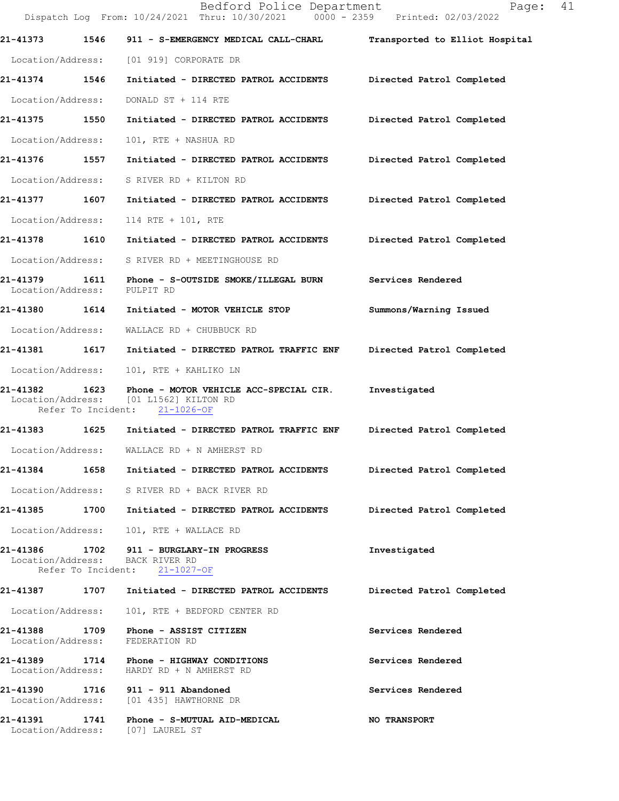|                               |                            | Bedford Police Department<br>Dispatch Log From: 10/24/2021 Thru: 10/30/2021 0000 - 2359 Printed: 02/03/2022       | Page:                          | 41 |
|-------------------------------|----------------------------|-------------------------------------------------------------------------------------------------------------------|--------------------------------|----|
| 21-41373                      |                            | 1546 911 - S-EMERGENCY MEDICAL CALL-CHARL                                                                         | Transported to Elliot Hospital |    |
| Location/Address:             |                            | [01 919] CORPORATE DR                                                                                             |                                |    |
| 21-41374 1546                 |                            | Initiated - DIRECTED PATROL ACCIDENTS Directed Patrol Completed                                                   |                                |    |
| Location/Address:             |                            | DONALD ST + 114 RTE                                                                                               |                                |    |
| 21-41375 1550                 |                            | Initiated - DIRECTED PATROL ACCIDENTS Directed Patrol Completed                                                   |                                |    |
| Location/Address:             |                            | 101, RTE + NASHUA RD                                                                                              |                                |    |
| 21-41376                      | 1557                       | Initiated - DIRECTED PATROL ACCIDENTS Directed Patrol Completed                                                   |                                |    |
| Location/Address:             |                            | S RIVER RD + KILTON RD                                                                                            |                                |    |
| 21-41377 1607                 |                            | Initiated - DIRECTED PATROL ACCIDENTS Directed Patrol Completed                                                   |                                |    |
| Location/Address:             |                            | 114 RTE + 101, RTE                                                                                                |                                |    |
| 21-41378 1610                 |                            | Initiated - DIRECTED PATROL ACCIDENTS                                                                             | Directed Patrol Completed      |    |
| Location/Address:             |                            | S RIVER RD + MEETINGHOUSE RD                                                                                      |                                |    |
| 21-41379<br>Location/Address: | 1611                       | <b>Phone - S-OUTSIDE SMOKE/ILLEGAL BURN</b><br>PULPIT RD                                                          | Services Rendered              |    |
| 21-41380 1614                 |                            | Initiated - MOTOR VEHICLE STOP                                                                                    | Summons/Warning Issued         |    |
| Location/Address:             |                            | WALLACE RD + CHUBBUCK RD                                                                                          |                                |    |
| 21-41381                      | 1617                       | Initiated - DIRECTED PATROL TRAFFIC ENF                                                                           | Directed Patrol Completed      |    |
| Location/Address:             |                            | 101, RTE + KAHLIKO LN                                                                                             |                                |    |
| 21-41382                      | 1623<br>Refer To Incident: | Phone - MOTOR VEHICLE ACC-SPECIAL CIR. Investigated<br>Location/Address: [01 L1562] KILTON RD<br>$21 - 1026 - OF$ |                                |    |
| 21-41383 1625                 |                            | Initiated - DIRECTED PATROL TRAFFIC ENF                                                                           | Directed Patrol Completed      |    |
| Location/Address:             |                            | WALLACE RD + N AMHERST RD                                                                                         |                                |    |
| 21-41384                      | 1658                       | Initiated - DIRECTED PATROL ACCIDENTS                                                                             | Directed Patrol Completed      |    |
|                               |                            | Location/Address: S RIVER RD + BACK RIVER RD                                                                      |                                |    |
|                               |                            | 21-41385 1700 Initiated - DIRECTED PATROL ACCIDENTS                                                               | Directed Patrol Completed      |    |
|                               |                            | Location/Address: 101, RTE + WALLACE RD                                                                           |                                |    |
| Location/Address:             |                            | 21-41386 1702 911 - BURGLARY-IN PROGRESS<br>BACK RIVER RD<br>Refer To Incident: 21-1027-OF                        | Investigated                   |    |
| 21-41387                      | 1707                       | Initiated - DIRECTED PATROL ACCIDENTS                                                                             | Directed Patrol Completed      |    |
| Location/Address:             |                            | 101, RTE + BEDFORD CENTER RD                                                                                      |                                |    |
| Location/Address:             |                            | 21-41388 1709 Phone - ASSIST CITIZEN<br>FEDERATION RD                                                             | Services Rendered              |    |
| Location/Address:             |                            | 21-41389 1714 Phone - HIGHWAY CONDITIONS<br>HARDY RD + N AMHERST RD                                               | Services Rendered              |    |
| Location/Address:             |                            | 21-41390 1716 911 - 911 Abandoned<br>[01 435] HAWTHORNE DR                                                        | Services Rendered              |    |
| 21-41391                      | 1741                       | Phone - S-MUTUAL AID-MEDICAL<br>Location/Address: [07] LAUREL ST                                                  | <b>NO TRANSPORT</b>            |    |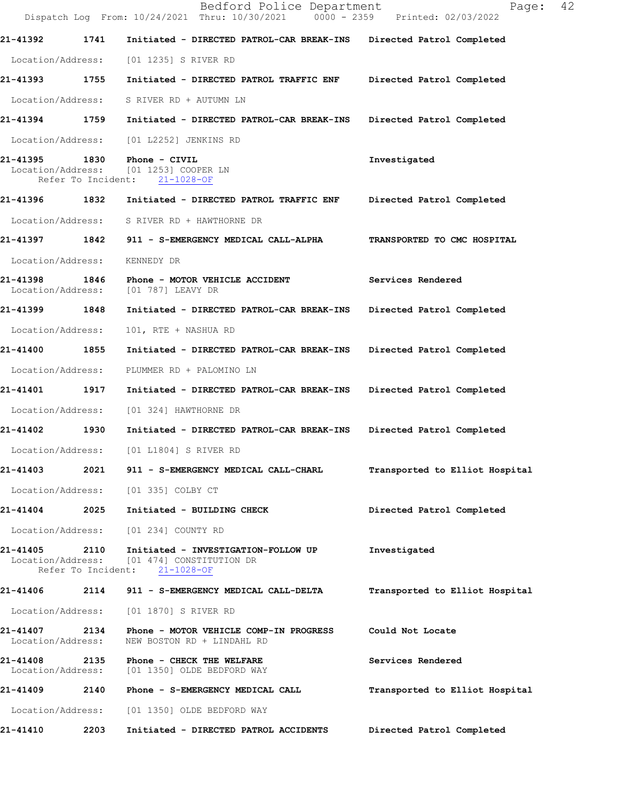|                                      |      | Bedford Police Department<br>Dispatch Log From: 10/24/2021 Thru: 10/30/2021 0000 - 2359 Printed: 02/03/2022 | 42<br>Page:                    |
|--------------------------------------|------|-------------------------------------------------------------------------------------------------------------|--------------------------------|
| 21-41392                             | 1741 | Initiated - DIRECTED PATROL-CAR BREAK-INS                                                                   | Directed Patrol Completed      |
| Location/Address:                    |      | [01 1235] S RIVER RD                                                                                        |                                |
| 21-41393 1755                        |      | Initiated - DIRECTED PATROL TRAFFIC ENF                                                                     | Directed Patrol Completed      |
| Location/Address:                    |      | S RIVER RD + AUTUMN LN                                                                                      |                                |
| 21-41394 1759                        |      | Initiated - DIRECTED PATROL-CAR BREAK-INS                                                                   | Directed Patrol Completed      |
| Location/Address:                    |      | [01 L2252] JENKINS RD                                                                                       |                                |
| 21-41395                             | 1830 | Phone - CIVIL<br>Location/Address: [01 1253] COOPER LN<br>Refer To Incident: 21-1028-OF                     | Investigated                   |
| 21-41396 1832                        |      | Initiated - DIRECTED PATROL TRAFFIC ENF                                                                     | Directed Patrol Completed      |
| Location/Address:                    |      | S RIVER RD + HAWTHORNE DR                                                                                   |                                |
| 21-41397 1842                        |      | 911 - S-EMERGENCY MEDICAL CALL-ALPHA                                                                        | TRANSPORTED TO CMC HOSPITAL    |
| Location/Address:                    |      | KENNEDY DR                                                                                                  |                                |
| 21-41398<br>Location/Address:        |      | <b>1846 • Phone - MOTOR VEHICLE ACCIDENT</b><br>[01 787] LEAVY DR                                           | Services Rendered              |
| 21-41399 1848                        |      | Initiated - DIRECTED PATROL-CAR BREAK-INS                                                                   | Directed Patrol Completed      |
| Location/Address:                    |      | 101, RTE + NASHUA RD                                                                                        |                                |
| 21-41400                             | 1855 | Initiated - DIRECTED PATROL-CAR BREAK-INS                                                                   | Directed Patrol Completed      |
| Location/Address:                    |      | PLUMMER RD + PALOMINO LN                                                                                    |                                |
| 21-41401                             | 1917 | Initiated - DIRECTED PATROL-CAR BREAK-INS Directed Patrol Completed                                         |                                |
| Location/Address:                    |      | [01 324] HAWTHORNE DR                                                                                       |                                |
| 21-41402                             | 1930 | Initiated - DIRECTED PATROL-CAR BREAK-INS                                                                   | Directed Patrol Completed      |
| Location/Address:                    |      | [01 L1804] S RIVER RD                                                                                       |                                |
| 21-41403                             | 2021 | 911 - S-EMERGENCY MEDICAL CALL-CHARL                                                                        | Transported to Elliot Hospital |
| Location/Address:                    |      | [01 335] COLBY CT                                                                                           |                                |
| 21-41404                             | 2025 | Initiated - BUILDING CHECK                                                                                  | Directed Patrol Completed      |
| Location/Address:                    |      | [01 234] COUNTY RD                                                                                          |                                |
| 21-41405<br>Location/Address:        | 2110 | Initiated - INVESTIGATION-FOLLOW UP<br>[01 474] CONSTITUTION DR<br>Refer To Incident: 21-1028-OF            | Investigated                   |
| 21-41406                             | 2114 | 911 - S-EMERGENCY MEDICAL CALL-DELTA                                                                        | Transported to Elliot Hospital |
| Location/Address:                    |      | [01 1870] S RIVER RD                                                                                        |                                |
| <b>21-41407</b><br>Location/Address: | 2134 | Phone - MOTOR VEHICLE COMP-IN PROGRESS<br>NEW BOSTON RD + LINDAHL RD                                        | Could Not Locate               |
| 21-41408<br>Location/Address:        | 2135 | Phone - CHECK THE WELFARE<br>[01 1350] OLDE BEDFORD WAY                                                     | Services Rendered              |
| 21-41409                             | 2140 | Phone - S-EMERGENCY MEDICAL CALL                                                                            | Transported to Elliot Hospital |
| Location/Address:                    |      | [01 1350] OLDE BEDFORD WAY                                                                                  |                                |
| 21-41410                             | 2203 | Initiated - DIRECTED PATROL ACCIDENTS                                                                       | Directed Patrol Completed      |